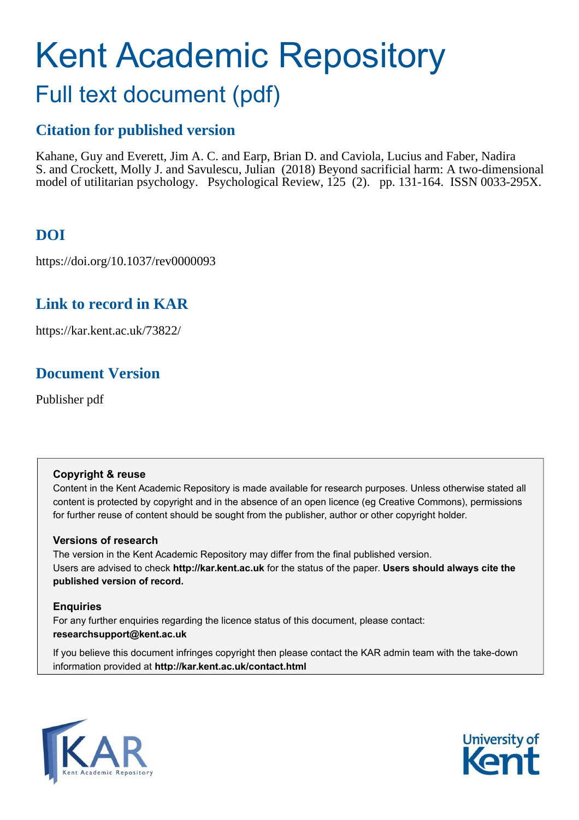# Kent Academic Repository

## Full text document (pdf)

## **Citation for published version**

Kahane, Guy and Everett, Jim A. C. and Earp, Brian D. and Caviola, Lucius and Faber, Nadira S. and Crockett, Molly J. and Savulescu, Julian (2018) Beyond sacrificial harm: A two-dimensional model of utilitarian psychology. Psychological Review, 125 (2). pp. 131-164. ISSN 0033-295X.

## **DOI**

https://doi.org/10.1037/rev0000093

## **Link to record in KAR**

https://kar.kent.ac.uk/73822/

## **Document Version**

Publisher pdf

#### **Copyright & reuse**

Content in the Kent Academic Repository is made available for research purposes. Unless otherwise stated all content is protected by copyright and in the absence of an open licence (eg Creative Commons), permissions for further reuse of content should be sought from the publisher, author or other copyright holder.

#### **Versions of research**

The version in the Kent Academic Repository may differ from the final published version. Users are advised to check **http://kar.kent.ac.uk** for the status of the paper. **Users should always cite the published version of record.**

#### **Enquiries**

For any further enquiries regarding the licence status of this document, please contact: **researchsupport@kent.ac.uk**

If you believe this document infringes copyright then please contact the KAR admin team with the take-down information provided at **http://kar.kent.ac.uk/contact.html**



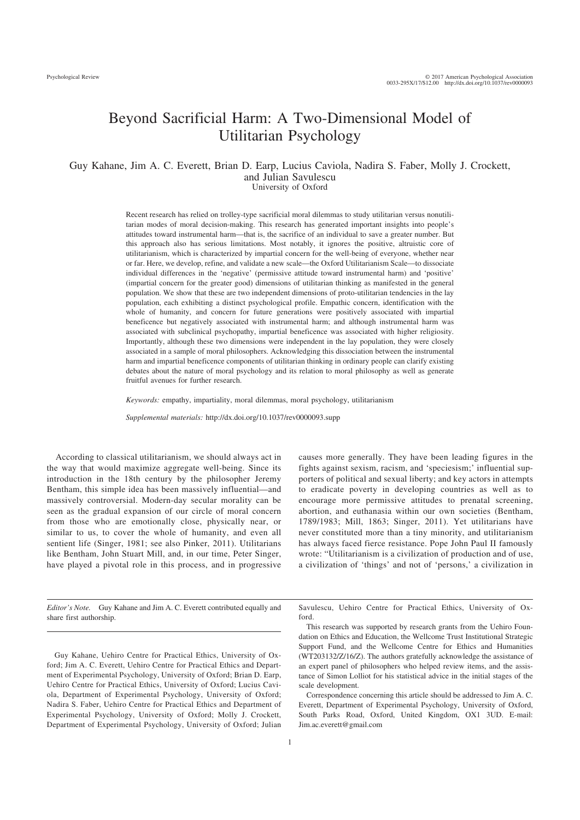### Beyond Sacrificial Harm: A Two-Dimensional Model of Utilitarian Psychology

#### Guy Kahane, Jim A. C. Everett, Brian D. Earp, Lucius Caviola, Nadira S. Faber, Molly J. Crockett, and Julian Savulescu University of Oxford

Recent research has relied on trolley-type sacrificial moral dilemmas to study utilitarian versus nonutilitarian modes of moral decision-making. This research has generated important insights into people's attitudes toward instrumental harm—that is, the sacrifice of an individual to save a greater number. But this approach also has serious limitations. Most notably, it ignores the positive, altruistic core of utilitarianism, which is characterized by impartial concern for the well-being of everyone, whether near or far. Here, we develop, refine, and validate a new scale—the Oxford Utilitarianism Scale—to dissociate individual differences in the 'negative' (permissive attitude toward instrumental harm) and 'positive' (impartial concern for the greater good) dimensions of utilitarian thinking as manifested in the general population. We show that these are two independent dimensions of proto-utilitarian tendencies in the lay population, each exhibiting a distinct psychological profile. Empathic concern, identification with the whole of humanity, and concern for future generations were positively associated with impartial beneficence but negatively associated with instrumental harm; and although instrumental harm was associated with subclinical psychopathy, impartial beneficence was associated with higher religiosity. Importantly, although these two dimensions were independent in the lay population, they were closely associated in a sample of moral philosophers. Acknowledging this dissociation between the instrumental harm and impartial beneficence components of utilitarian thinking in ordinary people can clarify existing debates about the nature of moral psychology and its relation to moral philosophy as well as generate fruitful avenues for further research.

*Keywords:* empathy, impartiality, moral dilemmas, moral psychology, utilitarianism

*Supplemental materials:* http://dx.doi.org/10.1037/rev0000093.supp

According to classical utilitarianism, we should always act in the way that would maximize aggregate well-being. Since its introduction in the 18th century by the philosopher Jeremy Bentham, this simple idea has been massively influential—and massively controversial. Modern-day secular morality can be seen as the gradual expansion of our circle of moral concern from those who are emotionally close, physically near, or similar to us, to cover the whole of humanity, and even all sentient life (Singer, 1981; see also Pinker, 2011). Utilitarians like Bentham, John Stuart Mill, and, in our time, Peter Singer, have played a pivotal role in this process, and in progressive causes more generally. They have been leading figures in the fights against sexism, racism, and 'speciesism;' influential supporters of political and sexual liberty; and key actors in attempts to eradicate poverty in developing countries as well as to encourage more permissive attitudes to prenatal screening, abortion, and euthanasia within our own societies (Bentham, 1789/1983; Mill, 1863; Singer, 2011). Yet utilitarians have never constituted more than a tiny minority, and utilitarianism has always faced fierce resistance. Pope John Paul II famously wrote: "Utilitarianism is a civilization of production and of use, a civilization of 'things' and not of 'persons,' a civilization in

*Editor's Note.* Guy Kahane and Jim A. C. Everett contributed equally and share first authorship.

Guy Kahane, Uehiro Centre for Practical Ethics, University of Oxford; Jim A. C. Everett, Uehiro Centre for Practical Ethics and Department of Experimental Psychology, University of Oxford; Brian D. Earp, Uehiro Centre for Practical Ethics, University of Oxford; Lucius Caviola, Department of Experimental Psychology, University of Oxford; Nadira S. Faber, Uehiro Centre for Practical Ethics and Department of Experimental Psychology, University of Oxford; Molly J. Crockett, Department of Experimental Psychology, University of Oxford; Julian

Savulescu, Uehiro Centre for Practical Ethics, University of Oxford.

This research was supported by research grants from the Uehiro Foundation on Ethics and Education, the Wellcome Trust Institutional Strategic Support Fund, and the Wellcome Centre for Ethics and Humanities (WT203132/Z/16/Z). The authors gratefully acknowledge the assistance of an expert panel of philosophers who helped review items, and the assistance of Simon Lolliot for his statistical advice in the initial stages of the scale development.

Correspondence concerning this article should be addressed to Jim A. C. Everett, Department of Experimental Psychology, University of Oxford, South Parks Road, Oxford, United Kingdom, OX1 3UD. E-mail: Jim.ac.everett@gmail.com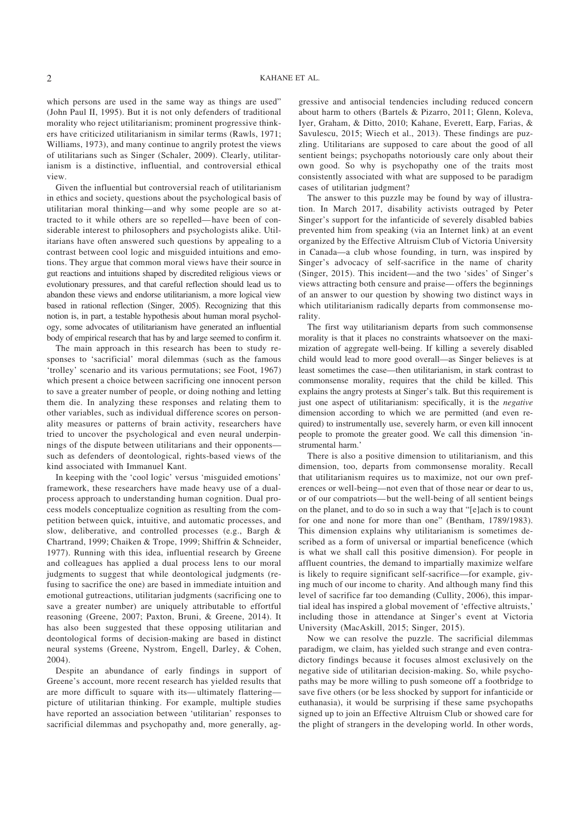which persons are used in the same way as things are used" (John Paul II, 1995). But it is not only defenders of traditional morality who reject utilitarianism; prominent progressive thinkers have criticized utilitarianism in similar terms (Rawls, 1971; Williams, 1973), and many continue to angrily protest the views of utilitarians such as Singer (Schaler, 2009). Clearly, utilitarianism is a distinctive, influential, and controversial ethical view.

Given the influential but controversial reach of utilitarianism in ethics and society, questions about the psychological basis of utilitarian moral thinking—and why some people are so attracted to it while others are so repelled—have been of considerable interest to philosophers and psychologists alike. Utilitarians have often answered such questions by appealing to a contrast between cool logic and misguided intuitions and emotions. They argue that common moral views have their source in gut reactions and intuitions shaped by discredited religious views or evolutionary pressures, and that careful reflection should lead us to abandon these views and endorse utilitarianism, a more logical view based in rational reflection (Singer, 2005). Recognizing that this notion is, in part, a testable hypothesis about human moral psychology, some advocates of utilitarianism have generated an influential body of empirical research that has by and large seemed to confirm it.

The main approach in this research has been to study responses to 'sacrificial' moral dilemmas (such as the famous 'trolley' scenario and its various permutations; see Foot, 1967) which present a choice between sacrificing one innocent person to save a greater number of people, or doing nothing and letting them die. In analyzing these responses and relating them to other variables, such as individual difference scores on personality measures or patterns of brain activity, researchers have tried to uncover the psychological and even neural underpinnings of the dispute between utilitarians and their opponents such as defenders of deontological, rights-based views of the kind associated with Immanuel Kant.

In keeping with the 'cool logic' versus 'misguided emotions' framework, these researchers have made heavy use of a dualprocess approach to understanding human cognition. Dual process models conceptualize cognition as resulting from the competition between quick, intuitive, and automatic processes, and slow, deliberative, and controlled processes (e.g., Bargh & Chartrand, 1999; Chaiken & Trope, 1999; Shiffrin & Schneider, 1977). Running with this idea, influential research by Greene and colleagues has applied a dual process lens to our moral judgments to suggest that while deontological judgments (refusing to sacrifice the one) are based in immediate intuition and emotional gutreactions, utilitarian judgments (sacrificing one to save a greater number) are uniquely attributable to effortful reasoning (Greene, 2007; Paxton, Bruni, & Greene, 2014). It has also been suggested that these opposing utilitarian and deontological forms of decision-making are based in distinct neural systems (Greene, Nystrom, Engell, Darley, & Cohen, 2004).

Despite an abundance of early findings in support of Greene's account, more recent research has yielded results that are more difficult to square with its—ultimately flattering picture of utilitarian thinking. For example, multiple studies have reported an association between 'utilitarian' responses to sacrificial dilemmas and psychopathy and, more generally, aggressive and antisocial tendencies including reduced concern about harm to others (Bartels & Pizarro, 2011; Glenn, Koleva, Iyer, Graham, & Ditto, 2010; Kahane, Everett, Earp, Farias, & Savulescu, 2015; Wiech et al., 2013). These findings are puzzling. Utilitarians are supposed to care about the good of all sentient beings; psychopaths notoriously care only about their own good. So why is psychopathy one of the traits most consistently associated with what are supposed to be paradigm cases of utilitarian judgment?

The answer to this puzzle may be found by way of illustration. In March 2017, disability activists outraged by Peter Singer's support for the infanticide of severely disabled babies prevented him from speaking (via an Internet link) at an event organized by the Effective Altruism Club of Victoria University in Canada—a club whose founding, in turn, was inspired by Singer's advocacy of self-sacrifice in the name of charity (Singer, 2015). This incident—and the two 'sides' of Singer's views attracting both censure and praise—offers the beginnings of an answer to our question by showing two distinct ways in which utilitarianism radically departs from commonsense morality.

The first way utilitarianism departs from such commonsense morality is that it places no constraints whatsoever on the maximization of aggregate well-being. If killing a severely disabled child would lead to more good overall—as Singer believes is at least sometimes the case—then utilitarianism, in stark contrast to commonsense morality, requires that the child be killed. This explains the angry protests at Singer's talk. But this requirement is just one aspect of utilitarianism: specifically, it is the *negative* dimension according to which we are permitted (and even required) to instrumentally use, severely harm, or even kill innocent people to promote the greater good. We call this dimension 'instrumental harm.'

There is also a positive dimension to utilitarianism, and this dimension, too, departs from commonsense morality. Recall that utilitarianism requires us to maximize, not our own preferences or well-being—not even that of those near or dear to us, or of our compatriots—but the well-being of all sentient beings on the planet, and to do so in such a way that "[e]ach is to count for one and none for more than one" (Bentham, 1789/1983). This dimension explains why utilitarianism is sometimes described as a form of universal or impartial beneficence (which is what we shall call this positive dimension). For people in affluent countries, the demand to impartially maximize welfare is likely to require significant self-sacrifice—for example, giving much of our income to charity. And although many find this level of sacrifice far too demanding (Cullity, 2006), this impartial ideal has inspired a global movement of 'effective altruists,' including those in attendance at Singer's event at Victoria University (MacAskill, 2015; Singer, 2015).

Now we can resolve the puzzle. The sacrificial dilemmas paradigm, we claim, has yielded such strange and even contradictory findings because it focuses almost exclusively on the negative side of utilitarian decision-making. So, while psychopaths may be more willing to push someone off a footbridge to save five others (or be less shocked by support for infanticide or euthanasia), it would be surprising if these same psychopaths signed up to join an Effective Altruism Club or showed care for the plight of strangers in the developing world. In other words,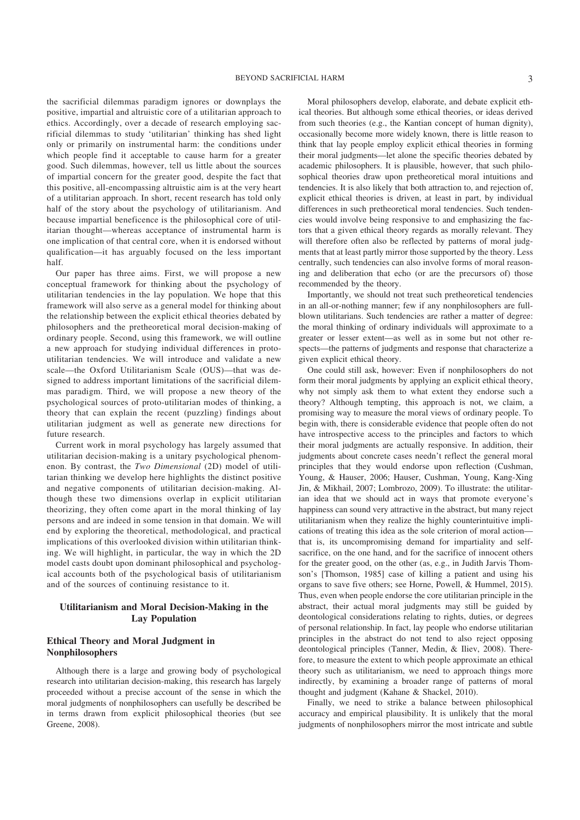the sacrificial dilemmas paradigm ignores or downplays the positive, impartial and altruistic core of a utilitarian approach to ethics. Accordingly, over a decade of research employing sacrificial dilemmas to study 'utilitarian' thinking has shed light only or primarily on instrumental harm: the conditions under which people find it acceptable to cause harm for a greater good. Such dilemmas, however, tell us little about the sources of impartial concern for the greater good, despite the fact that this positive, all-encompassing altruistic aim is at the very heart of a utilitarian approach. In short, recent research has told only half of the story about the psychology of utilitarianism. And because impartial beneficence is the philosophical core of utilitarian thought—whereas acceptance of instrumental harm is one implication of that central core, when it is endorsed without qualification—it has arguably focused on the less important half.

Our paper has three aims. First, we will propose a new conceptual framework for thinking about the psychology of utilitarian tendencies in the lay population. We hope that this framework will also serve as a general model for thinking about the relationship between the explicit ethical theories debated by philosophers and the pretheoretical moral decision-making of ordinary people. Second, using this framework, we will outline a new approach for studying individual differences in protoutilitarian tendencies. We will introduce and validate a new scale—the Oxford Utilitarianism Scale (OUS)—that was designed to address important limitations of the sacrificial dilemmas paradigm. Third, we will propose a new theory of the psychological sources of proto-utilitarian modes of thinking, a theory that can explain the recent (puzzling) findings about utilitarian judgment as well as generate new directions for future research.

Current work in moral psychology has largely assumed that utilitarian decision-making is a unitary psychological phenomenon. By contrast, the *Two Dimensional* (2D) model of utilitarian thinking we develop here highlights the distinct positive and negative components of utilitarian decision-making. Although these two dimensions overlap in explicit utilitarian theorizing, they often come apart in the moral thinking of lay persons and are indeed in some tension in that domain. We will end by exploring the theoretical, methodological, and practical implications of this overlooked division within utilitarian thinking. We will highlight, in particular, the way in which the 2D model casts doubt upon dominant philosophical and psychological accounts both of the psychological basis of utilitarianism and of the sources of continuing resistance to it.

#### **Utilitarianism and Moral Decision-Making in the Lay Population**

#### **Ethical Theory and Moral Judgment in Nonphilosophers**

Although there is a large and growing body of psychological research into utilitarian decision-making, this research has largely proceeded without a precise account of the sense in which the moral judgments of nonphilosophers can usefully be described be in terms drawn from explicit philosophical theories (but see Greene, 2008).

Moral philosophers develop, elaborate, and debate explicit ethical theories. But although some ethical theories, or ideas derived from such theories (e.g., the Kantian concept of human dignity), occasionally become more widely known, there is little reason to think that lay people employ explicit ethical theories in forming their moral judgments—let alone the specific theories debated by academic philosophers. It is plausible, however, that such philosophical theories draw upon pretheoretical moral intuitions and tendencies. It is also likely that both attraction to, and rejection of, explicit ethical theories is driven, at least in part, by individual differences in such pretheoretical moral tendencies. Such tendencies would involve being responsive to and emphasizing the factors that a given ethical theory regards as morally relevant. They will therefore often also be reflected by patterns of moral judgments that at least partly mirror those supported by the theory. Less centrally, such tendencies can also involve forms of moral reasoning and deliberation that echo (or are the precursors of) those recommended by the theory.

Importantly, we should not treat such pretheoretical tendencies in an all-or-nothing manner; few if any nonphilosophers are fullblown utilitarians. Such tendencies are rather a matter of degree: the moral thinking of ordinary individuals will approximate to a greater or lesser extent—as well as in some but not other respects—the patterns of judgments and response that characterize a given explicit ethical theory.

One could still ask, however: Even if nonphilosophers do not form their moral judgments by applying an explicit ethical theory, why not simply ask them to what extent they endorse such a theory? Although tempting, this approach is not, we claim, a promising way to measure the moral views of ordinary people. To begin with, there is considerable evidence that people often do not have introspective access to the principles and factors to which their moral judgments are actually responsive. In addition, their judgments about concrete cases needn't reflect the general moral principles that they would endorse upon reflection (Cushman, Young, & Hauser, 2006; Hauser, Cushman, Young, Kang-Xing Jin, & Mikhail, 2007; Lombrozo, 2009). To illustrate: the utilitarian idea that we should act in ways that promote everyone's happiness can sound very attractive in the abstract, but many reject utilitarianism when they realize the highly counterintuitive implications of treating this idea as the sole criterion of moral action that is, its uncompromising demand for impartiality and selfsacrifice, on the one hand, and for the sacrifice of innocent others for the greater good, on the other (as, e.g., in Judith Jarvis Thomson's [Thomson, 1985] case of killing a patient and using his organs to save five others; see Horne, Powell, & Hummel, 2015). Thus, even when people endorse the core utilitarian principle in the abstract, their actual moral judgments may still be guided by deontological considerations relating to rights, duties, or degrees of personal relationship. In fact, lay people who endorse utilitarian principles in the abstract do not tend to also reject opposing deontological principles (Tanner, Medin, & Iliev, 2008). Therefore, to measure the extent to which people approximate an ethical theory such as utilitarianism, we need to approach things more indirectly, by examining a broader range of patterns of moral thought and judgment (Kahane & Shackel, 2010).

Finally, we need to strike a balance between philosophical accuracy and empirical plausibility. It is unlikely that the moral judgments of nonphilosophers mirror the most intricate and subtle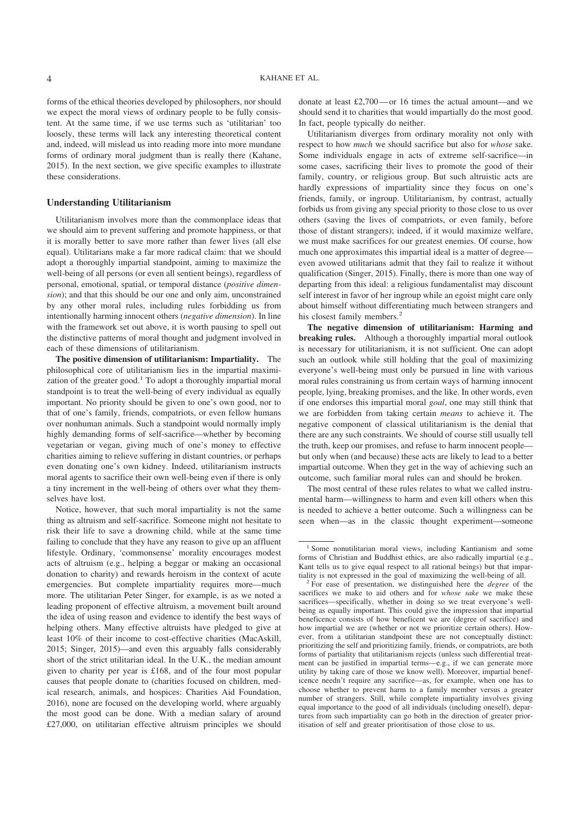forms of the ethical theories developed by philosophers, nor should we expect the moral views of ordinary people to be fully consistent. At the same time, if we use terms such as 'utilitarian' too loosely, these terms will lack any interesting theoretical content and, indeed, will mislead us into reading more into more mundane forms of ordinary moral judgment than is really there (Kahane, 2015). In the next section, we give specific examples to illustrate these considerations.

#### **Understanding Utilitarianism**

Utilitarianism involves more than the commonplace ideas that we should aim to prevent suffering and promote happiness, or that it is morally better to save more rather than fewer lives (all else equal). Utilitarians make a far more radical claim: that we should adopt a thoroughly impartial standpoint, aiming to maximize the well-being of all persons (or even all sentient beings), regardless of personal, emotional, spatial, or temporal distance (*positive dimension*); and that this should be our one and only aim, unconstrained by any other moral rules, including rules forbidding us from intentionally harming innocent others (*negative dimension*). In line with the framework set out above, it is worth pausing to spell out the distinctive patterns of moral thought and judgment involved in each of these dimensions of utilitarianism.

**The positive dimension of utilitarianism: Impartiality.** The philosophical core of utilitarianism lies in the impartial maximization of the greater good.<sup>1</sup> To adopt a thoroughly impartial moral standpoint is to treat the well-being of every individual as equally important. No priority should be given to one's own good, nor to that of one's family, friends, compatriots, or even fellow humans over nonhuman animals. Such a standpoint would normally imply highly demanding forms of self-sacrifice—whether by becoming vegetarian or vegan, giving much of one's money to effective charities aiming to relieve suffering in distant countries, or perhaps even donating one's own kidney. Indeed, utilitarianism instructs moral agents to sacrifice their own well-being even if there is only a tiny increment in the well-being of others over what they themselves have lost.

Notice, however, that such moral impartiality is not the same thing as altruism and self-sacrifice. Someone might not hesitate to risk their life to save a drowning child, while at the same time failing to conclude that they have any reason to give up an affluent lifestyle. Ordinary, 'commonsense' morality encourages modest acts of altruism (e.g., helping a beggar or making an occasional donation to charity) and rewards heroism in the context of acute emergencies. But complete impartiality requires more—much more. The utilitarian Peter Singer, for example, is as we noted a leading proponent of effective altruism, a movement built around the idea of using reason and evidence to identify the best ways of helping others. Many effective altruists have pledged to give at least 10% of their income to cost-effective charities (MacAskill, 2015; Singer, 2015)—and even this arguably falls considerably short of the strict utilitarian ideal. In the U.K., the median amount given to charity per year is £168, and of the four most popular causes that people donate to (charities focused on children, medical research, animals, and hospices: Charities Aid Foundation, 2016), none are focused on the developing world, where arguably the most good can be done. With a median salary of around £27,000, on utilitarian effective altruism principles we should donate at least £2,700—or 16 times the actual amount—and we should send it to charities that would impartially do the most good. In fact, people typically do neither.

Utilitarianism diverges from ordinary morality not only with respect to how *much* we should sacrifice but also for *whose* sake. Some individuals engage in acts of extreme self-sacrifice—in some cases, sacrificing their lives to promote the good of their family, country, or religious group. But such altruistic acts are hardly expressions of impartiality since they focus on one's friends, family, or ingroup. Utilitarianism, by contrast, actually forbids us from giving any special priority to those close to us over others (saving the lives of compatriots, or even family, before those of distant strangers); indeed, if it would maximize welfare, we must make sacrifices for our greatest enemies. Of course, how much one approximates this impartial ideal is a matter of degree even avowed utilitarians admit that they fail to realize it without qualification (Singer, 2015). Finally, there is more than one way of departing from this ideal: a religious fundamentalist may discount self interest in favor of her ingroup while an egoist might care only about himself without differentiating much between strangers and his closest family members.<sup>2</sup>

**The negative dimension of utilitarianism: Harming and breaking rules.** Although a thoroughly impartial moral outlook is necessary for utilitarianism, it is not sufficient. One can adopt such an outlook while still holding that the goal of maximizing everyone's well-being must only be pursued in line with various moral rules constraining us from certain ways of harming innocent people, lying, breaking promises, and the like. In other words, even if one endorses this impartial moral *goal*, one may still think that we are forbidden from taking certain *means* to achieve it. The negative component of classical utilitarianism is the denial that there are any such constraints. We should of course still usually tell the truth, keep our promises, and refuse to harm innocent people but only when (and because) these acts are likely to lead to a better impartial outcome. When they get in the way of achieving such an outcome, such familiar moral rules can and should be broken.

The most central of these rules relates to what we called instrumental harm—willingness to harm and even kill others when this is needed to achieve a better outcome. Such a willingness can be seen when—as in the classic thought experiment—someone

<sup>&</sup>lt;sup>1</sup> Some nonutilitarian moral views, including Kantianism and some forms of Christian and Buddhist ethics, are also radically impartial (e.g., Kant tells us to give equal respect to all rational beings) but that impartiality is not expressed in the goal of maximizing the well-being of all.

<sup>2</sup> For ease of presentation, we distinguished here the *degree* of the sacrifices we make to aid others and for *whose sake* we make these sacrifices—specifically, whether in doing so we treat everyone's wellbeing as equally important. This could give the impression that impartial beneficence consists of how beneficent we are (degree of sacrifice) and how impartial we are (whether or not we prioritize certain others). However, from a utilitarian standpoint these are not conceptually distinct: prioritizing the self and prioritizing family, friends, or compatriots, are both forms of partiality that utilitarianism rejects (unless such differential treatment can be justified in impartial terms—e.g., if we can generate more utility by taking care of those we know well). Moreover, impartial beneficence needn't require any sacrifice—as, for example, when one has to choose whether to prevent harm to a family member versus a greater number of strangers. Still, while complete impartiality involves giving equal importance to the good of all individuals (including oneself), departures from such impartiality can go both in the direction of greater prioritisation of self and greater prioritisation of those close to us.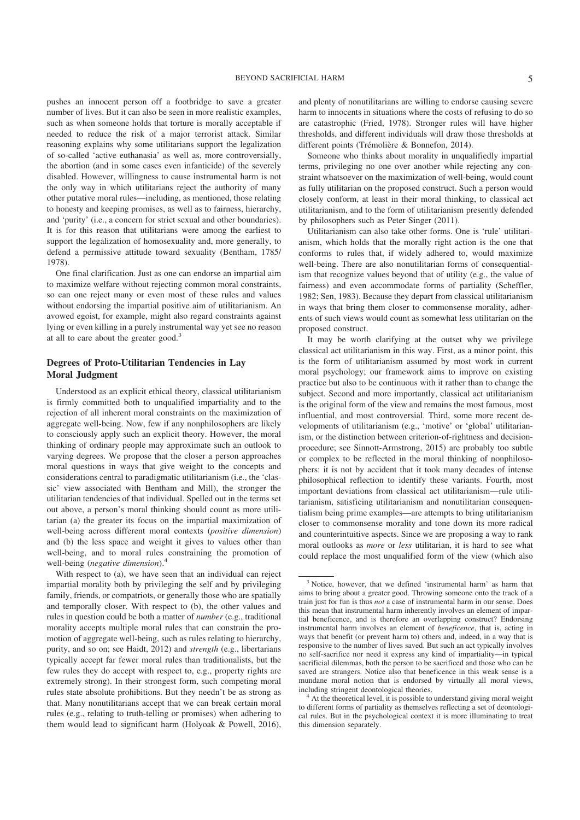pushes an innocent person off a footbridge to save a greater number of lives. But it can also be seen in more realistic examples, such as when someone holds that torture is morally acceptable if needed to reduce the risk of a major terrorist attack. Similar reasoning explains why some utilitarians support the legalization of so-called 'active euthanasia' as well as, more controversially, the abortion (and in some cases even infanticide) of the severely disabled. However, willingness to cause instrumental harm is not the only way in which utilitarians reject the authority of many other putative moral rules—including, as mentioned, those relating to honesty and keeping promises, as well as to fairness, hierarchy, and 'purity' (i.e., a concern for strict sexual and other boundaries). It is for this reason that utilitarians were among the earliest to support the legalization of homosexuality and, more generally, to defend a permissive attitude toward sexuality (Bentham, 1785/ 1978).

One final clarification. Just as one can endorse an impartial aim to maximize welfare without rejecting common moral constraints, so can one reject many or even most of these rules and values without endorsing the impartial positive aim of utilitarianism. An avowed egoist, for example, might also regard constraints against lying or even killing in a purely instrumental way yet see no reason at all to care about the greater good.<sup>3</sup>

#### **Degrees of Proto-Utilitarian Tendencies in Lay Moral Judgment**

Understood as an explicit ethical theory, classical utilitarianism is firmly committed both to unqualified impartiality and to the rejection of all inherent moral constraints on the maximization of aggregate well-being. Now, few if any nonphilosophers are likely to consciously apply such an explicit theory. However, the moral thinking of ordinary people may approximate such an outlook to varying degrees. We propose that the closer a person approaches moral questions in ways that give weight to the concepts and considerations central to paradigmatic utilitarianism (i.e., the 'classic' view associated with Bentham and Mill), the stronger the utilitarian tendencies of that individual. Spelled out in the terms set out above, a person's moral thinking should count as more utilitarian (a) the greater its focus on the impartial maximization of well-being across different moral contexts (*positive dimension*) and (b) the less space and weight it gives to values other than well-being, and to moral rules constraining the promotion of well-being (*negative dimension*).<sup>4</sup>

With respect to (a), we have seen that an individual can reject impartial morality both by privileging the self and by privileging family, friends, or compatriots, or generally those who are spatially and temporally closer. With respect to (b), the other values and rules in question could be both a matter of *number* (e.g., traditional morality accepts multiple moral rules that can constrain the promotion of aggregate well-being, such as rules relating to hierarchy, purity, and so on; see Haidt, 2012) and *strength* (e.g., libertarians typically accept far fewer moral rules than traditionalists, but the few rules they do accept with respect to, e.g., property rights are extremely strong). In their strongest form, such competing moral rules state absolute prohibitions. But they needn't be as strong as that. Many nonutilitarians accept that we can break certain moral rules (e.g., relating to truth-telling or promises) when adhering to them would lead to significant harm (Holyoak & Powell, 2016), and plenty of nonutilitarians are willing to endorse causing severe harm to innocents in situations where the costs of refusing to do so are catastrophic (Fried, 1978). Stronger rules will have higher thresholds, and different individuals will draw those thresholds at different points (Trémolière & Bonnefon, 2014).

Someone who thinks about morality in unqualifiedly impartial terms, privileging no one over another while rejecting any constraint whatsoever on the maximization of well-being, would count as fully utilitarian on the proposed construct. Such a person would closely conform, at least in their moral thinking, to classical act utilitarianism, and to the form of utilitarianism presently defended by philosophers such as Peter Singer (2011).

Utilitarianism can also take other forms. One is 'rule' utilitarianism, which holds that the morally right action is the one that conforms to rules that, if widely adhered to, would maximize well-being. There are also nonutilitarian forms of consequentialism that recognize values beyond that of utility (e.g., the value of fairness) and even accommodate forms of partiality (Scheffler, 1982; Sen, 1983). Because they depart from classical utilitarianism in ways that bring them closer to commonsense morality, adherents of such views would count as somewhat less utilitarian on the proposed construct.

It may be worth clarifying at the outset why we privilege classical act utilitarianism in this way. First, as a minor point, this is the form of utilitarianism assumed by most work in current moral psychology; our framework aims to improve on existing practice but also to be continuous with it rather than to change the subject. Second and more importantly, classical act utilitarianism is the original form of the view and remains the most famous, most influential, and most controversial. Third, some more recent developments of utilitarianism (e.g., 'motive' or 'global' utilitarianism, or the distinction between criterion-of-rightness and decisionprocedure; see Sinnott-Armstrong, 2015) are probably too subtle or complex to be reflected in the moral thinking of nonphilosophers: it is not by accident that it took many decades of intense philosophical reflection to identify these variants. Fourth, most important deviations from classical act utilitarianism—rule utilitarianism, satisficing utilitarianism and nonutilitarian consequentialism being prime examples—are attempts to bring utilitarianism closer to commonsense morality and tone down its more radical and counterintuitive aspects. Since we are proposing a way to rank moral outlooks as *more* or *less* utilitarian, it is hard to see what could replace the most unqualified form of the view (which also

<sup>3</sup> Notice, however, that we defined 'instrumental harm' as harm that aims to bring about a greater good. Throwing someone onto the track of a train just for fun is thus *not* a case of instrumental harm in our sense. Does this mean that instrumental harm inherently involves an element of impartial beneficence, and is therefore an overlapping construct? Endorsing instrumental harm involves an element of *beneficence*, that is, acting in ways that benefit (or prevent harm to) others and, indeed, in a way that is responsive to the number of lives saved. But such an act typically involves no self-sacrifice nor need it express any kind of impartiality—in typical sacrificial dilemmas, both the person to be sacrificed and those who can be saved are strangers. Notice also that beneficence in this weak sense is a mundane moral notion that is endorsed by virtually all moral views, including stringent deontological theories.

<sup>&</sup>lt;sup>4</sup> At the theoretical level, it is possible to understand giving moral weight to different forms of partiality as themselves reflecting a set of deontological rules. But in the psychological context it is more illuminating to treat this dimension separately.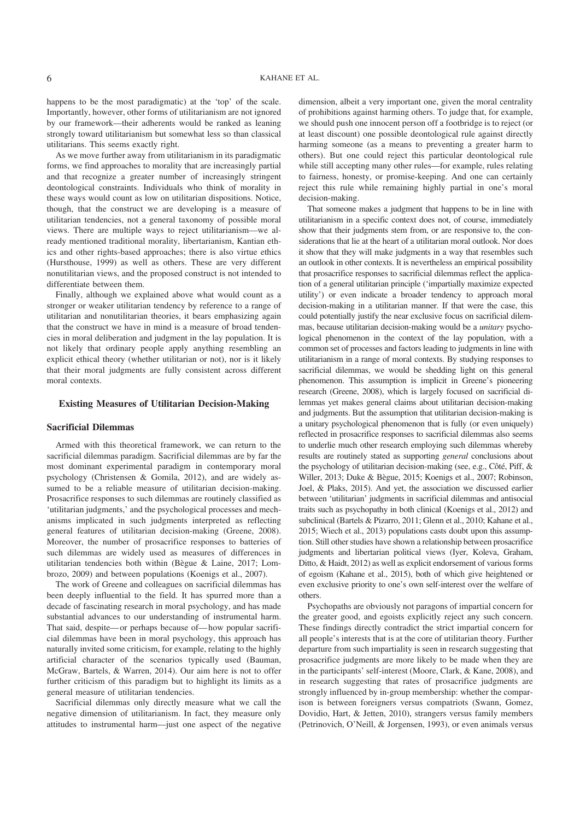happens to be the most paradigmatic) at the 'top' of the scale. Importantly, however, other forms of utilitarianism are not ignored by our framework—their adherents would be ranked as leaning strongly toward utilitarianism but somewhat less so than classical utilitarians. This seems exactly right.

As we move further away from utilitarianism in its paradigmatic forms, we find approaches to morality that are increasingly partial and that recognize a greater number of increasingly stringent deontological constraints. Individuals who think of morality in these ways would count as low on utilitarian dispositions. Notice, though, that the construct we are developing is a measure of utilitarian tendencies, not a general taxonomy of possible moral views. There are multiple ways to reject utilitarianism—we already mentioned traditional morality, libertarianism, Kantian ethics and other rights-based approaches; there is also virtue ethics (Hursthouse, 1999) as well as others. These are very different nonutilitarian views, and the proposed construct is not intended to differentiate between them.

Finally, although we explained above what would count as a stronger or weaker utilitarian tendency by reference to a range of utilitarian and nonutilitarian theories, it bears emphasizing again that the construct we have in mind is a measure of broad tendencies in moral deliberation and judgment in the lay population. It is not likely that ordinary people apply anything resembling an explicit ethical theory (whether utilitarian or not), nor is it likely that their moral judgments are fully consistent across different moral contexts.

#### **Existing Measures of Utilitarian Decision-Making**

#### **Sacrificial Dilemmas**

Armed with this theoretical framework, we can return to the sacrificial dilemmas paradigm. Sacrificial dilemmas are by far the most dominant experimental paradigm in contemporary moral psychology (Christensen & Gomila, 2012), and are widely assumed to be a reliable measure of utilitarian decision-making. Prosacrifice responses to such dilemmas are routinely classified as 'utilitarian judgments,' and the psychological processes and mechanisms implicated in such judgments interpreted as reflecting general features of utilitarian decision-making (Greene, 2008). Moreover, the number of prosacrifice responses to batteries of such dilemmas are widely used as measures of differences in utilitarian tendencies both within (Bègue & Laine, 2017; Lombrozo, 2009) and between populations (Koenigs et al., 2007).

The work of Greene and colleagues on sacrificial dilemmas has been deeply influential to the field. It has spurred more than a decade of fascinating research in moral psychology, and has made substantial advances to our understanding of instrumental harm. That said, despite—or perhaps because of—how popular sacrificial dilemmas have been in moral psychology, this approach has naturally invited some criticism, for example, relating to the highly artificial character of the scenarios typically used (Bauman, McGraw, Bartels, & Warren, 2014). Our aim here is not to offer further criticism of this paradigm but to highlight its limits as a general measure of utilitarian tendencies.

Sacrificial dilemmas only directly measure what we call the negative dimension of utilitarianism. In fact, they measure only attitudes to instrumental harm—just one aspect of the negative dimension, albeit a very important one, given the moral centrality of prohibitions against harming others. To judge that, for example, we should push one innocent person off a footbridge is to reject (or at least discount) one possible deontological rule against directly harming someone (as a means to preventing a greater harm to others). But one could reject this particular deontological rule while still accepting many other rules—for example, rules relating to fairness, honesty, or promise-keeping. And one can certainly reject this rule while remaining highly partial in one's moral decision-making.

That someone makes a judgment that happens to be in line with utilitarianism in a specific context does not, of course, immediately show that their judgments stem from, or are responsive to, the considerations that lie at the heart of a utilitarian moral outlook. Nor does it show that they will make judgments in a way that resembles such an outlook in other contexts. It is nevertheless an empirical possibility that prosacrifice responses to sacrificial dilemmas reflect the application of a general utilitarian principle ('impartially maximize expected utility') or even indicate a broader tendency to approach moral decision-making in a utilitarian manner. If that were the case, this could potentially justify the near exclusive focus on sacrificial dilemmas, because utilitarian decision-making would be a *unitary* psychological phenomenon in the context of the lay population, with a common set of processes and factors leading to judgments in line with utilitarianism in a range of moral contexts. By studying responses to sacrificial dilemmas, we would be shedding light on this general phenomenon. This assumption is implicit in Greene's pioneering research (Greene, 2008), which is largely focused on sacrificial dilemmas yet makes general claims about utilitarian decision-making and judgments. But the assumption that utilitarian decision-making is a unitary psychological phenomenon that is fully (or even uniquely) reflected in prosacrifice responses to sacrificial dilemmas also seems to underlie much other research employing such dilemmas whereby results are routinely stated as supporting *general* conclusions about the psychology of utilitarian decision-making (see, e.g., Côté, Piff, & Willer, 2013; Duke & Bègue, 2015; Koenigs et al., 2007; Robinson, Joel, & Plaks, 2015). And yet, the association we discussed earlier between 'utilitarian' judgments in sacrificial dilemmas and antisocial traits such as psychopathy in both clinical (Koenigs et al., 2012) and subclinical (Bartels & Pizarro, 2011; Glenn et al., 2010; Kahane et al., 2015; Wiech et al., 2013) populations casts doubt upon this assumption. Still other studies have shown a relationship between prosacrifice judgments and libertarian political views (Iyer, Koleva, Graham, Ditto, & Haidt, 2012) as well as explicit endorsement of various forms of egoism (Kahane et al., 2015), both of which give heightened or even exclusive priority to one's own self-interest over the welfare of others.

Psychopaths are obviously not paragons of impartial concern for the greater good, and egoists explicitly reject any such concern. These findings directly contradict the strict impartial concern for all people's interests that is at the core of utilitarian theory. Further departure from such impartiality is seen in research suggesting that prosacrifice judgments are more likely to be made when they are in the participants' self-interest (Moore, Clark, & Kane, 2008), and in research suggesting that rates of prosacrifice judgments are strongly influenced by in-group membership: whether the comparison is between foreigners versus compatriots (Swann, Gomez, Dovidio, Hart, & Jetten, 2010), strangers versus family members (Petrinovich, O'Neill, & Jorgensen, 1993), or even animals versus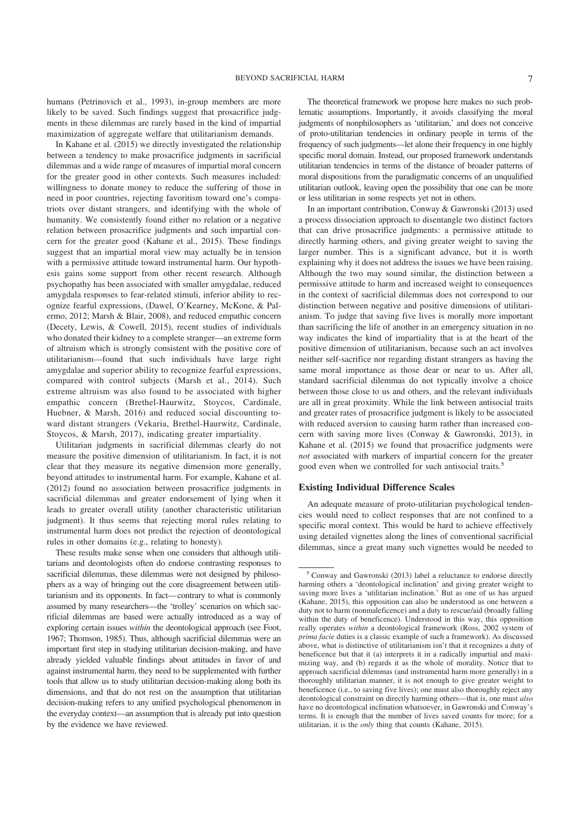humans (Petrinovich et al., 1993), in-group members are more likely to be saved. Such findings suggest that prosacrifice judgments in these dilemmas are rarely based in the kind of impartial maximization of aggregate welfare that utilitarianism demands.

In Kahane et al. (2015) we directly investigated the relationship between a tendency to make prosacrifice judgments in sacrificial dilemmas and a wide range of measures of impartial moral concern for the greater good in other contexts. Such measures included: willingness to donate money to reduce the suffering of those in need in poor countries, rejecting favoritism toward one's compatriots over distant strangers, and identifying with the whole of humanity. We consistently found either no relation or a negative relation between prosacrifice judgments and such impartial concern for the greater good (Kahane et al., 2015). These findings suggest that an impartial moral view may actually be in tension with a permissive attitude toward instrumental harm. Our hypothesis gains some support from other recent research. Although psychopathy has been associated with smaller amygdalae, reduced amygdala responses to fear-related stimuli, inferior ability to recognize fearful expressions, (Dawel, O'Kearney, McKone, & Palermo, 2012; Marsh & Blair, 2008), and reduced empathic concern (Decety, Lewis, & Cowell, 2015), recent studies of individuals who donated their kidney to a complete stranger—an extreme form of altruism which is strongly consistent with the positive core of utilitarianism—found that such individuals have large right amygdalae and superior ability to recognize fearful expressions, compared with control subjects (Marsh et al., 2014). Such extreme altruism was also found to be associated with higher empathic concern (Brethel-Haurwitz, Stoycos, Cardinale, Huebner, & Marsh, 2016) and reduced social discounting toward distant strangers (Vekaria, Brethel-Haurwitz, Cardinale, Stoycos, & Marsh, 2017), indicating greater impartiality.

Utilitarian judgments in sacrificial dilemmas clearly do not measure the positive dimension of utilitarianism. In fact, it is not clear that they measure its negative dimension more generally, beyond attitudes to instrumental harm. For example, Kahane et al. (2012) found no association between prosacrifice judgments in sacrificial dilemmas and greater endorsement of lying when it leads to greater overall utility (another characteristic utilitarian judgment). It thus seems that rejecting moral rules relating to instrumental harm does not predict the rejection of deontological rules in other domains (e.g., relating to honesty).

These results make sense when one considers that although utilitarians and deontologists often do endorse contrasting responses to sacrificial dilemmas, these dilemmas were not designed by philosophers as a way of bringing out the core disagreement between utilitarianism and its opponents. In fact—contrary to what is commonly assumed by many researchers—the 'trolley' scenarios on which sacrificial dilemmas are based were actually introduced as a way of exploring certain issues *within* the deontological approach (see Foot, 1967; Thomson, 1985). Thus, although sacrificial dilemmas were an important first step in studying utilitarian decision-making, and have already yielded valuable findings about attitudes in favor of and against instrumental harm, they need to be supplemented with further tools that allow us to study utilitarian decision-making along both its dimensions, and that do not rest on the assumption that utilitarian decision-making refers to any unified psychological phenomenon in the everyday context—an assumption that is already put into question by the evidence we have reviewed.

The theoretical framework we propose here makes no such problematic assumptions. Importantly, it avoids classifying the moral judgments of nonphilosophers as 'utilitarian,' and does not conceive of proto-utilitarian tendencies in ordinary people in terms of the frequency of such judgments—let alone their frequency in one highly specific moral domain. Instead, our proposed framework understands utilitarian tendencies in terms of the distance of broader patterns of moral dispositions from the paradigmatic concerns of an unqualified utilitarian outlook, leaving open the possibility that one can be more or less utilitarian in some respects yet not in others.

In an important contribution, Conway & Gawronski (2013) used a process dissociation approach to disentangle two distinct factors that can drive prosacrifice judgments: a permissive attitude to directly harming others, and giving greater weight to saving the larger number. This is a significant advance, but it is worth explaining why it does not address the issues we have been raising. Although the two may sound similar, the distinction between a permissive attitude to harm and increased weight to consequences in the context of sacrificial dilemmas does not correspond to our distinction between negative and positive dimensions of utilitarianism. To judge that saving five lives is morally more important than sacrificing the life of another in an emergency situation in no way indicates the kind of impartiality that is at the heart of the positive dimension of utilitarianism, because such an act involves neither self-sacrifice nor regarding distant strangers as having the same moral importance as those dear or near to us. After all, standard sacrificial dilemmas do not typically involve a choice between those close to us and others, and the relevant individuals are all in great proximity. While the link between antisocial traits and greater rates of prosacrifice judgment is likely to be associated with reduced aversion to causing harm rather than increased concern with saving more lives (Conway & Gawronski, 2013), in Kahane et al. (2015) we found that prosacrifice judgments were *not* associated with markers of impartial concern for the greater good even when we controlled for such antisocial traits.<sup>5</sup>

#### **Existing Individual Difference Scales**

An adequate measure of proto-utilitarian psychological tendencies would need to collect responses that are not confined to a specific moral context. This would be hard to achieve effectively using detailed vignettes along the lines of conventional sacrificial dilemmas, since a great many such vignettes would be needed to

 $5$  Conway and Gawronski (2013) label a reluctance to endorse directly harming others a 'deontological inclination' and giving greater weight to saving more lives a 'utilitarian inclination.' But as one of us has argued (Kahane, 2015), this opposition can also be understood as one between a duty not to harm (nonmaleficence) and a duty to rescue/aid (broadly falling within the duty of beneficence). Understood in this way, this opposition really operates *within* a deontological framework (Ross, 2002 system of *prima facie* duties is a classic example of such a framework). As discussed above, what is distinctive of utilitarianism isn't that it recognizes a duty of beneficence but that it (a) interprets it in a radically impartial and maximizing way, and (b) regards it as the whole of morality. Notice that to approach sacrificial dilemmas (and instrumental harm more generally) in a thoroughly utilitarian manner, it is not enough to give greater weight to beneficence (i.e., to saving five lives); one must also thoroughly reject any deontological constraint on directly harming others—that is, one must *also* have no deontological inclination whatsoever, in Gawronski and Conway's terms. It is enough that the number of lives saved counts for more; for a utilitarian, it is the *only* thing that counts (Kahane, 2015).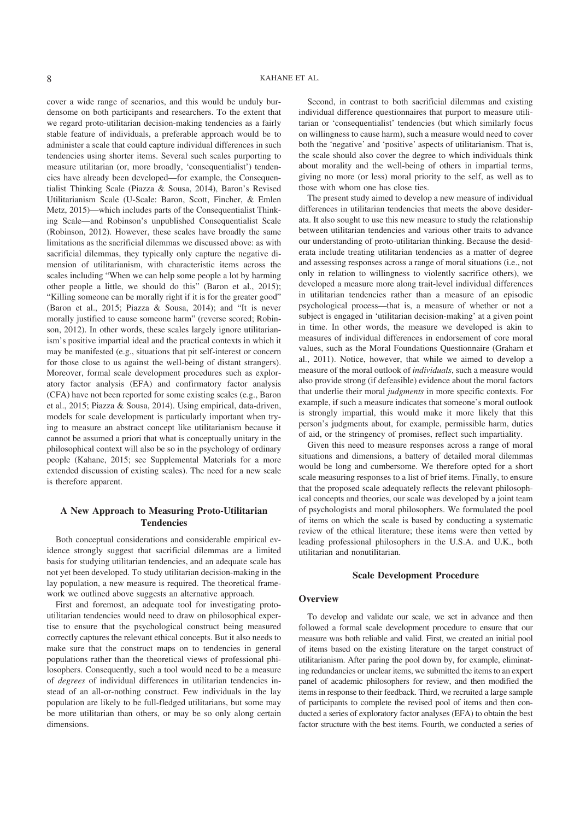cover a wide range of scenarios, and this would be unduly burdensome on both participants and researchers. To the extent that we regard proto-utilitarian decision-making tendencies as a fairly stable feature of individuals, a preferable approach would be to administer a scale that could capture individual differences in such tendencies using shorter items. Several such scales purporting to measure utilitarian (or, more broadly, 'consequentialist') tendencies have already been developed—for example, the Consequentialist Thinking Scale (Piazza & Sousa, 2014), Baron's Revised Utilitarianism Scale (U-Scale: Baron, Scott, Fincher, & Emlen Metz, 2015)—which includes parts of the Consequentialist Thinking Scale—and Robinson's unpublished Consequentialist Scale (Robinson, 2012). However, these scales have broadly the same limitations as the sacrificial dilemmas we discussed above: as with sacrificial dilemmas, they typically only capture the negative dimension of utilitarianism, with characteristic items across the scales including "When we can help some people a lot by harming other people a little, we should do this" (Baron et al., 2015); "Killing someone can be morally right if it is for the greater good" (Baron et al., 2015; Piazza & Sousa, 2014); and "It is never morally justified to cause someone harm" (reverse scored; Robinson, 2012). In other words, these scales largely ignore utilitarianism's positive impartial ideal and the practical contexts in which it may be manifested (e.g., situations that pit self-interest or concern for those close to us against the well-being of distant strangers). Moreover, formal scale development procedures such as exploratory factor analysis (EFA) and confirmatory factor analysis (CFA) have not been reported for some existing scales (e.g., Baron et al., 2015; Piazza & Sousa, 2014). Using empirical, data-driven, models for scale development is particularly important when trying to measure an abstract concept like utilitarianism because it cannot be assumed a priori that what is conceptually unitary in the philosophical context will also be so in the psychology of ordinary people (Kahane, 2015; see Supplemental Materials for a more extended discussion of existing scales). The need for a new scale is therefore apparent.

#### **A New Approach to Measuring Proto-Utilitarian Tendencies**

Both conceptual considerations and considerable empirical evidence strongly suggest that sacrificial dilemmas are a limited basis for studying utilitarian tendencies, and an adequate scale has not yet been developed. To study utilitarian decision-making in the lay population, a new measure is required. The theoretical framework we outlined above suggests an alternative approach.

First and foremost, an adequate tool for investigating protoutilitarian tendencies would need to draw on philosophical expertise to ensure that the psychological construct being measured correctly captures the relevant ethical concepts. But it also needs to make sure that the construct maps on to tendencies in general populations rather than the theoretical views of professional philosophers. Consequently, such a tool would need to be a measure of *degrees* of individual differences in utilitarian tendencies instead of an all-or-nothing construct. Few individuals in the lay population are likely to be full-fledged utilitarians, but some may be more utilitarian than others, or may be so only along certain dimensions.

Second, in contrast to both sacrificial dilemmas and existing individual difference questionnaires that purport to measure utilitarian or 'consequentialist' tendencies (but which similarly focus on willingness to cause harm), such a measure would need to cover both the 'negative' and 'positive' aspects of utilitarianism. That is, the scale should also cover the degree to which individuals think about morality and the well-being of others in impartial terms, giving no more (or less) moral priority to the self, as well as to those with whom one has close ties.

The present study aimed to develop a new measure of individual differences in utilitarian tendencies that meets the above desiderata. It also sought to use this new measure to study the relationship between utilitarian tendencies and various other traits to advance our understanding of proto-utilitarian thinking. Because the desiderata include treating utilitarian tendencies as a matter of degree and assessing responses across a range of moral situations (i.e., not only in relation to willingness to violently sacrifice others), we developed a measure more along trait-level individual differences in utilitarian tendencies rather than a measure of an episodic psychological process—that is, a measure of whether or not a subject is engaged in 'utilitarian decision-making' at a given point in time. In other words, the measure we developed is akin to measures of individual differences in endorsement of core moral values, such as the Moral Foundations Questionnaire (Graham et al., 2011). Notice, however, that while we aimed to develop a measure of the moral outlook of *individuals*, such a measure would also provide strong (if defeasible) evidence about the moral factors that underlie their moral *judgments* in more specific contexts. For example, if such a measure indicates that someone's moral outlook is strongly impartial, this would make it more likely that this person's judgments about, for example, permissible harm, duties of aid, or the stringency of promises, reflect such impartiality.

Given this need to measure responses across a range of moral situations and dimensions, a battery of detailed moral dilemmas would be long and cumbersome. We therefore opted for a short scale measuring responses to a list of brief items. Finally, to ensure that the proposed scale adequately reflects the relevant philosophical concepts and theories, our scale was developed by a joint team of psychologists and moral philosophers. We formulated the pool of items on which the scale is based by conducting a systematic review of the ethical literature; these items were then vetted by leading professional philosophers in the U.S.A. and U.K., both utilitarian and nonutilitarian.

#### **Scale Development Procedure**

#### **Overview**

To develop and validate our scale, we set in advance and then followed a formal scale development procedure to ensure that our measure was both reliable and valid. First, we created an initial pool of items based on the existing literature on the target construct of utilitarianism. After paring the pool down by, for example, eliminating redundancies or unclear items, we submitted the items to an expert panel of academic philosophers for review, and then modified the items in response to their feedback. Third, we recruited a large sample of participants to complete the revised pool of items and then conducted a series of exploratory factor analyses (EFA) to obtain the best factor structure with the best items. Fourth, we conducted a series of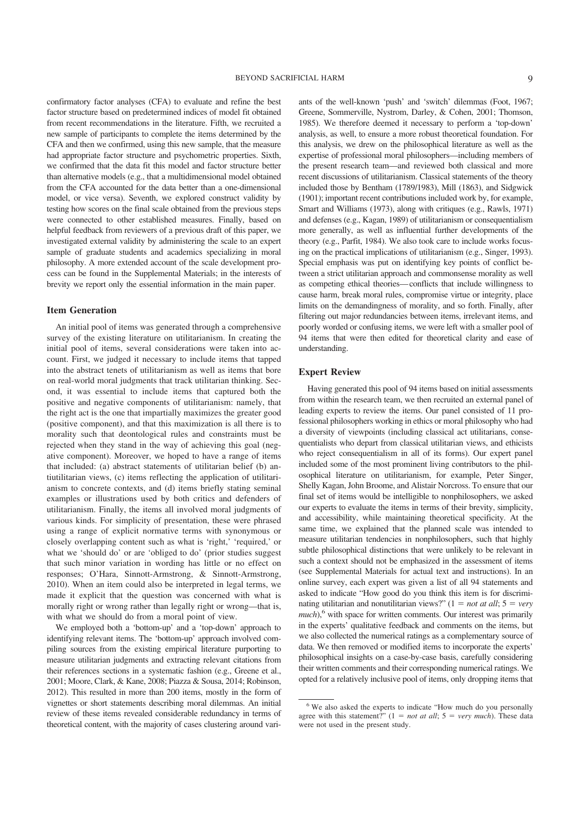confirmatory factor analyses (CFA) to evaluate and refine the best factor structure based on predetermined indices of model fit obtained from recent recommendations in the literature. Fifth, we recruited a new sample of participants to complete the items determined by the CFA and then we confirmed, using this new sample, that the measure had appropriate factor structure and psychometric properties. Sixth, we confirmed that the data fit this model and factor structure better than alternative models (e.g., that a multidimensional model obtained from the CFA accounted for the data better than a one-dimensional model, or vice versa). Seventh, we explored construct validity by testing how scores on the final scale obtained from the previous steps were connected to other established measures. Finally, based on helpful feedback from reviewers of a previous draft of this paper, we investigated external validity by administering the scale to an expert sample of graduate students and academics specializing in moral philosophy. A more extended account of the scale development process can be found in the Supplemental Materials; in the interests of brevity we report only the essential information in the main paper.

#### **Item Generation**

An initial pool of items was generated through a comprehensive survey of the existing literature on utilitarianism. In creating the initial pool of items, several considerations were taken into account. First, we judged it necessary to include items that tapped into the abstract tenets of utilitarianism as well as items that bore on real-world moral judgments that track utilitarian thinking. Second, it was essential to include items that captured both the positive and negative components of utilitarianism: namely, that the right act is the one that impartially maximizes the greater good (positive component), and that this maximization is all there is to morality such that deontological rules and constraints must be rejected when they stand in the way of achieving this goal (negative component). Moreover, we hoped to have a range of items that included: (a) abstract statements of utilitarian belief (b) antiutilitarian views, (c) items reflecting the application of utilitarianism to concrete contexts, and (d) items briefly stating seminal examples or illustrations used by both critics and defenders of utilitarianism. Finally, the items all involved moral judgments of various kinds. For simplicity of presentation, these were phrased using a range of explicit normative terms with synonymous or closely overlapping content such as what is 'right,' 'required,' or what we 'should do' or are 'obliged to do' (prior studies suggest that such minor variation in wording has little or no effect on responses; O'Hara, Sinnott-Armstrong, & Sinnott-Armstrong, 2010). When an item could also be interpreted in legal terms, we made it explicit that the question was concerned with what is morally right or wrong rather than legally right or wrong—that is, with what we should do from a moral point of view.

We employed both a 'bottom-up' and a 'top-down' approach to identifying relevant items. The 'bottom-up' approach involved compiling sources from the existing empirical literature purporting to measure utilitarian judgments and extracting relevant citations from their references sections in a systematic fashion (e.g., Greene et al., 2001; Moore, Clark, & Kane, 2008; Piazza & Sousa, 2014; Robinson, 2012). This resulted in more than 200 items, mostly in the form of vignettes or short statements describing moral dilemmas. An initial review of these items revealed considerable redundancy in terms of theoretical content, with the majority of cases clustering around variants of the well-known 'push' and 'switch' dilemmas (Foot, 1967; Greene, Sommerville, Nystrom, Darley, & Cohen, 2001; Thomson, 1985). We therefore deemed it necessary to perform a 'top-down' analysis, as well, to ensure a more robust theoretical foundation. For this analysis, we drew on the philosophical literature as well as the expertise of professional moral philosophers—including members of the present research team—and reviewed both classical and more recent discussions of utilitarianism. Classical statements of the theory included those by Bentham (1789/1983), Mill (1863), and Sidgwick (1901); important recent contributions included work by, for example, Smart and Williams (1973), along with critiques (e.g., Rawls, 1971) and defenses (e.g., Kagan, 1989) of utilitarianism or consequentialism more generally, as well as influential further developments of the theory (e.g., Parfit, 1984). We also took care to include works focusing on the practical implications of utilitarianism (e.g., Singer, 1993). Special emphasis was put on identifying key points of conflict between a strict utilitarian approach and commonsense morality as well as competing ethical theories—conflicts that include willingness to cause harm, break moral rules, compromise virtue or integrity, place limits on the demandingness of morality, and so forth. Finally, after filtering out major redundancies between items, irrelevant items, and poorly worded or confusing items, we were left with a smaller pool of 94 items that were then edited for theoretical clarity and ease of understanding.

#### **Expert Review**

Having generated this pool of 94 items based on initial assessments from within the research team, we then recruited an external panel of leading experts to review the items. Our panel consisted of 11 professional philosophers working in ethics or moral philosophy who had a diversity of viewpoints (including classical act utilitarians, consequentialists who depart from classical utilitarian views, and ethicists who reject consequentialism in all of its forms). Our expert panel included some of the most prominent living contributors to the philosophical literature on utilitarianism, for example, Peter Singer, Shelly Kagan, John Broome, and Alistair Norcross. To ensure that our final set of items would be intelligible to nonphilosophers, we asked our experts to evaluate the items in terms of their brevity, simplicity, and accessibility, while maintaining theoretical specificity. At the same time, we explained that the planned scale was intended to measure utilitarian tendencies in nonphilosophers, such that highly subtle philosophical distinctions that were unlikely to be relevant in such a context should not be emphasized in the assessment of items (see Supplemental Materials for actual text and instructions). In an online survey, each expert was given a list of all 94 statements and asked to indicate "How good do you think this item is for discriminating utilitarian and nonutilitarian views?"  $(1 = not at all; 5 = very$ *much*),<sup>6</sup> with space for written comments. Our interest was primarily in the experts' qualitative feedback and comments on the items, but we also collected the numerical ratings as a complementary source of data. We then removed or modified items to incorporate the experts' philosophical insights on a case-by-case basis, carefully considering their written comments and their corresponding numerical ratings. We opted for a relatively inclusive pool of items, only dropping items that

<sup>6</sup> We also asked the experts to indicate "How much do you personally agree with this statement?"  $(1 = not at all; 5 = very much)$ . These data were not used in the present study.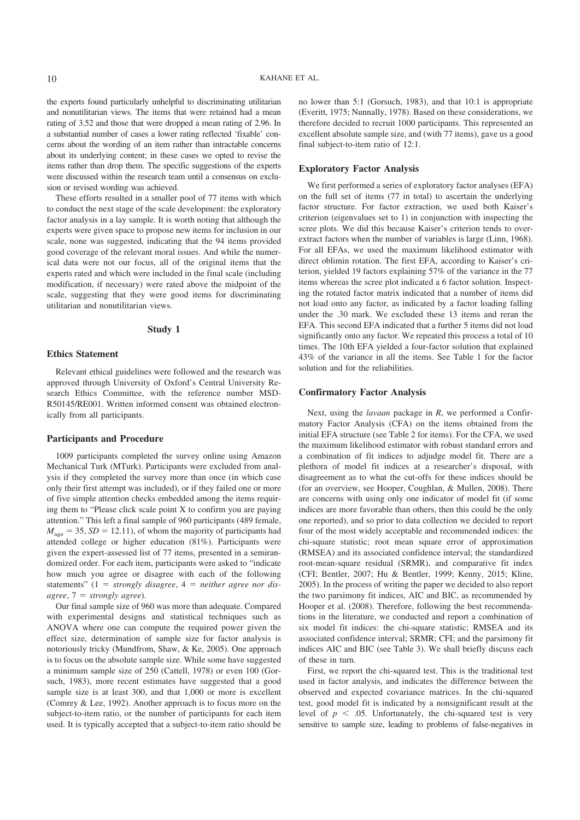the experts found particularly unhelpful to discriminating utilitarian and nonutilitarian views. The items that were retained had a mean rating of 3.52 and those that were dropped a mean rating of 2.96. In a substantial number of cases a lower rating reflected 'fixable' concerns about the wording of an item rather than intractable concerns about its underlying content; in these cases we opted to revise the items rather than drop them. The specific suggestions of the experts were discussed within the research team until a consensus on exclusion or revised wording was achieved.

These efforts resulted in a smaller pool of 77 items with which to conduct the next stage of the scale development: the exploratory factor analysis in a lay sample. It is worth noting that although the experts were given space to propose new items for inclusion in our scale, none was suggested, indicating that the 94 items provided good coverage of the relevant moral issues. And while the numerical data were not our focus, all of the original items that the experts rated and which were included in the final scale (including modification, if necessary) were rated above the midpoint of the scale, suggesting that they were good items for discriminating utilitarian and nonutilitarian views.

#### **Study 1**

#### **Ethics Statement**

Relevant ethical guidelines were followed and the research was approved through University of Oxford's Central University Research Ethics Committee, with the reference number MSD-R50145/RE001. Written informed consent was obtained electronically from all participants.

#### **Participants and Procedure**

1009 participants completed the survey online using Amazon Mechanical Turk (MTurk). Participants were excluded from analysis if they completed the survey more than once (in which case only their first attempt was included), or if they failed one or more of five simple attention checks embedded among the items requiring them to "Please click scale point X to confirm you are paying attention." This left a final sample of 960 participants (489 female,  $M_{\text{age}} = 35$ ,  $SD = 12.11$ ), of whom the majority of participants had attended college or higher education (81%). Participants were given the expert-assessed list of 77 items, presented in a semirandomized order. For each item, participants were asked to "indicate how much you agree or disagree with each of the following statements"  $(1 = strongly disagree, 4 = neither agree nor dis$  $agree, 7 = strongly agree.$ 

Our final sample size of 960 was more than adequate. Compared with experimental designs and statistical techniques such as ANOVA where one can compute the required power given the effect size, determination of sample size for factor analysis is notoriously tricky (Mundfrom, Shaw, & Ke, 2005). One approach is to focus on the absolute sample size. While some have suggested a minimum sample size of 250 (Cattell, 1978) or even 100 (Gorsuch, 1983), more recent estimates have suggested that a good sample size is at least 300, and that 1,000 or more is excellent (Comrey & Lee, 1992). Another approach is to focus more on the subject-to-item ratio, or the number of participants for each item used. It is typically accepted that a subject-to-item ratio should be

no lower than 5:1 (Gorsuch, 1983), and that 10:1 is appropriate (Everitt, 1975; Nunnally, 1978). Based on these considerations, we therefore decided to recruit 1000 participants. This represented an excellent absolute sample size, and (with 77 items), gave us a good final subject-to-item ratio of 12:1.

#### **Exploratory Factor Analysis**

We first performed a series of exploratory factor analyses (EFA) on the full set of items (77 in total) to ascertain the underlying factor structure. For factor extraction, we used both Kaiser's criterion (eigenvalues set to 1) in conjunction with inspecting the scree plots. We did this because Kaiser's criterion tends to overextract factors when the number of variables is large (Linn, 1968). For all EFAs, we used the maximum likelihood estimator with direct oblimin rotation. The first EFA, according to Kaiser's criterion, yielded 19 factors explaining 57% of the variance in the 77 items whereas the scree plot indicated a 6 factor solution. Inspecting the rotated factor matrix indicated that a number of items did not load onto any factor, as indicated by a factor loading falling under the .30 mark. We excluded these 13 items and reran the EFA. This second EFA indicated that a further 5 items did not load significantly onto any factor. We repeated this process a total of 10 times. The 10th EFA yielded a four-factor solution that explained 43% of the variance in all the items. See Table 1 for the factor solution and for the reliabilities.

#### **Confirmatory Factor Analysis**

Next, using the *lavaan* package in *R*, we performed a Confirmatory Factor Analysis (CFA) on the items obtained from the initial EFA structure (see Table 2 for items). For the CFA, we used the maximum likelihood estimator with robust standard errors and a combination of fit indices to adjudge model fit. There are a plethora of model fit indices at a researcher's disposal, with disagreement as to what the cut-offs for these indices should be (for an overview, see Hooper, Coughlan, & Mullen, 2008). There are concerns with using only one indicator of model fit (if some indices are more favorable than others, then this could be the only one reported), and so prior to data collection we decided to report four of the most widely acceptable and recommended indices: the chi-square statistic; root mean square error of approximation (RMSEA) and its associated confidence interval; the standardized root-mean-square residual (SRMR), and comparative fit index (CFI; Bentler, 2007; Hu & Bentler, 1999; Kenny, 2015; Kline, 2005). In the process of writing the paper we decided to also report the two parsimony fit indices, AIC and BIC, as recommended by Hooper et al. (2008). Therefore, following the best recommendations in the literature, we conducted and report a combination of six model fit indices: the chi-square statistic; RMSEA and its associated confidence interval; SRMR; CFI; and the parsimony fit indices AIC and BIC (see Table 3). We shall briefly discuss each of these in turn.

First, we report the chi-squared test. This is the traditional test used in factor analysis, and indicates the difference between the observed and expected covariance matrices. In the chi-squared test, good model fit is indicated by a nonsignificant result at the level of  $p < .05$ . Unfortunately, the chi-squared test is very sensitive to sample size, leading to problems of false-negatives in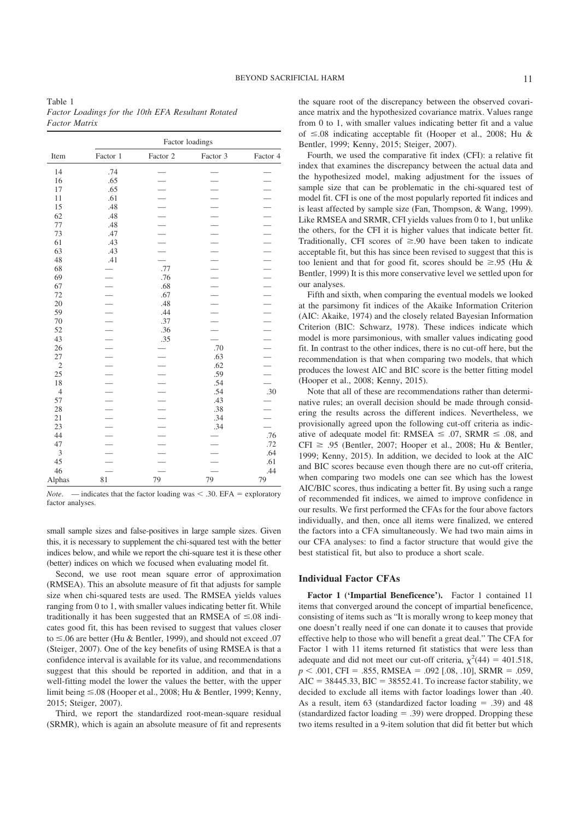Table 1 *Factor Loadings for the 10th EFA Resultant Rotated Factor Matrix*

|                |                          |          | Factor loadings          |                          |
|----------------|--------------------------|----------|--------------------------|--------------------------|
| Item           | Factor 1                 | Factor 2 | Factor 3                 | Factor 4                 |
| 14             | .74                      |          |                          |                          |
| 16             | .65                      |          |                          |                          |
| 17             | .65                      |          |                          |                          |
| 11             | .61                      |          |                          | $\overline{\phantom{0}}$ |
| 15             | .48                      |          |                          | $\overline{\phantom{0}}$ |
| 62             | .48                      |          |                          | $\overline{\phantom{0}}$ |
| 77             | .48                      |          |                          | $\overline{\phantom{0}}$ |
| 73             | .47                      |          | $\overline{\phantom{0}}$ | $\overline{\phantom{0}}$ |
| 61             | .43                      |          |                          | $\overline{\phantom{0}}$ |
| 63             | .43                      |          |                          | $\overline{\phantom{0}}$ |
| 48             | .41                      |          | $\overline{\phantom{0}}$ | $\equiv$                 |
| 68             |                          | .77      | $\overline{\phantom{0}}$ |                          |
| 69             |                          | .76      | $\overline{\phantom{0}}$ | $\equiv$                 |
| 67             |                          | .68      | $\overline{\phantom{0}}$ | $\overline{\phantom{0}}$ |
| 72             |                          | .67      | $\overline{\phantom{0}}$ | $      -$                |
| 20             | $\overline{\phantom{0}}$ | .48      | $\overline{\phantom{0}}$ |                          |
| 59             |                          | .44      |                          |                          |
| 70             |                          | .37      |                          |                          |
| 52             |                          | .36      |                          |                          |
| 43             | $\overline{\phantom{0}}$ | .35      |                          |                          |
| 26             | $\overline{\phantom{0}}$ |          | .70                      | $\overline{\phantom{0}}$ |
| 27             |                          |          | .63                      | $\overline{\phantom{0}}$ |
| $\overline{2}$ |                          |          | .62                      |                          |
| 25             |                          |          | .59                      |                          |
| 18             | $\overline{\phantom{0}}$ |          | .54                      |                          |
| $\overline{4}$ |                          |          | .54                      | .30                      |
| 57             | $\overline{\phantom{a}}$ |          | .43                      |                          |
| 28             | $\overline{\phantom{a}}$ |          | .38                      |                          |
| $21\,$         | $\overline{\phantom{0}}$ |          | .34                      |                          |
| 23             | $\overline{\phantom{0}}$ |          | .34                      |                          |
| 44             | $\overline{\phantom{0}}$ |          |                          | .76                      |
| 47             |                          |          |                          | .72                      |
| 3              |                          |          |                          | .64                      |
| 45             |                          |          |                          | .61                      |
| 46             |                          |          |                          | .44                      |
| Alphas         | 81                       | 79       | 79                       | 79                       |

*Note.* — indicates that the factor loading was  $\lt$  .30. EFA = exploratory factor analyses.

small sample sizes and false-positives in large sample sizes. Given this, it is necessary to supplement the chi-squared test with the better indices below, and while we report the chi-square test it is these other (better) indices on which we focused when evaluating model fit.

Second, we use root mean square error of approximation (RMSEA). This an absolute measure of fit that adjusts for sample size when chi-squared tests are used. The RMSEA yields values ranging from 0 to 1, with smaller values indicating better fit. While traditionally it has been suggested that an RMSEA of  $\leq 0.08$  indicates good fit, this has been revised to suggest that values closer to  $\leq$ .06 are better (Hu & Bentler, 1999), and should not exceed .07 (Steiger, 2007). One of the key benefits of using RMSEA is that a confidence interval is available for its value, and recommendations suggest that this should be reported in addition, and that in a well-fitting model the lower the values the better, with the upper limit being ≤.08 (Hooper et al., 2008; Hu & Bentler, 1999; Kenny, 2015; Steiger, 2007).

Third, we report the standardized root-mean-square residual (SRMR), which is again an absolute measure of fit and represents the square root of the discrepancy between the observed covariance matrix and the hypothesized covariance matrix. Values range from 0 to 1, with smaller values indicating better fit and a value of  $\leq 0.08$  indicating acceptable fit (Hooper et al., 2008; Hu & Bentler, 1999; Kenny, 2015; Steiger, 2007).

Fourth, we used the comparative fit index (CFI): a relative fit index that examines the discrepancy between the actual data and the hypothesized model, making adjustment for the issues of sample size that can be problematic in the chi-squared test of model fit. CFI is one of the most popularly reported fit indices and is least affected by sample size (Fan, Thompson, & Wang, 1999). Like RMSEA and SRMR, CFI yields values from 0 to 1, but unlike the others, for the CFI it is higher values that indicate better fit. Traditionally, CFI scores of  $\geq 90$  have been taken to indicate acceptable fit, but this has since been revised to suggest that this is too lenient and that for good fit, scores should be  $\geq .95$  (Hu & Bentler, 1999) It is this more conservative level we settled upon for our analyses.

Fifth and sixth, when comparing the eventual models we looked at the parsimony fit indices of the Akaike Information Criterion (AIC: Akaike, 1974) and the closely related Bayesian Information Criterion (BIC: Schwarz, 1978). These indices indicate which model is more parsimonious, with smaller values indicating good fit. In contrast to the other indices, there is no cut-off here, but the recommendation is that when comparing two models, that which produces the lowest AIC and BIC score is the better fitting model (Hooper et al., 2008; Kenny, 2015).

Note that all of these are recommendations rather than determinative rules; an overall decision should be made through considering the results across the different indices. Nevertheless, we provisionally agreed upon the following cut-off criteria as indicative of adequate model fit: RMSEA  $\leq$  .07, SRMR  $\leq$  .08, and  $CFI \ge .95$  (Bentler, 2007; Hooper et al., 2008; Hu & Bentler, 1999; Kenny, 2015). In addition, we decided to look at the AIC and BIC scores because even though there are no cut-off criteria, when comparing two models one can see which has the lowest AIC/BIC scores, thus indicating a better fit. By using such a range of recommended fit indices, we aimed to improve confidence in our results. We first performed the CFAs for the four above factors individually, and then, once all items were finalized, we entered the factors into a CFA simultaneously. We had two main aims in our CFA analyses: to find a factor structure that would give the best statistical fit, but also to produce a short scale.

#### **Individual Factor CFAs**

**Factor 1 ('Impartial Beneficence').** Factor 1 contained 11 items that converged around the concept of impartial beneficence, consisting of items such as "It is morally wrong to keep money that one doesn't really need if one can donate it to causes that provide effective help to those who will benefit a great deal." The CFA for Factor 1 with 11 items returned fit statistics that were less than adequate and did not meet our cut-off criteria,  $\chi^2(44) = 401.518$ ,  $p < .001$ , CFI = .855, RMSEA = .092 [.08, .10], SRMR = .059,  $AIC = 38445.33$ ,  $BIC = 38552.41$ . To increase factor stability, we decided to exclude all items with factor loadings lower than .40. As a result, item 63 (standardized factor loading  $= .39$ ) and 48 (standardized factor loading  $= .39$ ) were dropped. Dropping these two items resulted in a 9-item solution that did fit better but which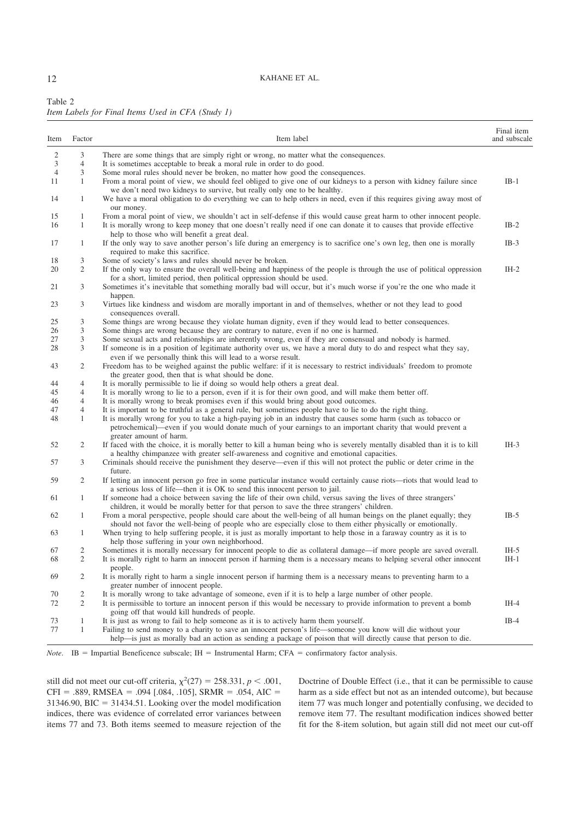12 KAHANE ET AL.

| Table 2 |                                                   |  |  |  |
|---------|---------------------------------------------------|--|--|--|
|         | Item Labels for Final Items Used in CFA (Study 1) |  |  |  |

| Item           | Factor         | Item label                                                                                                                                                                                                                                                                                                                                                           | Final item<br>and subscale |
|----------------|----------------|----------------------------------------------------------------------------------------------------------------------------------------------------------------------------------------------------------------------------------------------------------------------------------------------------------------------------------------------------------------------|----------------------------|
| $\overline{c}$ | 3              | There are some things that are simply right or wrong, no matter what the consequences.                                                                                                                                                                                                                                                                               |                            |
| 3              | $\overline{4}$ | It is sometimes acceptable to break a moral rule in order to do good.                                                                                                                                                                                                                                                                                                |                            |
| $\overline{4}$ | 3              | Some moral rules should never be broken, no matter how good the consequences.                                                                                                                                                                                                                                                                                        |                            |
| 11             | 1              | From a moral point of view, we should feel obliged to give one of our kidneys to a person with kidney failure since<br>we don't need two kidneys to survive, but really only one to be healthy.                                                                                                                                                                      | $IB-1$                     |
| 14             | 1              | We have a moral obligation to do everything we can to help others in need, even if this requires giving away most of<br>our money.                                                                                                                                                                                                                                   |                            |
| 15             | 1              | From a moral point of view, we shouldn't act in self-defense if this would cause great harm to other innocent people.                                                                                                                                                                                                                                                |                            |
| 16             | $\mathbf{1}$   | It is morally wrong to keep money that one doesn't really need if one can donate it to causes that provide effective<br>help to those who will benefit a great deal.                                                                                                                                                                                                 | $IB-2$                     |
| 17             | 1              | If the only way to save another person's life during an emergency is to sacrifice one's own leg, then one is morally<br>required to make this sacrifice.                                                                                                                                                                                                             | $IB-3$                     |
| 18             | 3              | Some of society's laws and rules should never be broken.                                                                                                                                                                                                                                                                                                             |                            |
| 20             | $\overline{c}$ | If the only way to ensure the overall well-being and happiness of the people is through the use of political oppression<br>for a short, limited period, then political oppression should be used.                                                                                                                                                                    | $IH-2$                     |
| 21             | 3              | Sometimes it's inevitable that something morally bad will occur, but it's much worse if you're the one who made it<br>happen.                                                                                                                                                                                                                                        |                            |
| 23             | 3              | Virtues like kindness and wisdom are morally important in and of themselves, whether or not they lead to good<br>consequences overall.                                                                                                                                                                                                                               |                            |
| 25             | 3              | Some things are wrong because they violate human dignity, even if they would lead to better consequences.                                                                                                                                                                                                                                                            |                            |
| 26             | 3              | Some things are wrong because they are contrary to nature, even if no one is harmed.                                                                                                                                                                                                                                                                                 |                            |
| 27             | 3              | Some sexual acts and relationships are inherently wrong, even if they are consensual and nobody is harmed.                                                                                                                                                                                                                                                           |                            |
| 28             | 3              | If someone is in a position of legitimate authority over us, we have a moral duty to do and respect what they say,<br>even if we personally think this will lead to a worse result.                                                                                                                                                                                  |                            |
| 43             | 2              | Freedom has to be weighed against the public welfare: if it is necessary to restrict individuals' freedom to promote<br>the greater good, then that is what should be done.                                                                                                                                                                                          |                            |
| 44             | 4              | It is morally permissible to lie if doing so would help others a great deal.                                                                                                                                                                                                                                                                                         |                            |
| 45             | $\overline{4}$ | It is morally wrong to lie to a person, even if it is for their own good, and will make them better off.                                                                                                                                                                                                                                                             |                            |
| 46             | 4              | It is morally wrong to break promises even if this would bring about good outcomes.                                                                                                                                                                                                                                                                                  |                            |
| 47<br>48       | 4<br>1         | It is important to be truthful as a general rule, but sometimes people have to lie to do the right thing.<br>It is morally wrong for you to take a high-paying job in an industry that causes some harm (such as tobacco or<br>petrochemical)—even if you would donate much of your earnings to an important charity that would prevent a<br>greater amount of harm. |                            |
| 52             | 2              | If faced with the choice, it is morally better to kill a human being who is severely mentally disabled than it is to kill<br>a healthy chimpanzee with greater self-awareness and cognitive and emotional capacities.                                                                                                                                                | $IH-3$                     |
| 57             | 3              | Criminals should receive the punishment they deserve—even if this will not protect the public or deter crime in the<br>future.                                                                                                                                                                                                                                       |                            |
| 59             | 2              | If letting an innocent person go free in some particular instance would certainly cause riots—riots that would lead to<br>a serious loss of life—then it is OK to send this innocent person to jail.                                                                                                                                                                 |                            |
| 61             | 1              | If someone had a choice between saving the life of their own child, versus saving the lives of three strangers'<br>children, it would be morally better for that person to save the three strangers' children.                                                                                                                                                       |                            |
| 62             | 1              | From a moral perspective, people should care about the well-being of all human beings on the planet equally; they<br>should not favor the well-being of people who are especially close to them either physically or emotionally.                                                                                                                                    | $IB-5$                     |
| 63             | 1              | When trying to help suffering people, it is just as morally important to help those in a faraway country as it is to<br>help those suffering in your own neighborhood.                                                                                                                                                                                               |                            |
| 67             | 2              | Sometimes it is morally necessary for innocent people to die as collateral damage—if more people are saved overall.                                                                                                                                                                                                                                                  | $IH-5$                     |
| 68             | $\overline{c}$ | It is morally right to harm an innocent person if harming them is a necessary means to helping several other innocent<br>people.                                                                                                                                                                                                                                     | $IH-1$                     |
| 69             | 2              | It is morally right to harm a single innocent person if harming them is a necessary means to preventing harm to a<br>greater number of innocent people.                                                                                                                                                                                                              |                            |
| 70             | $\overline{2}$ | It is morally wrong to take advantage of someone, even if it is to help a large number of other people.                                                                                                                                                                                                                                                              |                            |
| 72             | $\mathbf{2}$   | It is permissible to torture an innocent person if this would be necessary to provide information to prevent a bomb<br>going off that would kill hundreds of people.                                                                                                                                                                                                 | $IH-4$                     |
| 73             | $\mathbf{1}$   | It is just as wrong to fail to help someone as it is to actively harm them yourself.                                                                                                                                                                                                                                                                                 | $IB-4$                     |
| 77             | $\mathbf{1}$   | Failing to send money to a charity to save an innocent person's life—someone you know will die without your<br>help—is just as morally bad an action as sending a package of poison that will directly cause that person to die.                                                                                                                                     |                            |

*Note*. IB = Impartial Beneficence subscale; IH = Instrumental Harm; CFA = confirmatory factor analysis.

still did not meet our cut-off criteria,  $\chi^2(27) = 258.331$ ,  $p < .001$ ,  $CFI = .889$ , RMSEA = .094 [.084, .105], SRMR = .054, AIC = 31346.90, BIC  $=$  31434.51. Looking over the model modification indices, there was evidence of correlated error variances between items 77 and 73. Both items seemed to measure rejection of the Doctrine of Double Effect (i.e., that it can be permissible to cause harm as a side effect but not as an intended outcome), but because item 77 was much longer and potentially confusing, we decided to remove item 77. The resultant modification indices showed better fit for the 8-item solution, but again still did not meet our cut-off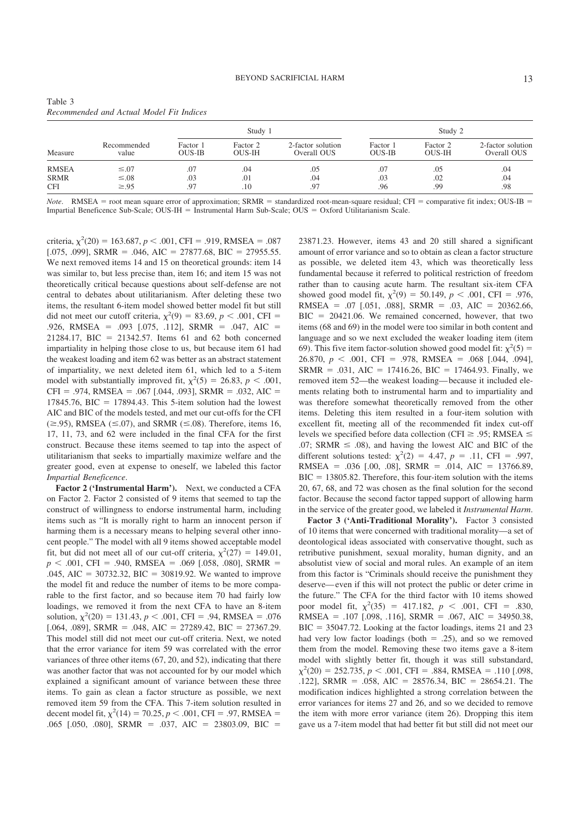|              |                      |                           | Study 1                   |                                  |                           | Study 2                   |                                  |
|--------------|----------------------|---------------------------|---------------------------|----------------------------------|---------------------------|---------------------------|----------------------------------|
| Measure      | Recommended<br>value | Factor 1<br><b>OUS-IB</b> | Factor 2<br><b>OUS-IH</b> | 2-factor solution<br>Overall OUS | Factor 1<br><b>OUS-IB</b> | Factor 2<br><b>OUS-IH</b> | 2-factor solution<br>Overall OUS |
| <b>RMSEA</b> | $\leq 0.07$          | .07                       | .04                       | .05                              | .07                       | .05                       | .04                              |
| <b>SRMR</b>  | $\leq 0.08$          | .03                       | .01                       | .04                              | .03                       | .02                       | .04                              |
| <b>CFI</b>   | $\geq 95$            | .97                       | .10                       | .97                              | .96                       | .99                       | .98                              |

Table 3 *Recommended and Actual Model Fit Indices*

*Note*. RMSEA = root mean square error of approximation; SRMR = standardized root-mean-square residual; CFI = comparative fit index; OUS-IB = Impartial Beneficence Sub-Scale;  $OUS-H =$  Instrumental Harm Sub-Scale;  $OUS =$  Oxford Utilitarianism Scale.

criteria,  $\chi^2(20) = 163.687, p < .001$ , CFI = .919, RMSEA = .087 [.075, .099], SRMR = .046, AIC = 27877.68, BIC = 27955.55. We next removed items 14 and 15 on theoretical grounds: item 14 was similar to, but less precise than, item 16; and item 15 was not theoretically critical because questions about self-defense are not central to debates about utilitarianism. After deleting these two items, the resultant 6-item model showed better model fit but still did not meet our cutoff criteria,  $\chi^2(9) = 83.69$ ,  $p < .001$ , CFI = .926, RMSEA = .093 [.075, .112], SRMR = .047, AIC = 21284.17, BIC = 21342.57. Items 61 and 62 both concerned impartiality in helping those close to us, but because item 61 had the weakest loading and item 62 was better as an abstract statement of impartiality, we next deleted item 61, which led to a 5-item model with substantially improved fit,  $\chi^2(5) = 26.83$ ,  $p < .001$ ,  $CFI = .974$ , RMSEA = .067 [.044, .093], SRMR = .032, AIC = 17845.76, BIC  $=$  17894.43. This 5-item solution had the lowest AIC and BIC of the models tested, and met our cut-offs for the CFI  $(\geq .95)$ , RMSEA ( $\leq .07$ ), and SRMR ( $\leq .08$ ). Therefore, items 16, 17, 11, 73, and 62 were included in the final CFA for the first construct. Because these items seemed to tap into the aspect of utilitarianism that seeks to impartially maximize welfare and the greater good, even at expense to oneself, we labeled this factor *Impartial Beneficence*.

**Factor 2 ('Instrumental Harm').** Next, we conducted a CFA on Factor 2. Factor 2 consisted of 9 items that seemed to tap the construct of willingness to endorse instrumental harm, including items such as "It is morally right to harm an innocent person if harming them is a necessary means to helping several other innocent people." The model with all 9 items showed acceptable model fit, but did not meet all of our cut-off criteria,  $\chi^2(27) = 149.01$ ,  $p \leq .001$ , CFI = .940, RMSEA = .069 [.058, .080], SRMR = .045, AIC  $= 30732.32$ , BIC  $= 30819.92$ . We wanted to improve the model fit and reduce the number of items to be more comparable to the first factor, and so because item 70 had fairly low loadings, we removed it from the next CFA to have an 8-item solution,  $\chi^2(20) = 131.43$ ,  $p < .001$ , CFI = .94, RMSEA = .076 [.064, .089], SRMR = .048, AIC = 27289.42, BIC = 27367.29. This model still did not meet our cut-off criteria. Next, we noted that the error variance for item 59 was correlated with the error variances of three other items (67, 20, and 52), indicating that there was another factor that was not accounted for by our model which explained a significant amount of variance between these three items. To gain as clean a factor structure as possible, we next removed item 59 from the CFA. This 7-item solution resulted in decent model fit,  $\chi^2(14) = 70.25$ ,  $p < .001$ , CFI = .97, RMSEA = .065 [.050, .080], SRMR = .037, AIC = 23803.09, BIC =

23871.23. However, items 43 and 20 still shared a significant amount of error variance and so to obtain as clean a factor structure as possible, we deleted item 43, which was theoretically less fundamental because it referred to political restriction of freedom rather than to causing acute harm. The resultant six-item CFA showed good model fit,  $\chi^2(9) = 50.149$ ,  $p < .001$ , CFI = .976, RMSEA =  $.07$  [.051, .088], SRMR =  $.03$ , AIC = 20362.66,  $BIC = 20421.06$ . We remained concerned, however, that two items (68 and 69) in the model were too similar in both content and language and so we next excluded the weaker loading item (item 69). This five item factor-solution showed good model fit:  $\chi^2(5)$  = 26.870,  $p < .001$ , CFI = .978, RMSEA = .068 [.044, .094], SRMR = .031, AIC = 17416.26, BIC = 17464.93. Finally, we removed item 52—the weakest loading—because it included elements relating both to instrumental harm and to impartiality and was therefore somewhat theoretically removed from the other items. Deleting this item resulted in a four-item solution with excellent fit, meeting all of the recommended fit index cut-off levels we specified before data collection (CFI  $\ge$  .95; RMSEA  $\le$ .07; SRMR  $\leq$  .08), and having the lowest AIC and BIC of the different solutions tested:  $\chi^2(2) = 4.47$ ,  $p = .11$ , CFI = .997, RMSEA =  $.036$  [ $.00$ ,  $.08$ ], SRMR =  $.014$ , AIC = 13766.89,  $BIC = 13805.82$ . Therefore, this four-item solution with the items 20, 67, 68, and 72 was chosen as the final solution for the second factor. Because the second factor tapped support of allowing harm in the service of the greater good, we labeled it *Instrumental Harm*.

**Factor 3 ('Anti-Traditional Morality').** Factor 3 consisted of 10 items that were concerned with traditional morality—a set of deontological ideas associated with conservative thought, such as retributive punishment, sexual morality, human dignity, and an absolutist view of social and moral rules. An example of an item from this factor is "Criminals should receive the punishment they deserve—even if this will not protect the public or deter crime in the future." The CFA for the third factor with 10 items showed poor model fit,  $\chi^2(35) = 417.182$ ,  $p < .001$ , CFI = .830, RMSEA = .107 [.098, .116], SRMR = .067, AIC = 34950.38,  $BIC = 35047.72$ . Looking at the factor loadings, items 21 and 23 had very low factor loadings (both  $= .25$ ), and so we removed them from the model. Removing these two items gave a 8-item model with slightly better fit, though it was still substandard,  $\chi^2(20) = 252.735, p < .001, \text{CFI} = .884, \text{RMSEA} = .110$  [.098, .122], SRMR = .058, AIC = 28576.34, BIC = 28654.21. The modification indices highlighted a strong correlation between the error variances for items 27 and 26, and so we decided to remove the item with more error variance (item 26). Dropping this item gave us a 7-item model that had better fit but still did not meet our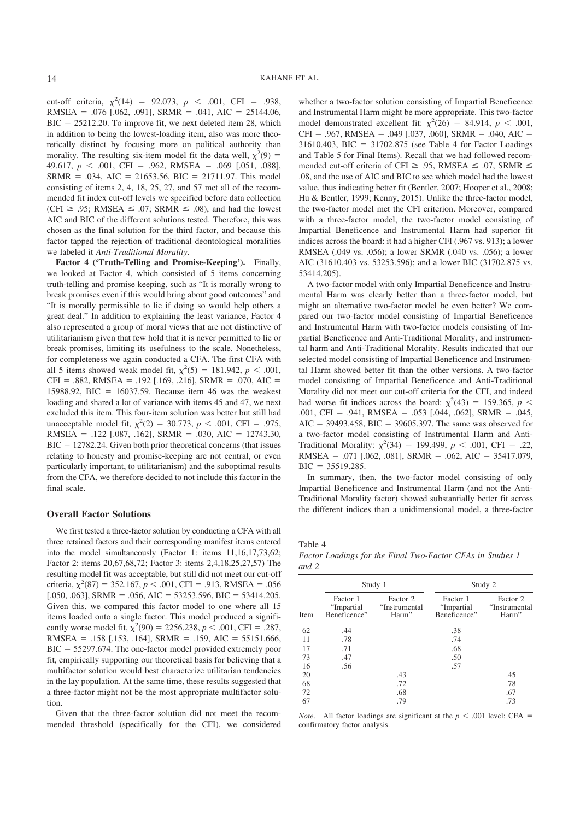cut-off criteria,  $\chi^2(14) = 92.073$ ,  $p < .001$ , CFI = .938, RMSEA =  $.076$  [ $.062$ ,  $.091$ ], SRMR =  $.041$ , AIC = 25144.06,  $BIC = 25212.20$ . To improve fit, we next deleted item 28, which in addition to being the lowest-loading item, also was more theoretically distinct by focusing more on political authority than morality. The resulting six-item model fit the data well,  $\chi^2(9)$  = 49.617,  $p \leq .001$ , CFI = .962, RMSEA = .069 [.051, .088],  $SRMR = .034$ , AIC = 21653.56, BIC = 21711.97. This model consisting of items 2, 4, 18, 25, 27, and 57 met all of the recommended fit index cut-off levels we specified before data collection (CFI  $\ge$  .95; RMSEA  $\le$  .07; SRMR  $\le$  .08), and had the lowest AIC and BIC of the different solutions tested. Therefore, this was chosen as the final solution for the third factor, and because this factor tapped the rejection of traditional deontological moralities we labeled it *Anti-Traditional Morality*.

**Factor 4 ('Truth-Telling and Promise-Keeping').** Finally, we looked at Factor 4, which consisted of 5 items concerning truth-telling and promise keeping, such as "It is morally wrong to break promises even if this would bring about good outcomes" and "It is morally permissible to lie if doing so would help others a great deal." In addition to explaining the least variance, Factor 4 also represented a group of moral views that are not distinctive of utilitarianism given that few hold that it is never permitted to lie or break promises, limiting its usefulness to the scale. Nonetheless, for completeness we again conducted a CFA. The first CFA with all 5 items showed weak model fit,  $\chi^2(5) = 181.942$ ,  $p < .001$ ,  $CFI = .882$ , RMSEA = .192 [.169, .216], SRMR = .070, AIC = 15988.92, BIC  $= 16037.59$ . Because item 46 was the weakest loading and shared a lot of variance with items 45 and 47, we next excluded this item. This four-item solution was better but still had unacceptable model fit,  $\chi^2(2) = 30.773$ ,  $p < .001$ , CFI = .975, RMSEA =  $.122$  [.087, .162], SRMR =  $.030$ , AIC = 12743.30,  $BIC = 12782.24$ . Given both prior theoretical concerns (that issues relating to honesty and promise-keeping are not central, or even particularly important, to utilitarianism) and the suboptimal results from the CFA, we therefore decided to not include this factor in the final scale.

#### **Overall Factor Solutions**

We first tested a three-factor solution by conducting a CFA with all three retained factors and their corresponding manifest items entered into the model simultaneously (Factor 1: items 11,16,17,73,62; Factor 2: items 20,67,68,72; Factor 3: items 2,4,18,25,27,57) The resulting model fit was acceptable, but still did not meet our cut-off criteria,  $\chi^2(87) = 352.167$ ,  $p < .001$ , CFI = .913, RMSEA = .056 [.050, .063], SRMR = .056, AIC = 53253.596, BIC = 53414.205. Given this, we compared this factor model to one where all 15 items loaded onto a single factor. This model produced a significantly worse model fit,  $\chi^2(90) = 2256.238$ ,  $p < .001$ , CFI = .287, RMSEA =  $.158$  [.153, .164], SRMR =  $.159$ , AIC = 55151.666,  $BIC = 55297.674$ . The one-factor model provided extremely poor fit, empirically supporting our theoretical basis for believing that a multifactor solution would best characterize utilitarian tendencies in the lay population. At the same time, these results suggested that a three-factor might not be the most appropriate multifactor solution.

Given that the three-factor solution did not meet the recommended threshold (specifically for the CFI), we considered

whether a two-factor solution consisting of Impartial Beneficence and Instrumental Harm might be more appropriate. This two-factor model demonstrated excellent fit:  $\chi^2(26) = 84.914$ ,  $p < .001$ ,  $CFI = .967$ , RMSEA = .049 [.037, .060], SRMR = .040, AIC = 31610.403, BIC = 31702.875 (see Table 4 for Factor Loadings and Table 5 for Final Items). Recall that we had followed recommended cut-off criteria of CFI  $\ge$  .95, RMSEA  $\le$  .07, SRMR  $\le$ .08, and the use of AIC and BIC to see which model had the lowest value, thus indicating better fit (Bentler, 2007; Hooper et al., 2008; Hu & Bentler, 1999; Kenny, 2015). Unlike the three-factor model, the two-factor model met the CFI criterion. Moreover, compared with a three-factor model, the two-factor model consisting of Impartial Beneficence and Instrumental Harm had superior fit indices across the board: it had a higher CFI (.967 vs. 913); a lower RMSEA (.049 vs. .056); a lower SRMR (.040 vs. .056); a lower AIC (31610.403 vs. 53253.596); and a lower BIC (31702.875 vs. 53414.205).

A two-factor model with only Impartial Beneficence and Instrumental Harm was clearly better than a three-factor model, but might an alternative two-factor model be even better? We compared our two-factor model consisting of Impartial Beneficence and Instrumental Harm with two-factor models consisting of Impartial Beneficence and Anti-Traditional Morality, and instrumental harm and Anti-Traditional Morality. Results indicated that our selected model consisting of Impartial Beneficence and Instrumental Harm showed better fit than the other versions. A two-factor model consisting of Impartial Beneficence and Anti-Traditional Morality did not meet our cut-off criteria for the CFI, and indeed had worse fit indices across the board:  $\chi^2(43) = 159.365$ ,  $p <$  $.001$ , CFI = .941, RMSEA = .053 [.044, .062], SRMR = .045,  $AIC = 39493.458$ ,  $BIC = 39605.397$ . The same was observed for a two-factor model consisting of Instrumental Harm and Anti-Traditional Morality:  $\chi^2(34) = 199.499$ ,  $p < .001$ , CFI = .22, RMSEA =  $.071$  [ $.062$ ,  $.081$ ], SRMR =  $.062$ , AIC = 35417.079,  $BIC = 35519.285.$ 

In summary, then, the two-factor model consisting of only Impartial Beneficence and Instrumental Harm (and not the Anti-Traditional Morality factor) showed substantially better fit across the different indices than a unidimensional model, a three-factor

Table 4 *Factor Loadings for the Final Two-Factor CFAs in Studies 1 and 2*

|      |                                        | Study 1                             | Study 2                                |                                     |  |
|------|----------------------------------------|-------------------------------------|----------------------------------------|-------------------------------------|--|
| Item | Factor 1<br>"Impartial<br>Beneficence" | Factor 2<br>"Instrumental"<br>Harm" | Factor 1<br>"Impartial<br>Beneficence" | Factor 2<br>"Instrumental"<br>Harm" |  |
| 62   | .44                                    |                                     | .38                                    |                                     |  |
| 11   | .78                                    |                                     | .74                                    |                                     |  |
| 17   | .71                                    |                                     | .68                                    |                                     |  |
| 73   | .47                                    |                                     | .50                                    |                                     |  |
| 16   | .56                                    |                                     | .57                                    |                                     |  |
| 20   |                                        | .43                                 |                                        | .45                                 |  |
| 68   |                                        | .72                                 |                                        | .78                                 |  |
| 72   |                                        | .68                                 |                                        | .67                                 |  |
| 67   |                                        | .79                                 |                                        | .73                                 |  |

*Note*. All factor loadings are significant at the  $p < .001$  level; CFA = confirmatory factor analysis.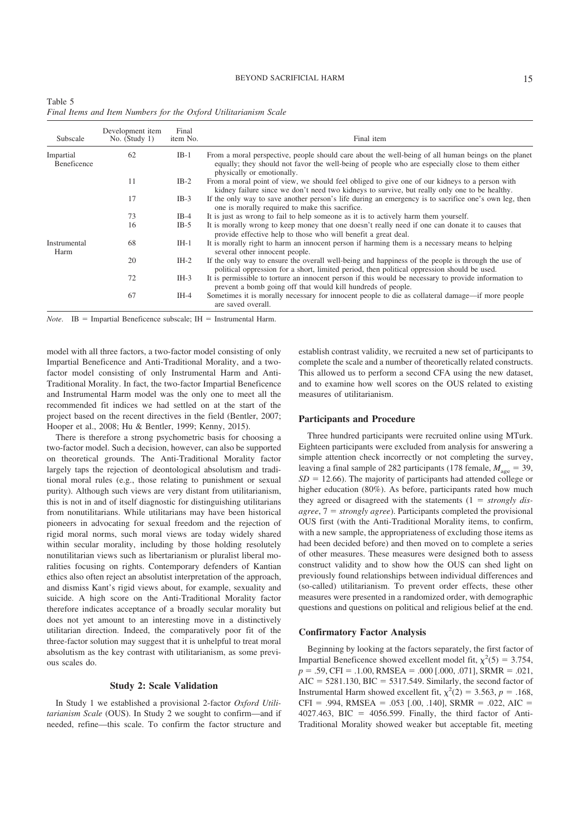| Table 5 |  |  |  |                                                                  |  |
|---------|--|--|--|------------------------------------------------------------------|--|
|         |  |  |  | Final Items and Item Numbers for the Oxford Utilitarianism Scale |  |

| Subscale                        | Development item<br>No. $(Study 1)$ | Final<br>item No. | Final item                                                                                                                                                                                                                           |
|---------------------------------|-------------------------------------|-------------------|--------------------------------------------------------------------------------------------------------------------------------------------------------------------------------------------------------------------------------------|
| Impartial<br><b>Beneficence</b> | 62                                  | $IB-1$            | From a moral perspective, people should care about the well-being of all human beings on the planet<br>equally; they should not favor the well-being of people who are especially close to them either<br>physically or emotionally. |
|                                 | 11                                  | $IB-2$            | From a moral point of view, we should feel obliged to give one of our kidneys to a person with<br>kidney failure since we don't need two kidneys to survive, but really only one to be healthy.                                      |
|                                 | 17                                  | $IB-3$            | If the only way to save another person's life during an emergency is to sacrifice one's own leg, then<br>one is morally required to make this sacrifice.                                                                             |
|                                 | 73                                  | $IB-4$            | It is just as wrong to fail to help someone as it is to actively harm them yourself.                                                                                                                                                 |
|                                 | 16                                  | $IB-5$            | It is morally wrong to keep money that one doesn't really need if one can donate it to causes that<br>provide effective help to those who will benefit a great deal.                                                                 |
| Instrumental<br>Harm            | 68                                  | $IH-1$            | It is morally right to harm an innocent person if harming them is a necessary means to helping<br>several other innocent people.                                                                                                     |
|                                 | 20                                  | IH-2              | If the only way to ensure the overall well-being and happiness of the people is through the use of<br>political oppression for a short, limited period, then political oppression should be used.                                    |
|                                 | 72                                  | $IH-3$            | It is permissible to torture an innocent person if this would be necessary to provide information to<br>prevent a bomb going off that would kill hundreds of people.                                                                 |
|                                 | 67                                  | IH-4              | Sometimes it is morally necessary for innocent people to die as collateral damage—if more people<br>are saved overall.                                                                                                               |

*Note*. IB = Impartial Beneficence subscale; IH = Instrumental Harm.

model with all three factors, a two-factor model consisting of only Impartial Beneficence and Anti-Traditional Morality, and a twofactor model consisting of only Instrumental Harm and Anti-Traditional Morality. In fact, the two-factor Impartial Beneficence and Instrumental Harm model was the only one to meet all the recommended fit indices we had settled on at the start of the project based on the recent directives in the field (Bentler, 2007; Hooper et al., 2008; Hu & Bentler, 1999; Kenny, 2015).

There is therefore a strong psychometric basis for choosing a two-factor model. Such a decision, however, can also be supported on theoretical grounds. The Anti-Traditional Morality factor largely taps the rejection of deontological absolutism and traditional moral rules (e.g., those relating to punishment or sexual purity). Although such views are very distant from utilitarianism, this is not in and of itself diagnostic for distinguishing utilitarians from nonutilitarians. While utilitarians may have been historical pioneers in advocating for sexual freedom and the rejection of rigid moral norms, such moral views are today widely shared within secular morality, including by those holding resolutely nonutilitarian views such as libertarianism or pluralist liberal moralities focusing on rights. Contemporary defenders of Kantian ethics also often reject an absolutist interpretation of the approach, and dismiss Kant's rigid views about, for example, sexuality and suicide. A high score on the Anti-Traditional Morality factor therefore indicates acceptance of a broadly secular morality but does not yet amount to an interesting move in a distinctively utilitarian direction. Indeed, the comparatively poor fit of the three-factor solution may suggest that it is unhelpful to treat moral absolutism as the key contrast with utilitarianism, as some previous scales do.

#### **Study 2: Scale Validation**

In Study 1 we established a provisional 2-factor *Oxford Utilitarianism Scale* (OUS). In Study 2 we sought to confirm—and if needed, refine—this scale. To confirm the factor structure and

establish contrast validity, we recruited a new set of participants to complete the scale and a number of theoretically related constructs. This allowed us to perform a second CFA using the new dataset, and to examine how well scores on the OUS related to existing measures of utilitarianism.

#### **Participants and Procedure**

Three hundred participants were recruited online using MTurk. Eighteen participants were excluded from analysis for answering a simple attention check incorrectly or not completing the survey, leaving a final sample of 282 participants (178 female,  $M_{\text{age}} = 39$ ,  $SD = 12.66$ ). The majority of participants had attended college or higher education (80%). As before, participants rated how much they agreed or disagreed with the statements  $(1 = \frac{strongly}{dis}$  $agree, 7 = strongly agree$ ). Participants completed the provisional OUS first (with the Anti-Traditional Morality items, to confirm, with a new sample, the appropriateness of excluding those items as had been decided before) and then moved on to complete a series of other measures. These measures were designed both to assess construct validity and to show how the OUS can shed light on previously found relationships between individual differences and (so-called) utilitarianism. To prevent order effects, these other measures were presented in a randomized order, with demographic questions and questions on political and religious belief at the end.

#### **Confirmatory Factor Analysis**

Beginning by looking at the factors separately, the first factor of Impartial Beneficence showed excellent model fit,  $\chi^2(5) = 3.754$ ,  $p = .59$ , CFI = .1.00, RMSEA = .000 [.000, .071], SRMR = .021,  $AIC = 5281.130$ ,  $BIC = 5317.549$ . Similarly, the second factor of Instrumental Harm showed excellent fit,  $\chi^2(2) = 3.563$ ,  $p = .168$ ,  $CFI = .994$ , RMSEA = .053 [.00, .140], SRMR = .022, AIC =  $4027.463$ , BIC =  $4056.599$ . Finally, the third factor of Anti-Traditional Morality showed weaker but acceptable fit, meeting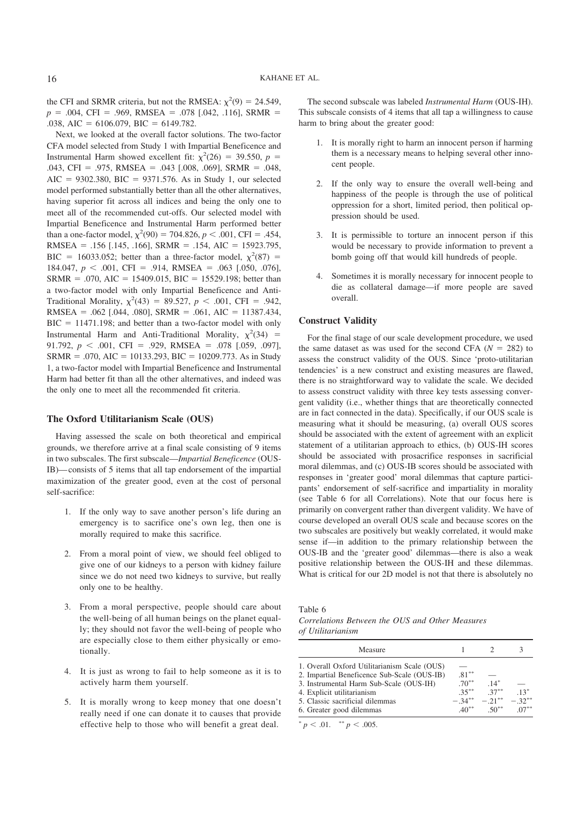the CFI and SRMR criteria, but not the RMSEA:  $\chi^2(9) = 24.549$ ,  $p = .004$ , CFI = .969, RMSEA = .078 [.042, .116], SRMR = .038, AIC =  $6106.079$ , BIC =  $6149.782$ .

Next, we looked at the overall factor solutions. The two-factor CFA model selected from Study 1 with Impartial Beneficence and Instrumental Harm showed excellent fit:  $\chi^2(26) = 39.550, p =$  $.043$ , CFI = .975, RMSEA = .043 [.008, .069], SRMR = .048, AIC =  $9302.380$ , BIC =  $9371.576$ . As in Study 1, our selected model performed substantially better than all the other alternatives, having superior fit across all indices and being the only one to meet all of the recommended cut-offs. Our selected model with Impartial Beneficence and Instrumental Harm performed better than a one-factor model,  $\chi^2(90) = 704.826$ ,  $p < .001$ , CFI = .454, RMSEA =  $.156$  [.145, .166], SRMR =  $.154$ , AIC = 15923.795, BIC = 16033.052; better than a three-factor model,  $\chi^2(87)$  = 184.047,  $p < .001$ , CFI = .914, RMSEA = .063 [.050, .076],  $SRMR = .070$ , AIC = 15409.015, BIC = 15529.198; better than a two-factor model with only Impartial Beneficence and Anti-Traditional Morality,  $\chi^2(43) = 89.527$ ,  $p < .001$ , CFI = .942, RMSEA = .062 [.044, .080], SRMR = .061, AIC = 11387.434,  $BIC = 11471.198$ ; and better than a two-factor model with only Instrumental Harm and Anti-Traditional Morality,  $\chi^2(34)$  = 91.792,  $p < .001$ , CFI = .929, RMSEA = .078 [.059, .097],  $SRMR = .070$ , AIC = 10133.293, BIC = 10209.773. As in Study 1, a two-factor model with Impartial Beneficence and Instrumental Harm had better fit than all the other alternatives, and indeed was the only one to meet all the recommended fit criteria.

#### **The Oxford Utilitarianism Scale (OUS)**

Having assessed the scale on both theoretical and empirical grounds, we therefore arrive at a final scale consisting of 9 items in two subscales. The first subscale—*Impartial Beneficence* (OUS-IB)—consists of 5 items that all tap endorsement of the impartial maximization of the greater good, even at the cost of personal self-sacrifice:

- 1. If the only way to save another person's life during an emergency is to sacrifice one's own leg, then one is morally required to make this sacrifice.
- 2. From a moral point of view, we should feel obliged to give one of our kidneys to a person with kidney failure since we do not need two kidneys to survive, but really only one to be healthy.
- 3. From a moral perspective, people should care about the well-being of all human beings on the planet equally; they should not favor the well-being of people who are especially close to them either physically or emotionally.
- 4. It is just as wrong to fail to help someone as it is to actively harm them yourself.
- 5. It is morally wrong to keep money that one doesn't really need if one can donate it to causes that provide effective help to those who will benefit a great deal.

The second subscale was labeled *Instrumental Harm* (OUS-IH). This subscale consists of 4 items that all tap a willingness to cause harm to bring about the greater good:

- 1. It is morally right to harm an innocent person if harming them is a necessary means to helping several other innocent people.
- 2. If the only way to ensure the overall well-being and happiness of the people is through the use of political oppression for a short, limited period, then political oppression should be used.
- 3. It is permissible to torture an innocent person if this would be necessary to provide information to prevent a bomb going off that would kill hundreds of people.
- Sometimes it is morally necessary for innocent people to die as collateral damage—if more people are saved overall.

#### **Construct Validity**

For the final stage of our scale development procedure, we used the same dataset as was used for the second CFA  $(N = 282)$  to assess the construct validity of the OUS. Since 'proto-utilitarian tendencies' is a new construct and existing measures are flawed, there is no straightforward way to validate the scale. We decided to assess construct validity with three key tests assessing convergent validity (i.e., whether things that are theoretically connected are in fact connected in the data). Specifically, if our OUS scale is measuring what it should be measuring, (a) overall OUS scores should be associated with the extent of agreement with an explicit statement of a utilitarian approach to ethics, (b) OUS-IH scores should be associated with prosacrifice responses in sacrificial moral dilemmas, and (c) OUS-IB scores should be associated with responses in 'greater good' moral dilemmas that capture participants' endorsement of self-sacrifice and impartiality in morality (see Table 6 for all Correlations). Note that our focus here is primarily on convergent rather than divergent validity. We have of course developed an overall OUS scale and because scores on the two subscales are positively but weakly correlated, it would make sense if—in addition to the primary relationship between the OUS-IB and the 'greater good' dilemmas—there is also a weak positive relationship between the OUS-IH and these dilemmas. What is critical for our 2D model is not that there is absolutely no

#### Table 6

*Correlations Between the OUS and Other Measures of Utilitarianism*

| $14*$<br>$37***$<br>$-32**$<br>$-21***$<br>$50^{**}$ | $13*$ |
|------------------------------------------------------|-------|
|                                                      |       |

 $p < .01.$  \*\*  $p < .005.$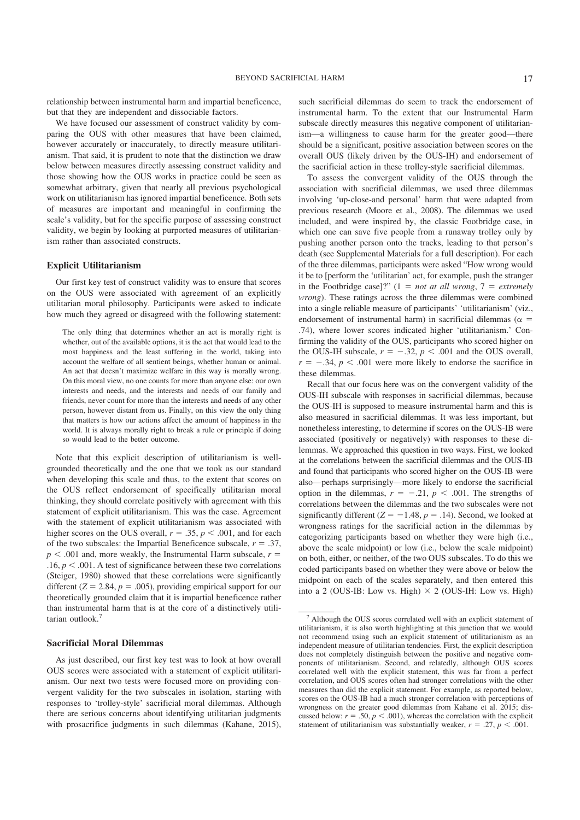relationship between instrumental harm and impartial beneficence, but that they are independent and dissociable factors.

We have focused our assessment of construct validity by comparing the OUS with other measures that have been claimed, however accurately or inaccurately, to directly measure utilitarianism. That said, it is prudent to note that the distinction we draw below between measures directly assessing construct validity and those showing how the OUS works in practice could be seen as somewhat arbitrary, given that nearly all previous psychological work on utilitarianism has ignored impartial beneficence. Both sets of measures are important and meaningful in confirming the scale's validity, but for the specific purpose of assessing construct validity, we begin by looking at purported measures of utilitarianism rather than associated constructs.

#### **Explicit Utilitarianism**

Our first key test of construct validity was to ensure that scores on the OUS were associated with agreement of an explicitly utilitarian moral philosophy. Participants were asked to indicate how much they agreed or disagreed with the following statement:

The only thing that determines whether an act is morally right is whether, out of the available options, it is the act that would lead to the most happiness and the least suffering in the world, taking into account the welfare of all sentient beings, whether human or animal. An act that doesn't maximize welfare in this way is morally wrong. On this moral view, no one counts for more than anyone else: our own interests and needs, and the interests and needs of our family and friends, never count for more than the interests and needs of any other person, however distant from us. Finally, on this view the only thing that matters is how our actions affect the amount of happiness in the world. It is always morally right to break a rule or principle if doing so would lead to the better outcome.

Note that this explicit description of utilitarianism is wellgrounded theoretically and the one that we took as our standard when developing this scale and thus, to the extent that scores on the OUS reflect endorsement of specifically utilitarian moral thinking, they should correlate positively with agreement with this statement of explicit utilitarianism. This was the case. Agreement with the statement of explicit utilitarianism was associated with higher scores on the OUS overall,  $r = .35$ ,  $p < .001$ , and for each of the two subscales: the Impartial Beneficence subscale,  $r = .37$ ,  $p < .001$  and, more weakly, the Instrumental Harm subscale,  $r =$ .16,  $p < .001$ . A test of significance between these two correlations (Steiger, 1980) showed that these correlations were significantly different  $(Z = 2.84, p = .005)$ , providing empirical support for our theoretically grounded claim that it is impartial beneficence rather than instrumental harm that is at the core of a distinctively utilitarian outlook.<sup>7</sup>

#### **Sacrificial Moral Dilemmas**

As just described, our first key test was to look at how overall OUS scores were associated with a statement of explicit utilitarianism. Our next two tests were focused more on providing convergent validity for the two subscales in isolation, starting with responses to 'trolley-style' sacrificial moral dilemmas. Although there are serious concerns about identifying utilitarian judgments with prosacrifice judgments in such dilemmas (Kahane, 2015), such sacrificial dilemmas do seem to track the endorsement of instrumental harm. To the extent that our Instrumental Harm subscale directly measures this negative component of utilitarianism—a willingness to cause harm for the greater good—there should be a significant, positive association between scores on the overall OUS (likely driven by the OUS-IH) and endorsement of the sacrificial action in these trolley-style sacrificial dilemmas.

To assess the convergent validity of the OUS through the association with sacrificial dilemmas, we used three dilemmas involving 'up-close-and personal' harm that were adapted from previous research (Moore et al., 2008). The dilemmas we used included, and were inspired by, the classic Footbridge case, in which one can save five people from a runaway trolley only by pushing another person onto the tracks, leading to that person's death (see Supplemental Materials for a full description). For each of the three dilemmas, participants were asked "How wrong would it be to [perform the 'utilitarian' act, for example, push the stranger in the Footbridge case]?"  $(1 = not at all wrong, 7 = extremely)$ *wrong*). These ratings across the three dilemmas were combined into a single reliable measure of participants' 'utilitarianism' (viz., endorsement of instrumental harm) in sacrificial dilemmas ( $\alpha$  = .74), where lower scores indicated higher 'utilitarianism.' Confirming the validity of the OUS, participants who scored higher on the OUS-IH subscale,  $r = -.32$ ,  $p < .001$  and the OUS overall,  $r = -.34$ ,  $p < .001$  were more likely to endorse the sacrifice in these dilemmas.

Recall that our focus here was on the convergent validity of the OUS-IH subscale with responses in sacrificial dilemmas, because the OUS-IH is supposed to measure instrumental harm and this is also measured in sacrificial dilemmas. It was less important, but nonetheless interesting, to determine if scores on the OUS-IB were associated (positively or negatively) with responses to these dilemmas. We approached this question in two ways. First, we looked at the correlations between the sacrificial dilemmas and the OUS-IB and found that participants who scored higher on the OUS-IB were also—perhaps surprisingly—more likely to endorse the sacrificial option in the dilemmas,  $r = -.21$ ,  $p < .001$ . The strengths of correlations between the dilemmas and the two subscales were not significantly different ( $Z = -1.48$ ,  $p = .14$ ). Second, we looked at wrongness ratings for the sacrificial action in the dilemmas by categorizing participants based on whether they were high (i.e., above the scale midpoint) or low (i.e., below the scale midpoint) on both, either, or neither, of the two OUS subscales. To do this we coded participants based on whether they were above or below the midpoint on each of the scales separately, and then entered this into a 2 (OUS-IB: Low vs. High)  $\times$  2 (OUS-IH: Low vs. High)

Although the OUS scores correlated well with an explicit statement of utilitarianism, it is also worth highlighting at this junction that we would not recommend using such an explicit statement of utilitarianism as an independent measure of utilitarian tendencies. First, the explicit description does not completely distinguish between the positive and negative components of utilitarianism. Second, and relatedly, although OUS scores correlated well with the explicit statement, this was far from a perfect correlation, and OUS scores often had stronger correlations with the other measures than did the explicit statement. For example, as reported below, scores on the OUS-IB had a much stronger correlation with perceptions of wrongness on the greater good dilemmas from Kahane et al. 2015; discussed below:  $r = .50$ ,  $p < .001$ ), whereas the correlation with the explicit statement of utilitarianism was substantially weaker,  $r = .27$ ,  $p < .001$ .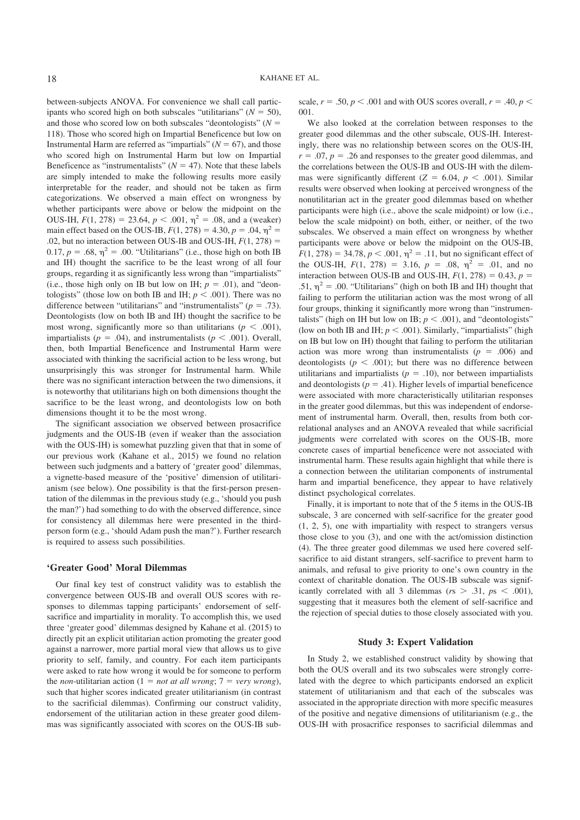between-subjects ANOVA. For convenience we shall call participants who scored high on both subscales "utilitarians"  $(N = 50)$ , and those who scored low on both subscales "deontologists"  $(N =$ 118). Those who scored high on Impartial Beneficence but low on Instrumental Harm are referred as "impartials"  $(N = 67)$ , and those who scored high on Instrumental Harm but low on Impartial Beneficence as "instrumentalists"  $(N = 47)$ . Note that these labels are simply intended to make the following results more easily interpretable for the reader, and should not be taken as firm categorizations. We observed a main effect on wrongness by whether participants were above or below the midpoint on the OUS-IH,  $F(1, 278) = 23.64$ ,  $p < .001$ ,  $\eta^2 = .08$ , and a (weaker) main effect based on the OUS-IB,  $F(1, 278) = 4.30, p = .04, \eta^2 =$ .02, but no interaction between OUS-IB and OUS-IH,  $F(1, 278) =$ 0.17,  $p = .68$ ,  $\eta^2 = .00$ . "Utilitarians" (i.e., those high on both IB and IH) thought the sacrifice to be the least wrong of all four groups, regarding it as significantly less wrong than "impartialists" (i.e., those high only on IB but low on IH;  $p = .01$ ), and "deontologists" (those low on both IB and IH;  $p < .001$ ). There was no difference between "utilitarians" and "instrumentalists" ( $p = .73$ ). Deontologists (low on both IB and IH) thought the sacrifice to be most wrong, significantly more so than utilitarians ( $p < .001$ ), impartialists ( $p = .04$ ), and instrumentalists ( $p < .001$ ). Overall, then, both Impartial Beneficence and Instrumental Harm were associated with thinking the sacrificial action to be less wrong, but unsurprisingly this was stronger for Instrumental harm. While there was no significant interaction between the two dimensions, it is noteworthy that utilitarians high on both dimensions thought the sacrifice to be the least wrong, and deontologists low on both dimensions thought it to be the most wrong.

The significant association we observed between prosacrifice judgments and the OUS-IB (even if weaker than the association with the OUS-IH) is somewhat puzzling given that that in some of our previous work (Kahane et al., 2015) we found no relation between such judgments and a battery of 'greater good' dilemmas, a vignette-based measure of the 'positive' dimension of utilitarianism (see below). One possibility is that the first-person presentation of the dilemmas in the previous study (e.g., 'should you push the man?') had something to do with the observed difference, since for consistency all dilemmas here were presented in the thirdperson form (e.g., 'should Adam push the man?'). Further research is required to assess such possibilities.

#### **'Greater Good' Moral Dilemmas**

Our final key test of construct validity was to establish the convergence between OUS-IB and overall OUS scores with responses to dilemmas tapping participants' endorsement of selfsacrifice and impartiality in morality. To accomplish this, we used three 'greater good' dilemmas designed by Kahane et al. (2015) to directly pit an explicit utilitarian action promoting the greater good against a narrower, more partial moral view that allows us to give priority to self, family, and country. For each item participants were asked to rate how wrong it would be for someone to perform the *non*-utilitarian action (1 = *not at all wrong*; 7 = *very wrong*), such that higher scores indicated greater utilitarianism (in contrast to the sacrificial dilemmas). Confirming our construct validity, endorsement of the utilitarian action in these greater good dilemmas was significantly associated with scores on the OUS-IB subscale,  $r = .50$ ,  $p < .001$  and with OUS scores overall,  $r = .40$ ,  $p <$ 001.

We also looked at the correlation between responses to the greater good dilemmas and the other subscale, OUS-IH. Interestingly, there was no relationship between scores on the OUS-IH,  $r = .07$ ,  $p = .26$  and responses to the greater good dilemmas, and the correlations between the OUS-IB and OUS-IH with the dilemmas were significantly different  $(Z = 6.04, p < .001)$ . Similar results were observed when looking at perceived wrongness of the nonutilitarian act in the greater good dilemmas based on whether participants were high (i.e., above the scale midpoint) or low (i.e., below the scale midpoint) on both, either, or neither, of the two subscales. We observed a main effect on wrongness by whether participants were above or below the midpoint on the OUS-IB,  $F(1, 278) = 34.78, p < .001, \eta^2 = .11$ , but no significant effect of the OUS-IH,  $F(1, 278) = 3.16$ ,  $p = .08$ ,  $\eta^2 = .01$ , and no interaction between OUS-IB and OUS-IH,  $F(1, 278) = 0.43$ ,  $p =$ .51,  $\eta^2$  = .00. "Utilitarians" (high on both IB and IH) thought that failing to perform the utilitarian action was the most wrong of all four groups, thinking it significantly more wrong than "instrumentalists" (high on IH but low on IB;  $p < .001$ ), and "deontologists" (low on both IB and IH;  $p < .001$ ). Similarly, "impartialists" (high on IB but low on IH) thought that failing to perform the utilitarian action was more wrong than instrumentalists  $(p = .006)$  and deontologists ( $p < .001$ ); but there was no difference between utilitarians and impartialists ( $p = .10$ ), nor between impartialists and deontologists ( $p = .41$ ). Higher levels of impartial beneficence were associated with more characteristically utilitarian responses in the greater good dilemmas, but this was independent of endorsement of instrumental harm. Overall, then, results from both correlational analyses and an ANOVA revealed that while sacrificial judgments were correlated with scores on the OUS-IB, more concrete cases of impartial beneficence were not associated with instrumental harm. These results again highlight that while there is a connection between the utilitarian components of instrumental harm and impartial beneficence, they appear to have relatively distinct psychological correlates.

Finally, it is important to note that of the 5 items in the OUS-IB subscale, 3 are concerned with self-sacrifice for the greater good (1, 2, 5), one with impartiality with respect to strangers versus those close to you (3), and one with the act/omission distinction (4). The three greater good dilemmas we used here covered selfsacrifice to aid distant strangers, self-sacrifice to prevent harm to animals, and refusal to give priority to one's own country in the context of charitable donation. The OUS-IB subscale was significantly correlated with all 3 dilemmas ( $rs$  > .31,  $ps$  < .001), suggesting that it measures both the element of self-sacrifice and the rejection of special duties to those closely associated with you.

#### **Study 3: Expert Validation**

In Study 2, we established construct validity by showing that both the OUS overall and its two subscales were strongly correlated with the degree to which participants endorsed an explicit statement of utilitarianism and that each of the subscales was associated in the appropriate direction with more specific measures of the positive and negative dimensions of utilitarianism (e.g., the OUS-IH with prosacrifice responses to sacrificial dilemmas and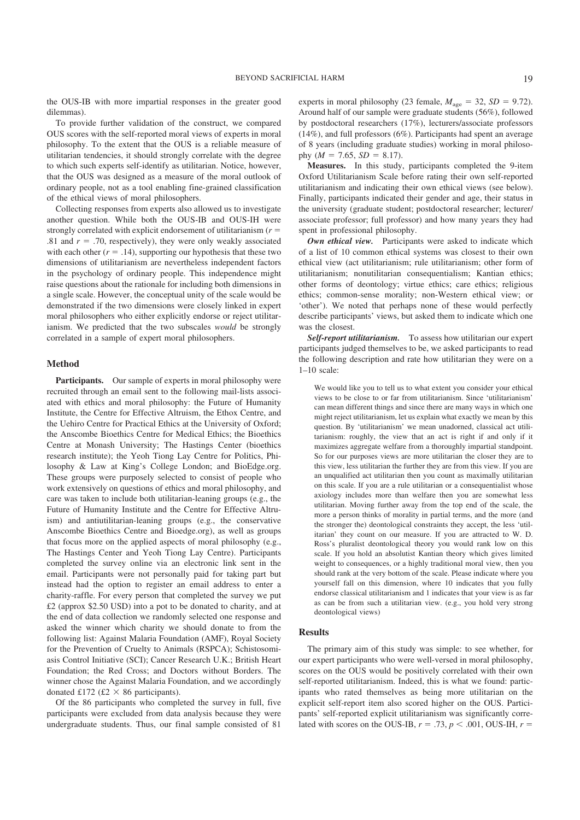the OUS-IB with more impartial responses in the greater good dilemmas).

To provide further validation of the construct, we compared OUS scores with the self-reported moral views of experts in moral philosophy. To the extent that the OUS is a reliable measure of utilitarian tendencies, it should strongly correlate with the degree to which such experts self-identify as utilitarian. Notice, however, that the OUS was designed as a measure of the moral outlook of ordinary people, not as a tool enabling fine-grained classification of the ethical views of moral philosophers.

Collecting responses from experts also allowed us to investigate another question. While both the OUS-IB and OUS-IH were strongly correlated with explicit endorsement of utilitarianism  $(r =$ .81 and  $r = .70$ , respectively), they were only weakly associated with each other  $(r = .14)$ , supporting our hypothesis that these two dimensions of utilitarianism are nevertheless independent factors in the psychology of ordinary people. This independence might raise questions about the rationale for including both dimensions in a single scale. However, the conceptual unity of the scale would be demonstrated if the two dimensions were closely linked in expert moral philosophers who either explicitly endorse or reject utilitarianism. We predicted that the two subscales *would* be strongly correlated in a sample of expert moral philosophers.

#### **Method**

**Participants.** Our sample of experts in moral philosophy were recruited through an email sent to the following mail-lists associated with ethics and moral philosophy: the Future of Humanity Institute, the Centre for Effective Altruism, the Ethox Centre, and the Uehiro Centre for Practical Ethics at the University of Oxford; the Anscombe Bioethics Centre for Medical Ethics; the Bioethics Centre at Monash University; The Hastings Center (bioethics research institute); the Yeoh Tiong Lay Centre for Politics, Philosophy & Law at King's College London; and BioEdge.org. These groups were purposely selected to consist of people who work extensively on questions of ethics and moral philosophy, and care was taken to include both utilitarian-leaning groups (e.g., the Future of Humanity Institute and the Centre for Effective Altruism) and antiutilitarian-leaning groups (e.g., the conservative Anscombe Bioethics Centre and Bioedge.org), as well as groups that focus more on the applied aspects of moral philosophy (e.g., The Hastings Center and Yeoh Tiong Lay Centre). Participants completed the survey online via an electronic link sent in the email. Participants were not personally paid for taking part but instead had the option to register an email address to enter a charity-raffle. For every person that completed the survey we put £2 (approx \$2.50 USD) into a pot to be donated to charity, and at the end of data collection we randomly selected one response and asked the winner which charity we should donate to from the following list: Against Malaria Foundation (AMF), Royal Society for the Prevention of Cruelty to Animals (RSPCA); Schistosomiasis Control Initiative (SCI); Cancer Research U.K.; British Heart Foundation; the Red Cross; and Doctors without Borders. The winner chose the Against Malaria Foundation, and we accordingly donated £172 (£2  $\times$  86 participants).

Of the 86 participants who completed the survey in full, five participants were excluded from data analysis because they were undergraduate students. Thus, our final sample consisted of 81

experts in moral philosophy (23 female,  $M_{\text{age}} = 32$ ,  $SD = 9.72$ ). Around half of our sample were graduate students (56%), followed by postdoctoral researchers (17%), lecturers/associate professors (14%), and full professors (6%). Participants had spent an average of 8 years (including graduate studies) working in moral philosophy ( $M = 7.65$ ,  $SD = 8.17$ ).

**Measures.** In this study, participants completed the 9-item Oxford Utilitarianism Scale before rating their own self-reported utilitarianism and indicating their own ethical views (see below). Finally, participants indicated their gender and age, their status in the university (graduate student; postdoctoral researcher; lecturer/ associate professor; full professor) and how many years they had spent in professional philosophy.

*Own ethical view.* Participants were asked to indicate which of a list of 10 common ethical systems was closest to their own ethical view (act utilitarianism; rule utilitarianism; other form of utilitarianism; nonutilitarian consequentialism; Kantian ethics; other forms of deontology; virtue ethics; care ethics; religious ethics; common-sense morality; non-Western ethical view; or 'other'). We noted that perhaps none of these would perfectly describe participants' views, but asked them to indicate which one was the closest.

*Self-report utilitarianism.* To assess how utilitarian our expert participants judged themselves to be, we asked participants to read the following description and rate how utilitarian they were on a 1–10 scale:

We would like you to tell us to what extent you consider your ethical views to be close to or far from utilitarianism. Since 'utilitarianism' can mean different things and since there are many ways in which one might reject utilitarianism, let us explain what exactly we mean by this question. By 'utilitarianism' we mean unadorned, classical act utilitarianism: roughly, the view that an act is right if and only if it maximizes aggregate welfare from a thoroughly impartial standpoint. So for our purposes views are more utilitarian the closer they are to this view, less utilitarian the further they are from this view. If you are an unqualified act utilitarian then you count as maximally utilitarian on this scale. If you are a rule utilitarian or a consequentialist whose axiology includes more than welfare then you are somewhat less utilitarian. Moving further away from the top end of the scale, the more a person thinks of morality in partial terms, and the more (and the stronger the) deontological constraints they accept, the less 'utilitarian' they count on our measure. If you are attracted to W. D. Ross's pluralist deontological theory you would rank low on this scale. If you hold an absolutist Kantian theory which gives limited weight to consequences, or a highly traditional moral view, then you should rank at the very bottom of the scale. Please indicate where you yourself fall on this dimension, where 10 indicates that you fully endorse classical utilitarianism and 1 indicates that your view is as far as can be from such a utilitarian view. (e.g., you hold very strong deontological views)

#### **Results**

The primary aim of this study was simple: to see whether, for our expert participants who were well-versed in moral philosophy, scores on the OUS would be positively correlated with their own self-reported utilitarianism. Indeed, this is what we found: participants who rated themselves as being more utilitarian on the explicit self-report item also scored higher on the OUS. Participants' self-reported explicit utilitarianism was significantly correlated with scores on the OUS-IB,  $r = .73$ ,  $p < .001$ , OUS-IH,  $r =$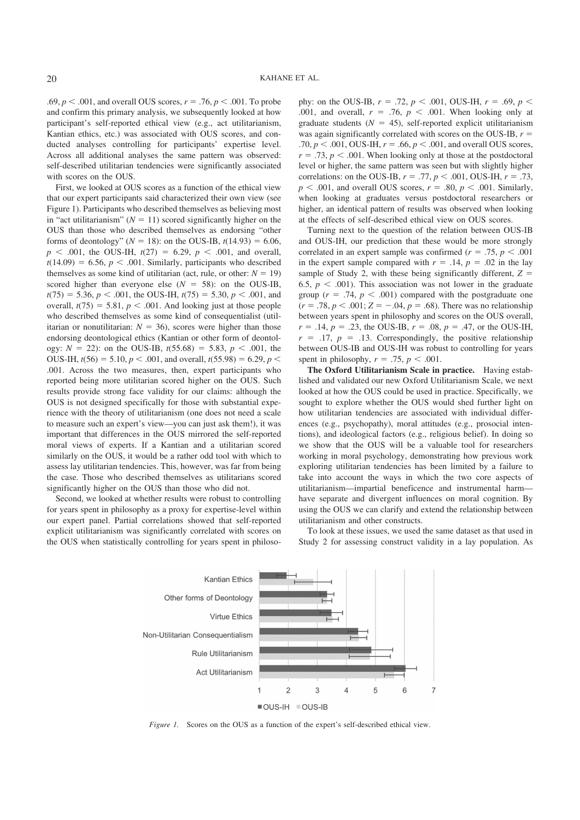.69,  $p < .001$ , and overall OUS scores,  $r = .76$ ,  $p < .001$ . To probe and confirm this primary analysis, we subsequently looked at how participant's self-reported ethical view (e.g., act utilitarianism, Kantian ethics, etc.) was associated with OUS scores, and conducted analyses controlling for participants' expertise level. Across all additional analyses the same pattern was observed: self-described utilitarian tendencies were significantly associated with scores on the OUS.

First, we looked at OUS scores as a function of the ethical view that our expert participants said characterized their own view (see Figure 1). Participants who described themselves as believing most in "act utilitarianism" ( $N = 11$ ) scored significantly higher on the OUS than those who described themselves as endorsing "other forms of deontology" ( $N = 18$ ): on the OUS-IB,  $t(14.93) = 6.06$ ,  $p \leq .001$ , the OUS-IH,  $t(27) = 6.29$ ,  $p \leq .001$ , and overall,  $t(14.09) = 6.56$ ,  $p < .001$ . Similarly, participants who described themselves as some kind of utilitarian (act, rule, or other:  $N = 19$ ) scored higher than everyone else  $(N = 58)$ : on the OUS-IB,  $t(75) = 5.36, p < .001$ , the OUS-IH,  $t(75) = 5.30, p < .001$ , and overall,  $t(75) = 5.81$ ,  $p < .001$ . And looking just at those people who described themselves as some kind of consequentialist (utilitarian or nonutilitarian:  $N = 36$ ), scores were higher than those endorsing deontological ethics (Kantian or other form of deontology:  $N = 22$ ): on the OUS-IB,  $t(55.68) = 5.83$ ,  $p < .001$ , the OUS-IH,  $t(56) = 5.10, p < .001$ , and overall,  $t(55.98) = 6.29, p < .001$ .001. Across the two measures, then, expert participants who reported being more utilitarian scored higher on the OUS. Such results provide strong face validity for our claims: although the OUS is not designed specifically for those with substantial experience with the theory of utilitarianism (one does not need a scale to measure such an expert's view—you can just ask them!), it was important that differences in the OUS mirrored the self-reported moral views of experts. If a Kantian and a utilitarian scored similarly on the OUS, it would be a rather odd tool with which to assess lay utilitarian tendencies. This, however, was far from being the case. Those who described themselves as utilitarians scored significantly higher on the OUS than those who did not.

Second, we looked at whether results were robust to controlling for years spent in philosophy as a proxy for expertise-level within our expert panel. Partial correlations showed that self-reported explicit utilitarianism was significantly correlated with scores on the OUS when statistically controlling for years spent in philosophy: on the OUS-IB,  $r = .72$ ,  $p < .001$ , OUS-IH,  $r = .69$ ,  $p <$ .001, and overall,  $r = .76$ ,  $p < .001$ . When looking only at graduate students  $(N = 45)$ , self-reported explicit utilitarianism was again significantly correlated with scores on the OUS-IB,  $r =$ .70,  $p < .001$ , OUS-IH,  $r = .66$ ,  $p < .001$ , and overall OUS scores,  $r = .73$ ,  $p < .001$ . When looking only at those at the postdoctoral level or higher, the same pattern was seen but with slightly higher correlations: on the OUS-IB,  $r = .77$ ,  $p < .001$ , OUS-IH,  $r = .73$ ,  $p < .001$ , and overall OUS scores,  $r = .80$ ,  $p < .001$ . Similarly, when looking at graduates versus postdoctoral researchers or higher, an identical pattern of results was observed when looking at the effects of self-described ethical view on OUS scores.

Turning next to the question of the relation between OUS-IB and OUS-IH, our prediction that these would be more strongly correlated in an expert sample was confirmed ( $r = .75$ ,  $p < .001$ ) in the expert sample compared with  $r = .14$ ,  $p = .02$  in the lay sample of Study 2, with these being significantly different,  $Z =$ 6.5,  $p < .001$ ). This association was not lower in the graduate group ( $r = .74$ ,  $p < .001$ ) compared with the postgraduate one  $(r = .78, p < .001; Z = -.04, p = .68)$ . There was no relationship between years spent in philosophy and scores on the OUS overall,  $r = .14$ ,  $p = .23$ , the OUS-IB,  $r = .08$ ,  $p = .47$ , or the OUS-IH,  $r = .17$ ,  $p = .13$ . Correspondingly, the positive relationship between OUS-IB and OUS-IH was robust to controlling for years spent in philosophy,  $r = .75$ ,  $p < .001$ .

**The Oxford Utilitarianism Scale in practice.** Having established and validated our new Oxford Utilitarianism Scale, we next looked at how the OUS could be used in practice. Specifically, we sought to explore whether the OUS would shed further light on how utilitarian tendencies are associated with individual differences (e.g., psychopathy), moral attitudes (e.g., prosocial intentions), and ideological factors (e.g., religious belief). In doing so we show that the OUS will be a valuable tool for researchers working in moral psychology, demonstrating how previous work exploring utilitarian tendencies has been limited by a failure to take into account the ways in which the two core aspects of utilitarianism—impartial beneficence and instrumental harm have separate and divergent influences on moral cognition. By using the OUS we can clarify and extend the relationship between utilitarianism and other constructs.

To look at these issues, we used the same dataset as that used in Study 2 for assessing construct validity in a lay population. As



*Figure 1.* Scores on the OUS as a function of the expert's self-described ethical view.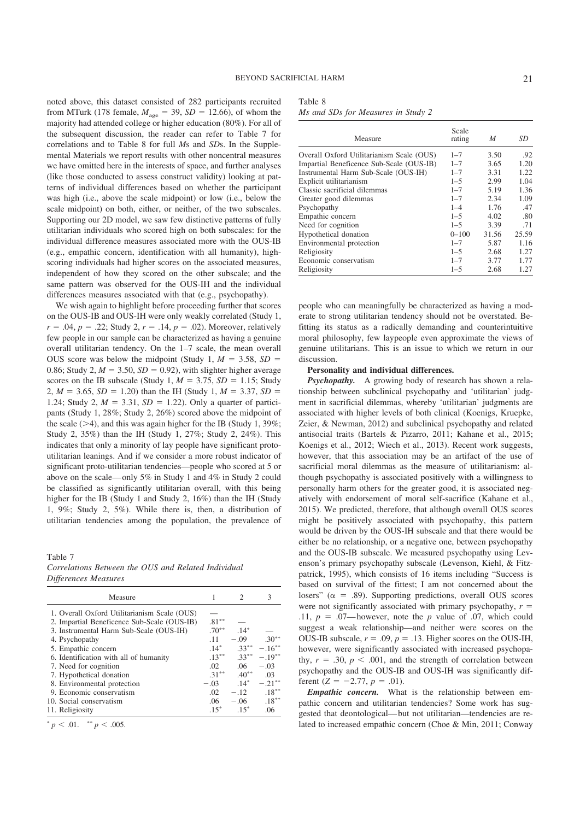noted above, this dataset consisted of 282 participants recruited from MTurk (178 female,  $M_{\text{age}} = 39$ ,  $SD = 12.66$ ), of whom the majority had attended college or higher education (80%). For all of the subsequent discussion, the reader can refer to Table 7 for correlations and to Table 8 for full *M*s and *SD*s. In the Supplemental Materials we report results with other noncentral measures we have omitted here in the interests of space, and further analyses (like those conducted to assess construct validity) looking at patterns of individual differences based on whether the participant was high (i.e., above the scale midpoint) or low (i.e., below the scale midpoint) on both, either, or neither, of the two subscales. Supporting our 2D model, we saw few distinctive patterns of fully utilitarian individuals who scored high on both subscales: for the individual difference measures associated more with the OUS-IB (e.g., empathic concern, identification with all humanity), highscoring individuals had higher scores on the associated measures, independent of how they scored on the other subscale; and the same pattern was observed for the OUS-IH and the individual differences measures associated with that (e.g., psychopathy).

We wish again to highlight before proceeding further that scores on the OUS-IB and OUS-IH were only weakly correlated (Study 1,  $r = .04$ ,  $p = .22$ ; Study 2,  $r = .14$ ,  $p = .02$ ). Moreover, relatively few people in our sample can be characterized as having a genuine overall utilitarian tendency. On the 1–7 scale, the mean overall OUS score was below the midpoint (Study 1,  $M = 3.58$ ,  $SD =$ 0.86; Study 2,  $M = 3.50$ ,  $SD = 0.92$ ), with slighter higher average scores on the IB subscale (Study 1,  $M = 3.75$ ,  $SD = 1.15$ ; Study 2,  $M = 3.65$ ,  $SD = 1.20$ ) than the IH (Study 1,  $M = 3.37$ ,  $SD =$ 1.24; Study 2,  $M = 3.31$ ,  $SD = 1.22$ ). Only a quarter of participants (Study 1, 28%; Study 2, 26%) scored above the midpoint of the scale ( $>4$ ), and this was again higher for the IB (Study 1, 39%; Study 2, 35%) than the IH (Study 1, 27%; Study 2, 24%). This indicates that only a minority of lay people have significant protoutilitarian leanings. And if we consider a more robust indicator of significant proto-utilitarian tendencies—people who scored at 5 or above on the scale—only 5% in Study 1 and 4% in Study 2 could be classified as significantly utilitarian overall, with this being higher for the IB (Study 1 and Study 2, 16%) than the IH (Study 1, 9%; Study 2, 5%). While there is, then, a distribution of utilitarian tendencies among the population, the prevalence of

#### Table 7

*Correlations Between the OUS and Related Individual Differences Measures*

| Measure                                      |                  |          | 3         |
|----------------------------------------------|------------------|----------|-----------|
| 1. Overall Oxford Utilitarianism Scale (OUS) |                  |          |           |
| 2. Impartial Beneficence Sub-Scale (OUS-IB)  | $.81***$         |          |           |
| 3. Instrumental Harm Sub-Scale (OUS-IH)      | $.70***$         | $.14*$   |           |
| 4. Psychopathy                               | .11              | $-.09$   | $.30***$  |
| 5. Empathic concern                          | $.14*$           | $.33***$ | $-16**$   |
| 6. Identification with all of humanity       | $.13***$         | $.33***$ | $-.19***$ |
| 7. Need for cognition                        | .02              | .06      | $-.03$    |
| 7. Hypothetical donation                     | $.31***$         | $.40**$  | .03       |
| 8. Environmental protection                  | $-.03$           | $14*$    | $-21***$  |
| 9. Economic conservatism                     | $.02\phantom{0}$ | $-.12$   | $.18***$  |
| 10. Social conservatism                      | .06              | $-.06$   | $.18***$  |
| 11. Religiosity                              | $.15*$           | $15^*$   | .06       |

 $p < .01.$  \*\*  $p < .005.$ 

Table 8

*Ms and SDs for Measures in Study 2*

| Measure                                   | Scale<br>rating | M     | SD    |
|-------------------------------------------|-----------------|-------|-------|
| Overall Oxford Utilitarianism Scale (OUS) | $1 - 7$         | 3.50  | .92   |
| Impartial Beneficence Sub-Scale (OUS-IB)  | $1 - 7$         | 3.65  | 1.20  |
| Instrumental Harm Sub-Scale (OUS-IH)      | $1 - 7$         | 3.31  | 1.22  |
| Explicit utilitarianism                   | $1 - 5$         | 2.99  | 1.04  |
| Classic sacrificial dilemmas              | $1 - 7$         | 5.19  | 1.36  |
| Greater good dilemmas                     | $1 - 7$         | 2.34  | 1.09  |
| Psychopathy                               | $1 - 4$         | 1.76  | .47   |
| Empathic concern                          | $1 - 5$         | 4.02  | .80   |
| Need for cognition                        | $1 - 5$         | 3.39  | .71   |
| Hypothetical donation                     | $0 - 100$       | 31.56 | 25.59 |
| Environmental protection                  | $1 - 7$         | 5.87  | 1.16  |
| Religiosity                               | $1 - 5$         | 2.68  | 1.27  |
| Economic conservatism                     | $1 - 7$         | 3.77  | 1.77  |
| Religiosity                               | $1 - 5$         | 2.68  | 1.27  |

people who can meaningfully be characterized as having a moderate to strong utilitarian tendency should not be overstated. Befitting its status as a radically demanding and counterintuitive moral philosophy, few laypeople even approximate the views of genuine utilitarians. This is an issue to which we return in our discussion.

#### **Personality and individual differences.**

*Psychopathy.* A growing body of research has shown a relationship between subclinical psychopathy and 'utilitarian' judgment in sacrificial dilemmas, whereby 'utilitarian' judgments are associated with higher levels of both clinical (Koenigs, Kruepke, Zeier, & Newman, 2012) and subclinical psychopathy and related antisocial traits (Bartels & Pizarro, 2011; Kahane et al., 2015; Koenigs et al., 2012; Wiech et al., 2013). Recent work suggests, however, that this association may be an artifact of the use of sacrificial moral dilemmas as the measure of utilitarianism: although psychopathy is associated positively with a willingness to personally harm others for the greater good, it is associated negatively with endorsement of moral self-sacrifice (Kahane et al., 2015). We predicted, therefore, that although overall OUS scores might be positively associated with psychopathy, this pattern would be driven by the OUS-IH subscale and that there would be either be no relationship, or a negative one, between psychopathy and the OUS-IB subscale. We measured psychopathy using Levenson's primary psychopathy subscale (Levenson, Kiehl, & Fitzpatrick, 1995), which consists of 16 items including "Success is based on survival of the fittest; I am not concerned about the losers" ( $\alpha$  = .89). Supporting predictions, overall OUS scores were not significantly associated with primary psychopathy,  $r =$ .11,  $p = .07$ —however, note the *p* value of .07, which could suggest a weak relationship—and neither were scores on the OUS-IB subscale,  $r = .09$ ,  $p = .13$ . Higher scores on the OUS-IH, however, were significantly associated with increased psychopathy,  $r = .30$ ,  $p < .001$ , and the strength of correlation between psychopathy and the OUS-IB and OUS-IH was significantly different  $(Z = -2.77, p = .01)$ .

*Empathic concern.* What is the relationship between empathic concern and utilitarian tendencies? Some work has suggested that deontological—but not utilitarian—tendencies are related to increased empathic concern (Choe & Min, 2011; Conway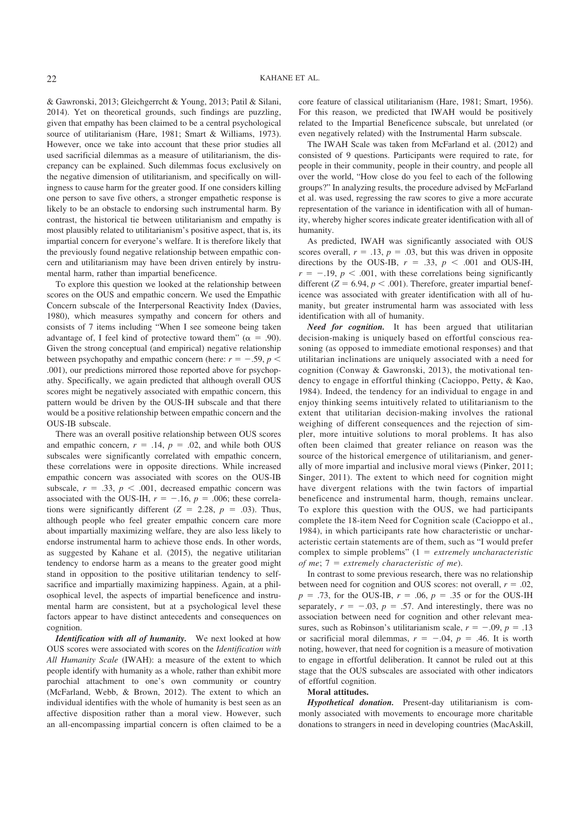& Gawronski, 2013; Gleichgerrcht & Young, 2013; Patil & Silani, 2014). Yet on theoretical grounds, such findings are puzzling, given that empathy has been claimed to be a central psychological source of utilitarianism (Hare, 1981; Smart & Williams, 1973). However, once we take into account that these prior studies all used sacrificial dilemmas as a measure of utilitarianism, the discrepancy can be explained. Such dilemmas focus exclusively on the negative dimension of utilitarianism, and specifically on willingness to cause harm for the greater good. If one considers killing one person to save five others, a stronger empathetic response is likely to be an obstacle to endorsing such instrumental harm. By contrast, the historical tie between utilitarianism and empathy is most plausibly related to utilitarianism's positive aspect, that is, its impartial concern for everyone's welfare. It is therefore likely that the previously found negative relationship between empathic concern and utilitarianism may have been driven entirely by instrumental harm, rather than impartial beneficence.

To explore this question we looked at the relationship between scores on the OUS and empathic concern. We used the Empathic Concern subscale of the Interpersonal Reactivity Index (Davies, 1980), which measures sympathy and concern for others and consists of 7 items including "When I see someone being taken advantage of, I feel kind of protective toward them" ( $\alpha = .90$ ). Given the strong conceptual (and empirical) negative relationship between psychopathy and empathic concern (here:  $r = -.59$ ,  $p <$ .001), our predictions mirrored those reported above for psychopathy. Specifically, we again predicted that although overall OUS scores might be negatively associated with empathic concern, this pattern would be driven by the OUS-IH subscale and that there would be a positive relationship between empathic concern and the OUS-IB subscale.

There was an overall positive relationship between OUS scores and empathic concern,  $r = .14$ ,  $p = .02$ , and while both OUS subscales were significantly correlated with empathic concern, these correlations were in opposite directions. While increased empathic concern was associated with scores on the OUS-IB subscale,  $r = .33$ ,  $p < .001$ , decreased empathic concern was associated with the OUS-IH,  $r = -.16$ ,  $p = .006$ ; these correlations were significantly different  $(Z = 2.28, p = .03)$ . Thus, although people who feel greater empathic concern care more about impartially maximizing welfare, they are also less likely to endorse instrumental harm to achieve those ends. In other words, as suggested by Kahane et al. (2015), the negative utilitarian tendency to endorse harm as a means to the greater good might stand in opposition to the positive utilitarian tendency to selfsacrifice and impartially maximizing happiness. Again, at a philosophical level, the aspects of impartial beneficence and instrumental harm are consistent, but at a psychological level these factors appear to have distinct antecedents and consequences on cognition.

*Identification with all of humanity.* We next looked at how OUS scores were associated with scores on the *Identification with All Humanity Scale* (IWAH): a measure of the extent to which people identify with humanity as a whole, rather than exhibit more parochial attachment to one's own community or country (McFarland, Webb, & Brown, 2012). The extent to which an individual identifies with the whole of humanity is best seen as an affective disposition rather than a moral view. However, such an all-encompassing impartial concern is often claimed to be a core feature of classical utilitarianism (Hare, 1981; Smart, 1956). For this reason, we predicted that IWAH would be positively related to the Impartial Beneficence subscale, but unrelated (or even negatively related) with the Instrumental Harm subscale.

The IWAH Scale was taken from McFarland et al. (2012) and consisted of 9 questions. Participants were required to rate, for people in their community, people in their country, and people all over the world, "How close do you feel to each of the following groups?" In analyzing results, the procedure advised by McFarland et al. was used, regressing the raw scores to give a more accurate representation of the variance in identification with all of humanity, whereby higher scores indicate greater identification with all of humanity.

As predicted, IWAH was significantly associated with OUS scores overall,  $r = .13$ ,  $p = .03$ , but this was driven in opposite directions by the OUS-IB,  $r = .33$ ,  $p < .001$  and OUS-IH,  $r = -.19$ ,  $p < .001$ , with these correlations being significantly different  $(Z = 6.94, p < .001)$ . Therefore, greater impartial beneficence was associated with greater identification with all of humanity, but greater instrumental harm was associated with less identification with all of humanity.

*Need for cognition.* It has been argued that utilitarian decision-making is uniquely based on effortful conscious reasoning (as opposed to immediate emotional responses) and that utilitarian inclinations are uniquely associated with a need for cognition (Conway & Gawronski, 2013), the motivational tendency to engage in effortful thinking (Cacioppo, Petty, & Kao, 1984). Indeed, the tendency for an individual to engage in and enjoy thinking seems intuitively related to utilitarianism to the extent that utilitarian decision-making involves the rational weighing of different consequences and the rejection of simpler, more intuitive solutions to moral problems. It has also often been claimed that greater reliance on reason was the source of the historical emergence of utilitarianism, and generally of more impartial and inclusive moral views (Pinker, 2011; Singer, 2011). The extent to which need for cognition might have divergent relations with the twin factors of impartial beneficence and instrumental harm, though, remains unclear. To explore this question with the OUS, we had participants complete the 18-item Need for Cognition scale (Cacioppo et al., 1984), in which participants rate how characteristic or uncharacteristic certain statements are of them, such as "I would prefer complex to simple problems"  $(1 = extremely uncharacteristic$ *of me*;  $7 =$  *extremely characteristic of me*).

In contrast to some previous research, there was no relationship between need for cognition and OUS scores: not overall,  $r = .02$ ,  $p = .73$ , for the OUS-IB,  $r = .06$ ,  $p = .35$  or for the OUS-IH separately,  $r = -.03$ ,  $p = .57$ . And interestingly, there was no association between need for cognition and other relevant measures, such as Robinson's utilitarianism scale,  $r = -.09$ ,  $p = .13$ or sacrificial moral dilemmas,  $r = -.04$ ,  $p = .46$ . It is worth noting, however, that need for cognition is a measure of motivation to engage in effortful deliberation. It cannot be ruled out at this stage that the OUS subscales are associated with other indicators of effortful cognition.

#### **Moral attitudes.**

*Hypothetical donation.* Present-day utilitarianism is commonly associated with movements to encourage more charitable donations to strangers in need in developing countries (MacAskill,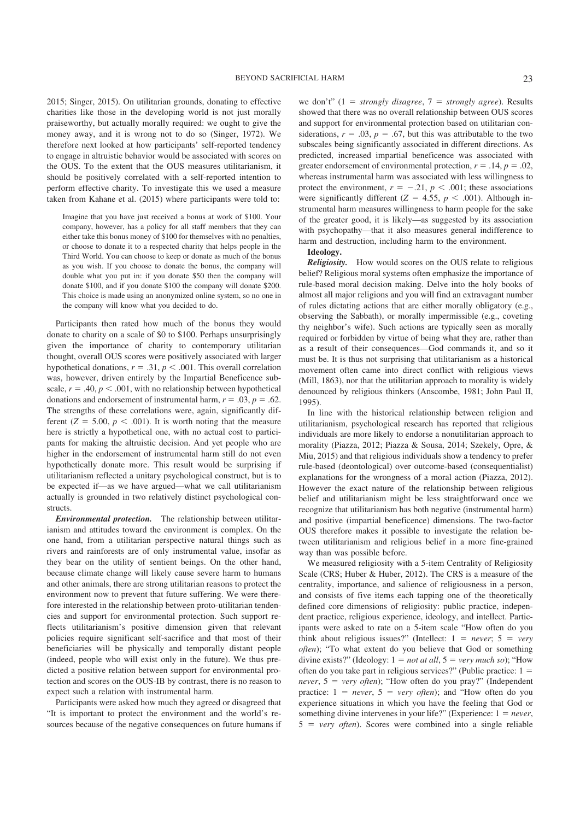2015; Singer, 2015). On utilitarian grounds, donating to effective charities like those in the developing world is not just morally praiseworthy, but actually morally required: we ought to give the money away, and it is wrong not to do so (Singer, 1972). We therefore next looked at how participants' self-reported tendency to engage in altruistic behavior would be associated with scores on the OUS. To the extent that the OUS measures utilitarianism, it should be positively correlated with a self-reported intention to perform effective charity. To investigate this we used a measure taken from Kahane et al. (2015) where participants were told to:

Imagine that you have just received a bonus at work of \$100. Your company, however, has a policy for all staff members that they can either take this bonus money of \$100 for themselves with no penalties, or choose to donate it to a respected charity that helps people in the Third World. You can choose to keep or donate as much of the bonus as you wish. If you choose to donate the bonus, the company will double what you put in: if you donate \$50 then the company will donate \$100, and if you donate \$100 the company will donate \$200. This choice is made using an anonymized online system, so no one in the company will know what you decided to do.

Participants then rated how much of the bonus they would donate to charity on a scale of \$0 to \$100. Perhaps unsurprisingly given the importance of charity to contemporary utilitarian thought, overall OUS scores were positively associated with larger hypothetical donations,  $r = .31$ ,  $p < .001$ . This overall correlation was, however, driven entirely by the Impartial Beneficence subscale,  $r = .40$ ,  $p < .001$ , with no relationship between hypothetical donations and endorsement of instrumental harm,  $r = .03$ ,  $p = .62$ . The strengths of these correlations were, again, significantly different  $(Z = 5.00, p < .001)$ . It is worth noting that the measure here is strictly a hypothetical one, with no actual cost to participants for making the altruistic decision. And yet people who are higher in the endorsement of instrumental harm still do not even hypothetically donate more. This result would be surprising if utilitarianism reflected a unitary psychological construct, but is to be expected if—as we have argued—what we call utilitarianism actually is grounded in two relatively distinct psychological constructs.

*Environmental protection.* The relationship between utilitarianism and attitudes toward the environment is complex. On the one hand, from a utilitarian perspective natural things such as rivers and rainforests are of only instrumental value, insofar as they bear on the utility of sentient beings. On the other hand, because climate change will likely cause severe harm to humans and other animals, there are strong utilitarian reasons to protect the environment now to prevent that future suffering. We were therefore interested in the relationship between proto-utilitarian tendencies and support for environmental protection. Such support reflects utilitarianism's positive dimension given that relevant policies require significant self-sacrifice and that most of their beneficiaries will be physically and temporally distant people (indeed, people who will exist only in the future). We thus predicted a positive relation between support for environmental protection and scores on the OUS-IB by contrast, there is no reason to expect such a relation with instrumental harm.

Participants were asked how much they agreed or disagreed that "It is important to protect the environment and the world's resources because of the negative consequences on future humans if we don't"  $(1 = strongly disagree, 7 = strongly agree)$ . Results showed that there was no overall relationship between OUS scores and support for environmental protection based on utilitarian considerations,  $r = .03$ ,  $p = .67$ , but this was attributable to the two subscales being significantly associated in different directions. As predicted, increased impartial beneficence was associated with greater endorsement of environmental protection,  $r = .14$ ,  $p = .02$ , whereas instrumental harm was associated with less willingness to protect the environment,  $r = -.21$ ,  $p < .001$ ; these associations were significantly different ( $Z = 4.55$ ,  $p < .001$ ). Although instrumental harm measures willingness to harm people for the sake of the greater good, it is likely—as suggested by its association with psychopathy—that it also measures general indifference to harm and destruction, including harm to the environment.

**Ideology.**

*Religiosity.* How would scores on the OUS relate to religious belief? Religious moral systems often emphasize the importance of rule-based moral decision making. Delve into the holy books of almost all major religions and you will find an extravagant number of rules dictating actions that are either morally obligatory (e.g., observing the Sabbath), or morally impermissible (e.g., coveting thy neighbor's wife). Such actions are typically seen as morally required or forbidden by virtue of being what they are, rather than as a result of their consequences—God commands it, and so it must be. It is thus not surprising that utilitarianism as a historical movement often came into direct conflict with religious views (Mill, 1863), nor that the utilitarian approach to morality is widely denounced by religious thinkers (Anscombe, 1981; John Paul II, 1995).

In line with the historical relationship between religion and utilitarianism, psychological research has reported that religious individuals are more likely to endorse a nonutilitarian approach to morality (Piazza, 2012; Piazza & Sousa, 2014; Szekely, Opre, & Miu, 2015) and that religious individuals show a tendency to prefer rule-based (deontological) over outcome-based (consequentialist) explanations for the wrongness of a moral action (Piazza, 2012). However the exact nature of the relationship between religious belief and utilitarianism might be less straightforward once we recognize that utilitarianism has both negative (instrumental harm) and positive (impartial beneficence) dimensions. The two-factor OUS therefore makes it possible to investigate the relation between utilitarianism and religious belief in a more fine-grained way than was possible before.

We measured religiosity with a 5-item Centrality of Religiosity Scale (CRS; Huber & Huber, 2012). The CRS is a measure of the centrality, importance, and salience of religiousness in a person, and consists of five items each tapping one of the theoretically defined core dimensions of religiosity: public practice, independent practice, religious experience, ideology, and intellect. Participants were asked to rate on a 5-item scale "How often do you think about religious issues?" (Intellect:  $1 = never$ ;  $5 = very$ *often*); "To what extent do you believe that God or something divine exists?" (Ideology:  $1 = not at all$ ,  $5 = very much so$ ); "How often do you take part in religious services?" (Public practice:  $1 =$ *never*,  $5 = very often$ ; "How often do you pray?" (Independent practice:  $1 = never$ ,  $5 = very often$ ; and "How often do you experience situations in which you have the feeling that God or something divine intervenes in your life?" (Experience:  $1 = never$ ,  $5$  = *very often*). Scores were combined into a single reliable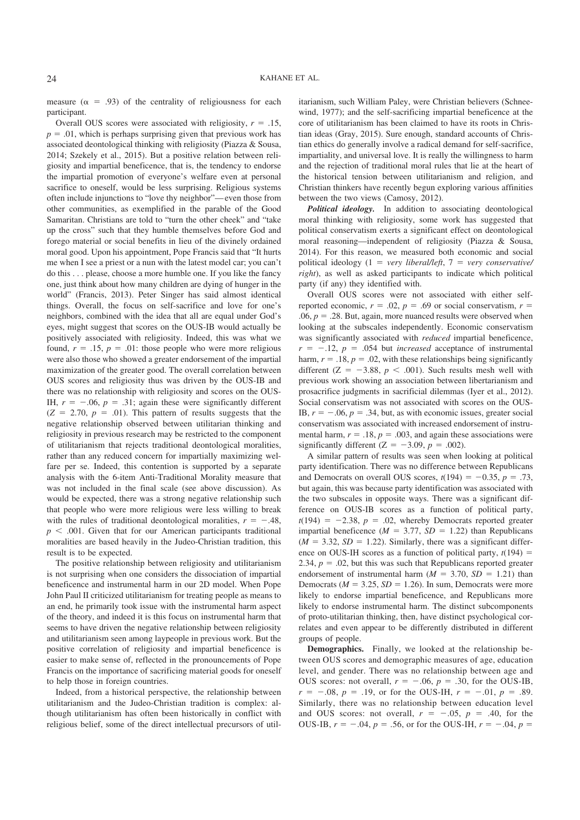measure ( $\alpha$  = .93) of the centrality of religiousness for each participant.

Overall OUS scores were associated with religiosity,  $r = .15$ ,  $p = .01$ , which is perhaps surprising given that previous work has associated deontological thinking with religiosity (Piazza & Sousa, 2014; Szekely et al., 2015). But a positive relation between religiosity and impartial beneficence, that is, the tendency to endorse the impartial promotion of everyone's welfare even at personal sacrifice to oneself, would be less surprising. Religious systems often include injunctions to "love thy neighbor"—even those from other communities, as exemplified in the parable of the Good Samaritan. Christians are told to "turn the other cheek" and "take up the cross" such that they humble themselves before God and forego material or social benefits in lieu of the divinely ordained moral good. Upon his appointment, Pope Francis said that "It hurts me when I see a priest or a nun with the latest model car; you can't do this . . . please, choose a more humble one. If you like the fancy one, just think about how many children are dying of hunger in the world" (Francis, 2013). Peter Singer has said almost identical things. Overall, the focus on self-sacrifice and love for one's neighbors, combined with the idea that all are equal under God's eyes, might suggest that scores on the OUS-IB would actually be positively associated with religiosity. Indeed, this was what we found,  $r = .15$ ,  $p = .01$ : those people who were more religious were also those who showed a greater endorsement of the impartial maximization of the greater good. The overall correlation between OUS scores and religiosity thus was driven by the OUS-IB and there was no relationship with religiosity and scores on the OUS-IH,  $r = -.06$ ,  $p = .31$ ; again these were significantly different  $(Z = 2.70, p = .01)$ . This pattern of results suggests that the negative relationship observed between utilitarian thinking and religiosity in previous research may be restricted to the component of utilitarianism that rejects traditional deontological moralities, rather than any reduced concern for impartially maximizing welfare per se. Indeed, this contention is supported by a separate analysis with the 6-item Anti-Traditional Morality measure that was not included in the final scale (see above discussion). As would be expected, there was a strong negative relationship such that people who were more religious were less willing to break with the rules of traditional deontological moralities,  $r = -.48$ ,  $p < .001$ . Given that for our American participants traditional moralities are based heavily in the Judeo-Christian tradition, this result is to be expected.

The positive relationship between religiosity and utilitarianism is not surprising when one considers the dissociation of impartial beneficence and instrumental harm in our 2D model. When Pope John Paul II criticized utilitarianism for treating people as means to an end, he primarily took issue with the instrumental harm aspect of the theory, and indeed it is this focus on instrumental harm that seems to have driven the negative relationship between religiosity and utilitarianism seen among laypeople in previous work. But the positive correlation of religiosity and impartial beneficence is easier to make sense of, reflected in the pronouncements of Pope Francis on the importance of sacrificing material goods for oneself to help those in foreign countries.

Indeed, from a historical perspective, the relationship between utilitarianism and the Judeo-Christian tradition is complex: although utilitarianism has often been historically in conflict with religious belief, some of the direct intellectual precursors of utilitarianism, such William Paley, were Christian believers (Schneewind, 1977); and the self-sacrificing impartial beneficence at the core of utilitarianism has been claimed to have its roots in Christian ideas (Gray, 2015). Sure enough, standard accounts of Christian ethics do generally involve a radical demand for self-sacrifice, impartiality, and universal love. It is really the willingness to harm and the rejection of traditional moral rules that lie at the heart of the historical tension between utilitarianism and religion, and Christian thinkers have recently begun exploring various affinities between the two views (Camosy, 2012).

*Political ideology.* In addition to associating deontological moral thinking with religiosity, some work has suggested that political conservatism exerts a significant effect on deontological moral reasoning—independent of religiosity (Piazza & Sousa, 2014). For this reason, we measured both economic and social political ideology (1 = *very liberal/left*, 7 = *very conservative/ right*), as well as asked participants to indicate which political party (if any) they identified with.

Overall OUS scores were not associated with either selfreported economic,  $r = .02$ ,  $p = .69$  or social conservatism,  $r =$ .06,  $p = 0.28$ . But, again, more nuanced results were observed when looking at the subscales independently. Economic conservatism was significantly associated with *reduced* impartial beneficence,  $r = -.12$ ,  $p = .054$  but *increased* acceptance of instrumental harm,  $r = .18$ ,  $p = .02$ , with these relationships being significantly different ( $Z = -3.88$ ,  $p < .001$ ). Such results mesh well with previous work showing an association between libertarianism and prosacrifice judgments in sacrificial dilemmas (Iyer et al., 2012). Social conservatism was not associated with scores on the OUS-IB,  $r = -.06$ ,  $p = .34$ , but, as with economic issues, greater social conservatism was associated with increased endorsement of instrumental harm,  $r = .18$ ,  $p = .003$ , and again these associations were significantly different  $(Z = -3.09, p = .002)$ .

A similar pattern of results was seen when looking at political party identification. There was no difference between Republicans and Democrats on overall OUS scores,  $t(194) = -0.35$ ,  $p = .73$ , but again, this was because party identification was associated with the two subscales in opposite ways. There was a significant difference on OUS-IB scores as a function of political party,  $t(194) = -2.38$ ,  $p = .02$ , whereby Democrats reported greater impartial beneficence ( $M = 3.77$ ,  $SD = 1.22$ ) than Republicans  $(M = 3.32, SD = 1.22)$ . Similarly, there was a significant difference on OUS-IH scores as a function of political party,  $t(194)$  = 2.34,  $p = .02$ , but this was such that Republicans reported greater endorsement of instrumental harm  $(M = 3.70, SD = 1.21)$  than Democrats ( $M = 3.25$ ,  $SD = 1.26$ ). In sum, Democrats were more likely to endorse impartial beneficence, and Republicans more likely to endorse instrumental harm. The distinct subcomponents of proto-utilitarian thinking, then, have distinct psychological correlates and even appear to be differently distributed in different groups of people.

**Demographics.** Finally, we looked at the relationship between OUS scores and demographic measures of age, education level, and gender. There was no relationship between age and OUS scores: not overall,  $r = -.06$ ,  $p = .30$ , for the OUS-IB,  $r = -.08$ ,  $p = .19$ , or for the OUS-IH,  $r = -.01$ ,  $p = .89$ . Similarly, there was no relationship between education level and OUS scores: not overall,  $r = -.05$ ,  $p = .40$ , for the OUS-IB,  $r = -.04$ ,  $p = .56$ , or for the OUS-IH,  $r = -.04$ ,  $p =$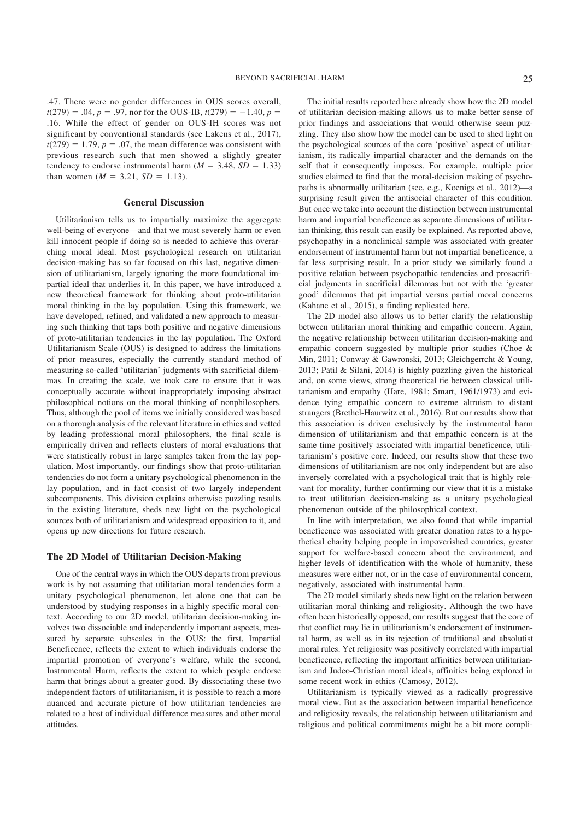.47. There were no gender differences in OUS scores overall,  $t(279) = .04$ ,  $p = .97$ , nor for the OUS-IB,  $t(279) = -1.40$ ,  $p =$ .16. While the effect of gender on OUS-IH scores was not significant by conventional standards (see Lakens et al., 2017),  $t(279) = 1.79$ ,  $p = .07$ , the mean difference was consistent with previous research such that men showed a slightly greater tendency to endorse instrumental harm  $(M = 3.48, SD = 1.33)$ than women  $(M = 3.21, SD = 1.13)$ .

#### **General Discussion**

Utilitarianism tells us to impartially maximize the aggregate well-being of everyone—and that we must severely harm or even kill innocent people if doing so is needed to achieve this overarching moral ideal. Most psychological research on utilitarian decision-making has so far focused on this last, negative dimension of utilitarianism, largely ignoring the more foundational impartial ideal that underlies it. In this paper, we have introduced a new theoretical framework for thinking about proto-utilitarian moral thinking in the lay population. Using this framework, we have developed, refined, and validated a new approach to measuring such thinking that taps both positive and negative dimensions of proto-utilitarian tendencies in the lay population. The Oxford Utilitarianism Scale (OUS) is designed to address the limitations of prior measures, especially the currently standard method of measuring so-called 'utilitarian' judgments with sacrificial dilemmas. In creating the scale, we took care to ensure that it was conceptually accurate without inappropriately imposing abstract philosophical notions on the moral thinking of nonphilosophers. Thus, although the pool of items we initially considered was based on a thorough analysis of the relevant literature in ethics and vetted by leading professional moral philosophers, the final scale is empirically driven and reflects clusters of moral evaluations that were statistically robust in large samples taken from the lay population. Most importantly, our findings show that proto-utilitarian tendencies do not form a unitary psychological phenomenon in the lay population, and in fact consist of two largely independent subcomponents. This division explains otherwise puzzling results in the existing literature, sheds new light on the psychological sources both of utilitarianism and widespread opposition to it, and opens up new directions for future research.

#### **The 2D Model of Utilitarian Decision-Making**

One of the central ways in which the OUS departs from previous work is by not assuming that utilitarian moral tendencies form a unitary psychological phenomenon, let alone one that can be understood by studying responses in a highly specific moral context. According to our 2D model, utilitarian decision-making involves two dissociable and independently important aspects, measured by separate subscales in the OUS: the first, Impartial Beneficence, reflects the extent to which individuals endorse the impartial promotion of everyone's welfare, while the second, Instrumental Harm, reflects the extent to which people endorse harm that brings about a greater good. By dissociating these two independent factors of utilitarianism, it is possible to reach a more nuanced and accurate picture of how utilitarian tendencies are related to a host of individual difference measures and other moral attitudes.

The initial results reported here already show how the 2D model of utilitarian decision-making allows us to make better sense of prior findings and associations that would otherwise seem puzzling. They also show how the model can be used to shed light on the psychological sources of the core 'positive' aspect of utilitarianism, its radically impartial character and the demands on the self that it consequently imposes. For example, multiple prior studies claimed to find that the moral-decision making of psychopaths is abnormally utilitarian (see, e.g., Koenigs et al., 2012)—a surprising result given the antisocial character of this condition. But once we take into account the distinction between instrumental harm and impartial beneficence as separate dimensions of utilitarian thinking, this result can easily be explained. As reported above, psychopathy in a nonclinical sample was associated with greater endorsement of instrumental harm but not impartial beneficence, a far less surprising result. In a prior study we similarly found a positive relation between psychopathic tendencies and prosacrificial judgments in sacrificial dilemmas but not with the 'greater good' dilemmas that pit impartial versus partial moral concerns (Kahane et al., 2015), a finding replicated here.

The 2D model also allows us to better clarify the relationship between utilitarian moral thinking and empathic concern. Again, the negative relationship between utilitarian decision-making and empathic concern suggested by multiple prior studies (Choe & Min, 2011; Conway & Gawronski, 2013; Gleichgerrcht & Young, 2013; Patil & Silani, 2014) is highly puzzling given the historical and, on some views, strong theoretical tie between classical utilitarianism and empathy (Hare, 1981; Smart, 1961/1973) and evidence tying empathic concern to extreme altruism to distant strangers (Brethel-Haurwitz et al., 2016). But our results show that this association is driven exclusively by the instrumental harm dimension of utilitarianism and that empathic concern is at the same time positively associated with impartial beneficence, utilitarianism's positive core. Indeed, our results show that these two dimensions of utilitarianism are not only independent but are also inversely correlated with a psychological trait that is highly relevant for morality, further confirming our view that it is a mistake to treat utilitarian decision-making as a unitary psychological phenomenon outside of the philosophical context.

In line with interpretation, we also found that while impartial beneficence was associated with greater donation rates to a hypothetical charity helping people in impoverished countries, greater support for welfare-based concern about the environment, and higher levels of identification with the whole of humanity, these measures were either not, or in the case of environmental concern, negatively, associated with instrumental harm.

The 2D model similarly sheds new light on the relation between utilitarian moral thinking and religiosity. Although the two have often been historically opposed, our results suggest that the core of that conflict may lie in utilitarianism's endorsement of instrumental harm, as well as in its rejection of traditional and absolutist moral rules. Yet religiosity was positively correlated with impartial beneficence, reflecting the important affinities between utilitarianism and Judeo-Christian moral ideals, affinities being explored in some recent work in ethics (Camosy, 2012).

Utilitarianism is typically viewed as a radically progressive moral view. But as the association between impartial beneficence and religiosity reveals, the relationship between utilitarianism and religious and political commitments might be a bit more compli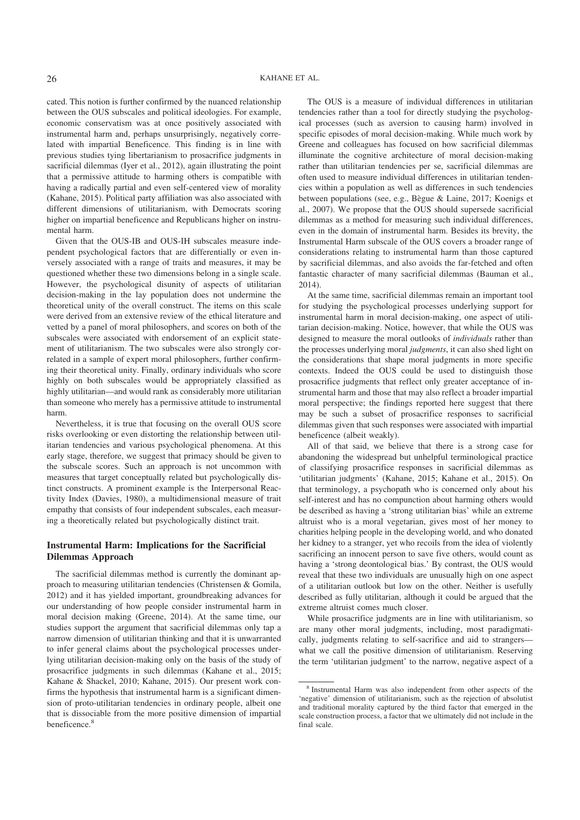cated. This notion is further confirmed by the nuanced relationship between the OUS subscales and political ideologies. For example, economic conservatism was at once positively associated with instrumental harm and, perhaps unsurprisingly, negatively correlated with impartial Beneficence. This finding is in line with previous studies tying libertarianism to prosacrifice judgments in sacrificial dilemmas (Iyer et al., 2012), again illustrating the point that a permissive attitude to harming others is compatible with having a radically partial and even self-centered view of morality (Kahane, 2015). Political party affiliation was also associated with different dimensions of utilitarianism, with Democrats scoring higher on impartial beneficence and Republicans higher on instrumental harm.

Given that the OUS-IB and OUS-IH subscales measure independent psychological factors that are differentially or even inversely associated with a range of traits and measures, it may be questioned whether these two dimensions belong in a single scale. However, the psychological disunity of aspects of utilitarian decision-making in the lay population does not undermine the theoretical unity of the overall construct. The items on this scale were derived from an extensive review of the ethical literature and vetted by a panel of moral philosophers, and scores on both of the subscales were associated with endorsement of an explicit statement of utilitarianism. The two subscales were also strongly correlated in a sample of expert moral philosophers, further confirming their theoretical unity. Finally, ordinary individuals who score highly on both subscales would be appropriately classified as highly utilitarian—and would rank as considerably more utilitarian than someone who merely has a permissive attitude to instrumental harm.

Nevertheless, it is true that focusing on the overall OUS score risks overlooking or even distorting the relationship between utilitarian tendencies and various psychological phenomena. At this early stage, therefore, we suggest that primacy should be given to the subscale scores. Such an approach is not uncommon with measures that target conceptually related but psychologically distinct constructs. A prominent example is the Interpersonal Reactivity Index (Davies, 1980), a multidimensional measure of trait empathy that consists of four independent subscales, each measuring a theoretically related but psychologically distinct trait.

#### **Instrumental Harm: Implications for the Sacrificial Dilemmas Approach**

The sacrificial dilemmas method is currently the dominant approach to measuring utilitarian tendencies (Christensen & Gomila, 2012) and it has yielded important, groundbreaking advances for our understanding of how people consider instrumental harm in moral decision making (Greene, 2014). At the same time, our studies support the argument that sacrificial dilemmas only tap a narrow dimension of utilitarian thinking and that it is unwarranted to infer general claims about the psychological processes underlying utilitarian decision-making only on the basis of the study of prosacrifice judgments in such dilemmas (Kahane et al., 2015; Kahane & Shackel, 2010; Kahane, 2015). Our present work confirms the hypothesis that instrumental harm is a significant dimension of proto-utilitarian tendencies in ordinary people, albeit one that is dissociable from the more positive dimension of impartial beneficence.<sup>8</sup>

The OUS is a measure of individual differences in utilitarian tendencies rather than a tool for directly studying the psychological processes (such as aversion to causing harm) involved in specific episodes of moral decision-making. While much work by Greene and colleagues has focused on how sacrificial dilemmas illuminate the cognitive architecture of moral decision-making rather than utilitarian tendencies per se, sacrificial dilemmas are often used to measure individual differences in utilitarian tendencies within a population as well as differences in such tendencies between populations (see, e.g., Bègue & Laine, 2017; Koenigs et al., 2007). We propose that the OUS should supersede sacrificial dilemmas as a method for measuring such individual differences, even in the domain of instrumental harm. Besides its brevity, the Instrumental Harm subscale of the OUS covers a broader range of considerations relating to instrumental harm than those captured by sacrificial dilemmas, and also avoids the far-fetched and often fantastic character of many sacrificial dilemmas (Bauman et al., 2014).

At the same time, sacrificial dilemmas remain an important tool for studying the psychological processes underlying support for instrumental harm in moral decision-making, one aspect of utilitarian decision-making. Notice, however, that while the OUS was designed to measure the moral outlooks of *individuals* rather than the processes underlying moral *judgments*, it can also shed light on the considerations that shape moral judgments in more specific contexts. Indeed the OUS could be used to distinguish those prosacrifice judgments that reflect only greater acceptance of instrumental harm and those that may also reflect a broader impartial moral perspective; the findings reported here suggest that there may be such a subset of prosacrifice responses to sacrificial dilemmas given that such responses were associated with impartial beneficence (albeit weakly).

All of that said, we believe that there is a strong case for abandoning the widespread but unhelpful terminological practice of classifying prosacrifice responses in sacrificial dilemmas as 'utilitarian judgments' (Kahane, 2015; Kahane et al., 2015). On that terminology, a psychopath who is concerned only about his self-interest and has no compunction about harming others would be described as having a 'strong utilitarian bias' while an extreme altruist who is a moral vegetarian, gives most of her money to charities helping people in the developing world, and who donated her kidney to a stranger, yet who recoils from the idea of violently sacrificing an innocent person to save five others, would count as having a 'strong deontological bias.' By contrast, the OUS would reveal that these two individuals are unusually high on one aspect of a utilitarian outlook but low on the other. Neither is usefully described as fully utilitarian, although it could be argued that the extreme altruist comes much closer.

While prosacrifice judgments are in line with utilitarianism, so are many other moral judgments, including, most paradigmatically, judgments relating to self-sacrifice and aid to strangers what we call the positive dimension of utilitarianism. Reserving the term 'utilitarian judgment' to the narrow, negative aspect of a

<sup>8</sup> Instrumental Harm was also independent from other aspects of the 'negative' dimension of utilitarianism, such as the rejection of absolutist and traditional morality captured by the third factor that emerged in the scale construction process, a factor that we ultimately did not include in the final scale.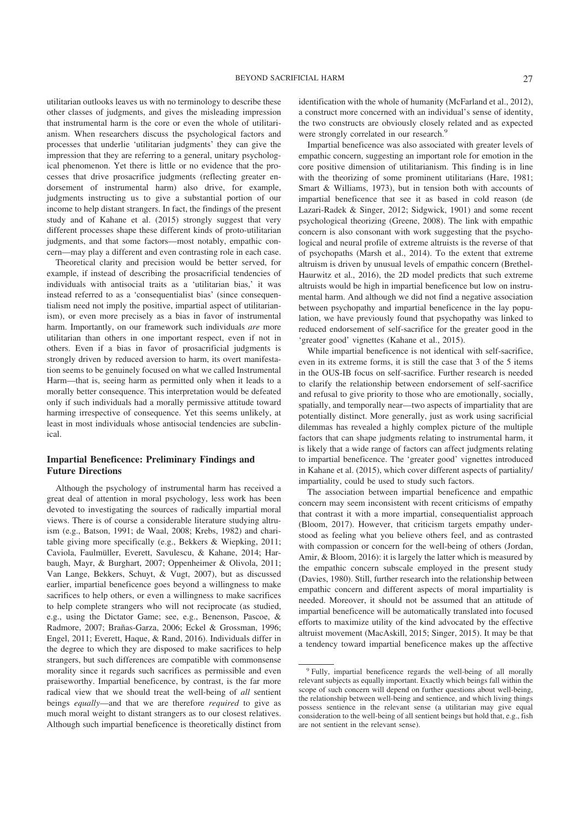utilitarian outlooks leaves us with no terminology to describe these other classes of judgments, and gives the misleading impression that instrumental harm is the core or even the whole of utilitarianism. When researchers discuss the psychological factors and processes that underlie 'utilitarian judgments' they can give the impression that they are referring to a general, unitary psychological phenomenon. Yet there is little or no evidence that the processes that drive prosacrifice judgments (reflecting greater endorsement of instrumental harm) also drive, for example, judgments instructing us to give a substantial portion of our income to help distant strangers. In fact, the findings of the present study and of Kahane et al. (2015) strongly suggest that very different processes shape these different kinds of proto-utilitarian judgments, and that some factors—most notably, empathic concern—may play a different and even contrasting role in each case.

Theoretical clarity and precision would be better served, for example, if instead of describing the prosacrificial tendencies of individuals with antisocial traits as a 'utilitarian bias,' it was instead referred to as a 'consequentialist bias' (since consequentialism need not imply the positive, impartial aspect of utilitarianism), or even more precisely as a bias in favor of instrumental harm. Importantly, on our framework such individuals *are* more utilitarian than others in one important respect, even if not in others. Even if a bias in favor of prosacrificial judgments is strongly driven by reduced aversion to harm, its overt manifestation seems to be genuinely focused on what we called Instrumental Harm—that is, seeing harm as permitted only when it leads to a morally better consequence. This interpretation would be defeated only if such individuals had a morally permissive attitude toward harming irrespective of consequence. Yet this seems unlikely, at least in most individuals whose antisocial tendencies are subclinical.

#### **Impartial Beneficence: Preliminary Findings and Future Directions**

Although the psychology of instrumental harm has received a great deal of attention in moral psychology, less work has been devoted to investigating the sources of radically impartial moral views. There is of course a considerable literature studying altruism (e.g., Batson, 1991; de Waal, 2008; Krebs, 1982) and charitable giving more specifically (e.g., Bekkers & Wiepking, 2011; Caviola, Faulmüller, Everett, Savulescu, & Kahane, 2014; Harbaugh, Mayr, & Burghart, 2007; Oppenheimer & Olivola, 2011; Van Lange, Bekkers, Schuyt, & Vugt, 2007), but as discussed earlier, impartial beneficence goes beyond a willingness to make sacrifices to help others, or even a willingness to make sacrifices to help complete strangers who will not reciprocate (as studied, e.g., using the Dictator Game; see, e.g., Benenson, Pascoe, & Radmore, 2007; Brañas-Garza, 2006; Eckel & Grossman, 1996; Engel, 2011; Everett, Haque, & Rand, 2016). Individuals differ in the degree to which they are disposed to make sacrifices to help strangers, but such differences are compatible with commonsense morality since it regards such sacrifices as permissible and even praiseworthy. Impartial beneficence, by contrast, is the far more radical view that we should treat the well-being of *all* sentient beings *equally*—and that we are therefore *required* to give as much moral weight to distant strangers as to our closest relatives. Although such impartial beneficence is theoretically distinct from identification with the whole of humanity (McFarland et al., 2012), a construct more concerned with an individual's sense of identity, the two constructs are obviously closely related and as expected were strongly correlated in our research.<sup>9</sup>

Impartial beneficence was also associated with greater levels of empathic concern, suggesting an important role for emotion in the core positive dimension of utilitarianism. This finding is in line with the theorizing of some prominent utilitarians (Hare, 1981; Smart & Williams, 1973), but in tension both with accounts of impartial beneficence that see it as based in cold reason (de Lazari-Radek & Singer, 2012; Sidgwick, 1901) and some recent psychological theorizing (Greene, 2008). The link with empathic concern is also consonant with work suggesting that the psychological and neural profile of extreme altruists is the reverse of that of psychopaths (Marsh et al., 2014). To the extent that extreme altruism is driven by unusual levels of empathic concern (Brethel-Haurwitz et al., 2016), the 2D model predicts that such extreme altruists would be high in impartial beneficence but low on instrumental harm. And although we did not find a negative association between psychopathy and impartial beneficence in the lay population, we have previously found that psychopathy was linked to reduced endorsement of self-sacrifice for the greater good in the 'greater good' vignettes (Kahane et al., 2015).

While impartial beneficence is not identical with self-sacrifice, even in its extreme forms, it is still the case that 3 of the 5 items in the OUS-IB focus on self-sacrifice. Further research is needed to clarify the relationship between endorsement of self-sacrifice and refusal to give priority to those who are emotionally, socially, spatially, and temporally near—two aspects of impartiality that are potentially distinct. More generally, just as work using sacrificial dilemmas has revealed a highly complex picture of the multiple factors that can shape judgments relating to instrumental harm, it is likely that a wide range of factors can affect judgments relating to impartial beneficence. The 'greater good' vignettes introduced in Kahane et al. (2015), which cover different aspects of partiality/ impartiality, could be used to study such factors.

The association between impartial beneficence and empathic concern may seem inconsistent with recent criticisms of empathy that contrast it with a more impartial, consequentialist approach (Bloom, 2017). However, that criticism targets empathy understood as feeling what you believe others feel, and as contrasted with compassion or concern for the well-being of others (Jordan, Amir, & Bloom, 2016): it is largely the latter which is measured by the empathic concern subscale employed in the present study (Davies, 1980). Still, further research into the relationship between empathic concern and different aspects of moral impartiality is needed. Moreover, it should not be assumed that an attitude of impartial beneficence will be automatically translated into focused efforts to maximize utility of the kind advocated by the effective altruist movement (MacAskill, 2015; Singer, 2015). It may be that a tendency toward impartial beneficence makes up the affective

<sup>&</sup>lt;sup>9</sup> Fully, impartial beneficence regards the well-being of all morally relevant subjects as equally important. Exactly which beings fall within the scope of such concern will depend on further questions about well-being, the relationship between well-being and sentience, and which living things possess sentience in the relevant sense (a utilitarian may give equal consideration to the well-being of all sentient beings but hold that, e.g., fish are not sentient in the relevant sense).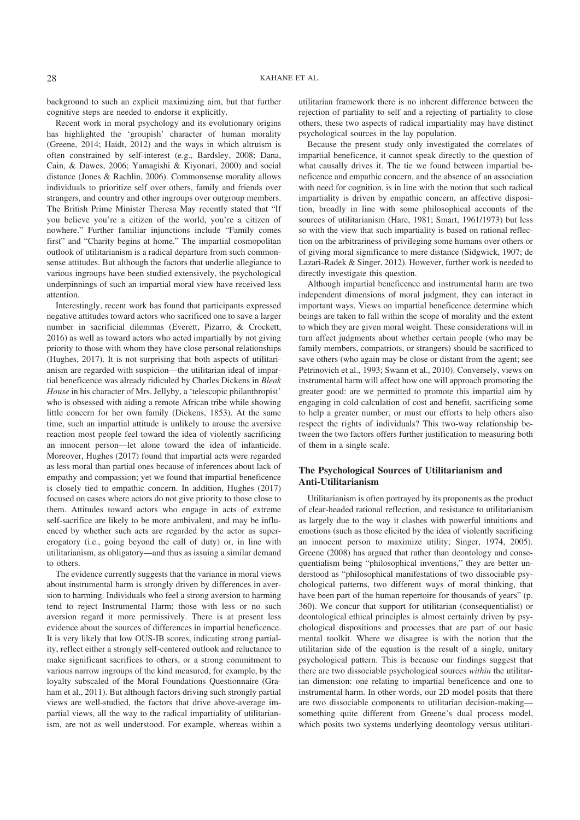background to such an explicit maximizing aim, but that further cognitive steps are needed to endorse it explicitly.

Recent work in moral psychology and its evolutionary origins has highlighted the 'groupish' character of human morality (Greene, 2014; Haidt, 2012) and the ways in which altruism is often constrained by self-interest (e.g., Bardsley, 2008; Dana, Cain, & Dawes, 2006; Yamagishi & Kiyonari, 2000) and social distance (Jones & Rachlin, 2006). Commonsense morality allows individuals to prioritize self over others, family and friends over strangers, and country and other ingroups over outgroup members. The British Prime Minister Theresa May recently stated that "If you believe you're a citizen of the world, you're a citizen of nowhere." Further familiar injunctions include "Family comes first" and "Charity begins at home." The impartial cosmopolitan outlook of utilitarianism is a radical departure from such commonsense attitudes. But although the factors that underlie allegiance to various ingroups have been studied extensively, the psychological underpinnings of such an impartial moral view have received less attention.

Interestingly, recent work has found that participants expressed negative attitudes toward actors who sacrificed one to save a larger number in sacrificial dilemmas (Everett, Pizarro, & Crockett, 2016) as well as toward actors who acted impartially by not giving priority to those with whom they have close personal relationships (Hughes, 2017). It is not surprising that both aspects of utilitarianism are regarded with suspicion—the utilitarian ideal of impartial beneficence was already ridiculed by Charles Dickens in *Bleak House* in his character of Mrs. Jellyby, a 'telescopic philanthropist' who is obsessed with aiding a remote African tribe while showing little concern for her own family (Dickens, 1853). At the same time, such an impartial attitude is unlikely to arouse the aversive reaction most people feel toward the idea of violently sacrificing an innocent person—let alone toward the idea of infanticide. Moreover, Hughes (2017) found that impartial acts were regarded as less moral than partial ones because of inferences about lack of empathy and compassion; yet we found that impartial beneficence is closely tied to empathic concern. In addition, Hughes (2017) focused on cases where actors do not give priority to those close to them. Attitudes toward actors who engage in acts of extreme self-sacrifice are likely to be more ambivalent, and may be influenced by whether such acts are regarded by the actor as supererogatory (i.e., going beyond the call of duty) or, in line with utilitarianism, as obligatory—and thus as issuing a similar demand to others.

The evidence currently suggests that the variance in moral views about instrumental harm is strongly driven by differences in aversion to harming. Individuals who feel a strong aversion to harming tend to reject Instrumental Harm; those with less or no such aversion regard it more permissively. There is at present less evidence about the sources of differences in impartial beneficence. It is very likely that low OUS-IB scores, indicating strong partiality, reflect either a strongly self-centered outlook and reluctance to make significant sacrifices to others, or a strong commitment to various narrow ingroups of the kind measured, for example, by the loyalty subscaled of the Moral Foundations Questionnaire (Graham et al., 2011). But although factors driving such strongly partial views are well-studied, the factors that drive above-average impartial views, all the way to the radical impartiality of utilitarianism, are not as well understood. For example, whereas within a utilitarian framework there is no inherent difference between the rejection of partiality to self and a rejecting of partiality to close others, these two aspects of radical impartiality may have distinct psychological sources in the lay population.

Because the present study only investigated the correlates of impartial beneficence, it cannot speak directly to the question of what causally drives it. The tie we found between impartial beneficence and empathic concern, and the absence of an association with need for cognition, is in line with the notion that such radical impartiality is driven by empathic concern, an affective disposition, broadly in line with some philosophical accounts of the sources of utilitarianism (Hare, 1981; Smart, 1961/1973) but less so with the view that such impartiality is based on rational reflection on the arbitrariness of privileging some humans over others or of giving moral significance to mere distance (Sidgwick, 1907; de Lazari-Radek & Singer, 2012). However, further work is needed to directly investigate this question.

Although impartial beneficence and instrumental harm are two independent dimensions of moral judgment, they can interact in important ways. Views on impartial beneficence determine which beings are taken to fall within the scope of morality and the extent to which they are given moral weight. These considerations will in turn affect judgments about whether certain people (who may be family members, compatriots, or strangers) should be sacrificed to save others (who again may be close or distant from the agent; see Petrinovich et al., 1993; Swann et al., 2010). Conversely, views on instrumental harm will affect how one will approach promoting the greater good: are we permitted to promote this impartial aim by engaging in cold calculation of cost and benefit, sacrificing some to help a greater number, or must our efforts to help others also respect the rights of individuals? This two-way relationship between the two factors offers further justification to measuring both of them in a single scale.

#### **The Psychological Sources of Utilitarianism and Anti-Utilitarianism**

Utilitarianism is often portrayed by its proponents as the product of clear-headed rational reflection, and resistance to utilitarianism as largely due to the way it clashes with powerful intuitions and emotions (such as those elicited by the idea of violently sacrificing an innocent person to maximize utility; Singer, 1974, 2005). Greene (2008) has argued that rather than deontology and consequentialism being "philosophical inventions," they are better understood as "philosophical manifestations of two dissociable psychological patterns, two different ways of moral thinking, that have been part of the human repertoire for thousands of years" (p. 360). We concur that support for utilitarian (consequentialist) or deontological ethical principles is almost certainly driven by psychological dispositions and processes that are part of our basic mental toolkit. Where we disagree is with the notion that the utilitarian side of the equation is the result of a single, unitary psychological pattern. This is because our findings suggest that there are two dissociable psychological sources *within* the utilitarian dimension: one relating to impartial beneficence and one to instrumental harm. In other words, our 2D model posits that there are two dissociable components to utilitarian decision-making something quite different from Greene's dual process model, which posits two systems underlying deontology versus utilitari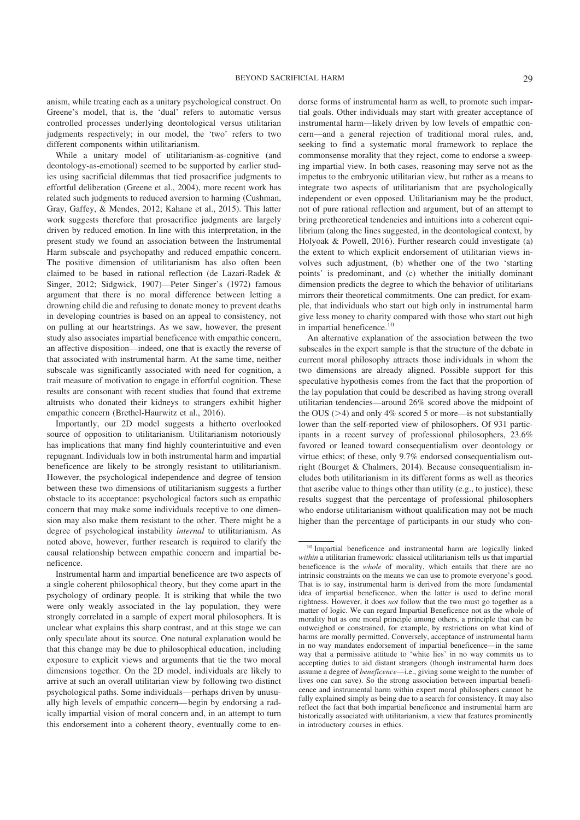anism, while treating each as a unitary psychological construct. On Greene's model, that is, the 'dual' refers to automatic versus controlled processes underlying deontological versus utilitarian judgments respectively; in our model, the 'two' refers to two different components within utilitarianism.

While a unitary model of utilitarianism-as-cognitive (and deontology-as-emotional) seemed to be supported by earlier studies using sacrificial dilemmas that tied prosacrifice judgments to effortful deliberation (Greene et al., 2004), more recent work has related such judgments to reduced aversion to harming (Cushman, Gray, Gaffey, & Mendes, 2012; Kahane et al., 2015). This latter work suggests therefore that prosacrifice judgments are largely driven by reduced emotion. In line with this interpretation, in the present study we found an association between the Instrumental Harm subscale and psychopathy and reduced empathic concern. The positive dimension of utilitarianism has also often been claimed to be based in rational reflection (de Lazari-Radek & Singer, 2012; Sidgwick, 1907)—Peter Singer's (1972) famous argument that there is no moral difference between letting a drowning child die and refusing to donate money to prevent deaths in developing countries is based on an appeal to consistency, not on pulling at our heartstrings. As we saw, however, the present study also associates impartial beneficence with empathic concern, an affective disposition—indeed, one that is exactly the reverse of that associated with instrumental harm. At the same time, neither subscale was significantly associated with need for cognition, a trait measure of motivation to engage in effortful cognition. These results are consonant with recent studies that found that extreme altruists who donated their kidneys to strangers exhibit higher empathic concern (Brethel-Haurwitz et al., 2016).

Importantly, our 2D model suggests a hitherto overlooked source of opposition to utilitarianism. Utilitarianism notoriously has implications that many find highly counterintuitive and even repugnant. Individuals low in both instrumental harm and impartial beneficence are likely to be strongly resistant to utilitarianism. However, the psychological independence and degree of tension between these two dimensions of utilitarianism suggests a further obstacle to its acceptance: psychological factors such as empathic concern that may make some individuals receptive to one dimension may also make them resistant to the other. There might be a degree of psychological instability *internal* to utilitarianism. As noted above, however, further research is required to clarify the causal relationship between empathic concern and impartial beneficence.

Instrumental harm and impartial beneficence are two aspects of a single coherent philosophical theory, but they come apart in the psychology of ordinary people. It is striking that while the two were only weakly associated in the lay population, they were strongly correlated in a sample of expert moral philosophers. It is unclear what explains this sharp contrast, and at this stage we can only speculate about its source. One natural explanation would be that this change may be due to philosophical education, including exposure to explicit views and arguments that tie the two moral dimensions together. On the 2D model, individuals are likely to arrive at such an overall utilitarian view by following two distinct psychological paths. Some individuals—perhaps driven by unusually high levels of empathic concern—begin by endorsing a radically impartial vision of moral concern and, in an attempt to turn this endorsement into a coherent theory, eventually come to endorse forms of instrumental harm as well, to promote such impartial goals. Other individuals may start with greater acceptance of instrumental harm—likely driven by low levels of empathic concern—and a general rejection of traditional moral rules, and, seeking to find a systematic moral framework to replace the commonsense morality that they reject, come to endorse a sweeping impartial view. In both cases, reasoning may serve not as the impetus to the embryonic utilitarian view, but rather as a means to integrate two aspects of utilitarianism that are psychologically independent or even opposed. Utilitarianism may be the product, not of pure rational reflection and argument, but of an attempt to bring pretheoretical tendencies and intuitions into a coherent equilibrium (along the lines suggested, in the deontological context, by Holyoak & Powell, 2016). Further research could investigate (a) the extent to which explicit endorsement of utilitarian views involves such adjustment, (b) whether one of the two 'starting points' is predominant, and (c) whether the initially dominant dimension predicts the degree to which the behavior of utilitarians mirrors their theoretical commitments. One can predict, for example, that individuals who start out high only in instrumental harm give less money to charity compared with those who start out high in impartial beneficence.<sup>10</sup>

An alternative explanation of the association between the two subscales in the expert sample is that the structure of the debate in current moral philosophy attracts those individuals in whom the two dimensions are already aligned. Possible support for this speculative hypothesis comes from the fact that the proportion of the lay population that could be described as having strong overall utilitarian tendencies—around 26% scored above the midpoint of the OUS ( $>4$ ) and only 4% scored 5 or more—is not substantially lower than the self-reported view of philosophers. Of 931 participants in a recent survey of professional philosophers, 23.6% favored or leaned toward consequentialism over deontology or virtue ethics; of these, only 9.7% endorsed consequentialism outright (Bourget & Chalmers, 2014). Because consequentialism includes both utilitarianism in its different forms as well as theories that ascribe value to things other than utility (e.g., to justice), these results suggest that the percentage of professional philosophers who endorse utilitarianism without qualification may not be much higher than the percentage of participants in our study who con-

<sup>&</sup>lt;sup>10</sup> Impartial beneficence and instrumental harm are logically linked within a utilitarian framework: classical utilitarianism tells us that impartial beneficence is the *whole* of morality, which entails that there are no intrinsic constraints on the means we can use to promote everyone's good. That is to say, instrumental harm is derived from the more fundamental idea of impartial beneficence, when the latter is used to define moral rightness. However, it does *not* follow that the two must go together as a matter of logic. We can regard Impartial Beneficence not as the whole of morality but as one moral principle among others, a principle that can be outweighed or constrained, for example, by restrictions on what kind of harms are morally permitted. Conversely, acceptance of instrumental harm in no way mandates endorsement of impartial beneficence—in the same way that a permissive attitude to 'white lies' in no way commits us to accepting duties to aid distant strangers (though instrumental harm does assume a degree of *beneficence*—i.e., giving some weight to the number of lives one can save). So the strong association between impartial beneficence and instrumental harm within expert moral philosophers cannot be fully explained simply as being due to a search for consistency. It may also reflect the fact that both impartial beneficence and instrumental harm are historically associated with utilitarianism, a view that features prominently in introductory courses in ethics.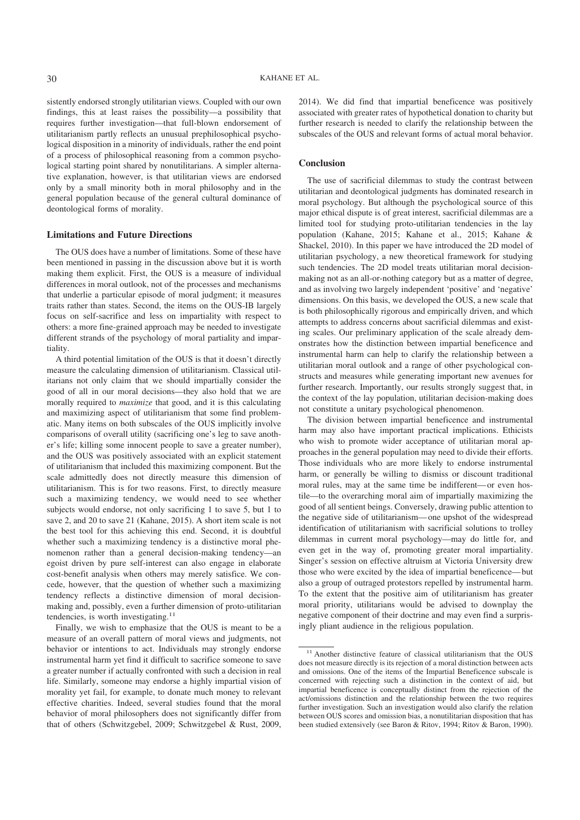sistently endorsed strongly utilitarian views. Coupled with our own findings, this at least raises the possibility—a possibility that requires further investigation—that full-blown endorsement of utilitarianism partly reflects an unusual prephilosophical psychological disposition in a minority of individuals, rather the end point of a process of philosophical reasoning from a common psychological starting point shared by nonutilitarians. A simpler alternative explanation, however, is that utilitarian views are endorsed only by a small minority both in moral philosophy and in the general population because of the general cultural dominance of deontological forms of morality.

#### **Limitations and Future Directions**

The OUS does have a number of limitations. Some of these have been mentioned in passing in the discussion above but it is worth making them explicit. First, the OUS is a measure of individual differences in moral outlook, not of the processes and mechanisms that underlie a particular episode of moral judgment; it measures traits rather than states. Second, the items on the OUS-IB largely focus on self-sacrifice and less on impartiality with respect to others: a more fine-grained approach may be needed to investigate different strands of the psychology of moral partiality and impartiality.

A third potential limitation of the OUS is that it doesn't directly measure the calculating dimension of utilitarianism. Classical utilitarians not only claim that we should impartially consider the good of all in our moral decisions—they also hold that we are morally required to *maximize* that good, and it is this calculating and maximizing aspect of utilitarianism that some find problematic. Many items on both subscales of the OUS implicitly involve comparisons of overall utility (sacrificing one's leg to save another's life; killing some innocent people to save a greater number), and the OUS was positively associated with an explicit statement of utilitarianism that included this maximizing component. But the scale admittedly does not directly measure this dimension of utilitarianism. This is for two reasons. First, to directly measure such a maximizing tendency, we would need to see whether subjects would endorse, not only sacrificing 1 to save 5, but 1 to save 2, and 20 to save 21 (Kahane, 2015). A short item scale is not the best tool for this achieving this end. Second, it is doubtful whether such a maximizing tendency is a distinctive moral phenomenon rather than a general decision-making tendency—an egoist driven by pure self-interest can also engage in elaborate cost-benefit analysis when others may merely satisfice. We concede, however, that the question of whether such a maximizing tendency reflects a distinctive dimension of moral decisionmaking and, possibly, even a further dimension of proto-utilitarian tendencies, is worth investigating. $11$ 

Finally, we wish to emphasize that the OUS is meant to be a measure of an overall pattern of moral views and judgments, not behavior or intentions to act. Individuals may strongly endorse instrumental harm yet find it difficult to sacrifice someone to save a greater number if actually confronted with such a decision in real life. Similarly, someone may endorse a highly impartial vision of morality yet fail, for example, to donate much money to relevant effective charities. Indeed, several studies found that the moral behavior of moral philosophers does not significantly differ from that of others (Schwitzgebel, 2009; Schwitzgebel & Rust, 2009, 2014). We did find that impartial beneficence was positively associated with greater rates of hypothetical donation to charity but further research is needed to clarify the relationship between the subscales of the OUS and relevant forms of actual moral behavior.

#### **Conclusion**

The use of sacrificial dilemmas to study the contrast between utilitarian and deontological judgments has dominated research in moral psychology. But although the psychological source of this major ethical dispute is of great interest, sacrificial dilemmas are a limited tool for studying proto-utilitarian tendencies in the lay population (Kahane, 2015; Kahane et al., 2015; Kahane & Shackel, 2010). In this paper we have introduced the 2D model of utilitarian psychology, a new theoretical framework for studying such tendencies. The 2D model treats utilitarian moral decisionmaking not as an all-or-nothing category but as a matter of degree, and as involving two largely independent 'positive' and 'negative' dimensions. On this basis, we developed the OUS, a new scale that is both philosophically rigorous and empirically driven, and which attempts to address concerns about sacrificial dilemmas and existing scales. Our preliminary application of the scale already demonstrates how the distinction between impartial beneficence and instrumental harm can help to clarify the relationship between a utilitarian moral outlook and a range of other psychological constructs and measures while generating important new avenues for further research. Importantly, our results strongly suggest that, in the context of the lay population, utilitarian decision-making does not constitute a unitary psychological phenomenon.

The division between impartial beneficence and instrumental harm may also have important practical implications. Ethicists who wish to promote wider acceptance of utilitarian moral approaches in the general population may need to divide their efforts. Those individuals who are more likely to endorse instrumental harm, or generally be willing to dismiss or discount traditional moral rules, may at the same time be indifferent—or even hostile—to the overarching moral aim of impartially maximizing the good of all sentient beings. Conversely, drawing public attention to the negative side of utilitarianism—one upshot of the widespread identification of utilitarianism with sacrificial solutions to trolley dilemmas in current moral psychology—may do little for, and even get in the way of, promoting greater moral impartiality. Singer's session on effective altruism at Victoria University drew those who were excited by the idea of impartial beneficence—but also a group of outraged protestors repelled by instrumental harm. To the extent that the positive aim of utilitarianism has greater moral priority, utilitarians would be advised to downplay the negative component of their doctrine and may even find a surprisingly pliant audience in the religious population.

<sup>&</sup>lt;sup>11</sup> Another distinctive feature of classical utilitarianism that the OUS does not measure directly is its rejection of a moral distinction between acts and omissions. One of the items of the Impartial Beneficence subscale is concerned with rejecting such a distinction in the context of aid, but impartial beneficence is conceptually distinct from the rejection of the act/omissions distinction and the relationship between the two requires further investigation. Such an investigation would also clarify the relation between OUS scores and omission bias, a nonutilitarian disposition that has been studied extensively (see Baron & Ritov, 1994; Ritov & Baron, 1990).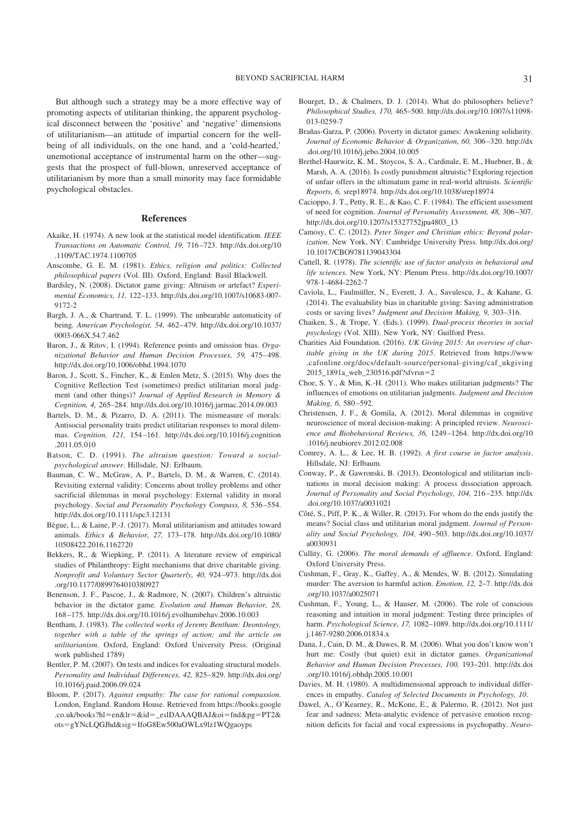But although such a strategy may be a more effective way of promoting aspects of utilitarian thinking, the apparent psychological disconnect between the 'positive' and 'negative' dimensions of utilitarianism—an attitude of impartial concern for the wellbeing of all individuals, on the one hand, and a 'cold-hearted,' unemotional acceptance of instrumental harm on the other—suggests that the prospect of full-blown, unreserved acceptance of utilitarianism by more than a small minority may face formidable psychological obstacles.

#### **References**

- Akaike, H. (1974). A new look at the statistical model identification. *IEEE Transactions on Automatic Control, 19,* 716–723. http://dx.doi.org/10 .1109/TAC.1974.1100705
- Anscombe, G. E. M. (1981). *Ethics, religion and politics: Collected philosophical papers* (Vol. III). Oxford, England: Basil Blackwell.
- Bardsley, N. (2008). Dictator game giving: Altruism or artefact? *Experimental Economics, 11,* 122–133. http://dx.doi.org/10.1007/s10683-007- 9172-2
- Bargh, J. A., & Chartrand, T. L. (1999). The unbearable automaticity of being. *American Psychologist, 54,* 462–479. http://dx.doi.org/10.1037/ 0003-066X.54.7.462
- Baron, J., & Ritov, I. (1994). Reference points and omission bias. *Organizational Behavior and Human Decision Processes, 59,* 475–498. http://dx.doi.org/10.1006/obhd.1994.1070
- Baron, J., Scott, S., Fincher, K., & Emlen Metz, S. (2015). Why does the Cognitive Reflection Test (sometimes) predict utilitarian moral judgment (and other things)? *Journal of Applied Research in Memory & Cognition, 4,* 265–284. http://dx.doi.org/10.1016/j.jarmac.2014.09.003
- Bartels, D. M., & Pizarro, D. A. (2011). The mismeasure of morals: Antisocial personality traits predict utilitarian responses to moral dilemmas. *Cognition, 121,* 154–161. http://dx.doi.org/10.1016/j.cognition .2011.05.010
- Batson, C. D. (1991). *The altruism question: Toward a socialpsychological answer*. Hillsdale, NJ: Erlbaum.
- Bauman, C. W., McGraw, A. P., Bartels, D. M., & Warren, C. (2014). Revisiting external validity: Concerns about trolley problems and other sacrificial dilemmas in moral psychology: External validity in moral psychology. *Social and Personality Psychology Compass, 8,* 536–554. http://dx.doi.org/10.1111/spc3.12131
- Bègue, L., & Laine, P.-J. (2017). Moral utilitarianism and attitudes toward animals. *Ethics & Behavior, 27,* 173–178. http://dx.doi.org/10.1080/ 10508422.2016.1162720
- Bekkers, R., & Wiepking, P. (2011). A literature review of empirical studies of Philanthropy: Eight mechanisms that drive charitable giving. *Nonprofit and Voluntary Sector Quarterly, 40,* 924–973. http://dx.doi .org/10.1177/0899764010380927
- Benenson, J. F., Pascoe, J., & Radmore, N. (2007). Children's altruistic behavior in the dictator game. *Evolution and Human Behavior, 28,* 168–175. http://dx.doi.org/10.1016/j.evolhumbehav.2006.10.003
- Bentham, J. (1983). *The collected works of Jeremy Bentham: Deontology, together with a table of the springs of action; and the article on utilitarianism*. Oxford, England: Oxford University Press. (Original work published 1789)
- Bentler, P. M. (2007). On tests and indices for evaluating structural models. *Personality and Individual Differences, 42,* 825–829. http://dx.doi.org/ 10.1016/j.paid.2006.09.024
- Bloom, P. (2017). *Against empathy: The case for rational compassion*. London, England. Random House. Retrieved from https://books.google .co.uk/books?hl=en&lr=&id=\_eslDAAAQBAJ&oi=fnd&pg=PT2& ots=gYNcLQGJhd&sig=IfoG8Ew500aOWLx9lz1WQgaoyps
- Bourget, D., & Chalmers, D. J. (2014). What do philosophers believe? *Philosophical Studies, 170,* 465–500. http://dx.doi.org/10.1007/s11098- 013-0259-7
- Brañas-Garza, P. (2006). Poverty in dictator games: Awakening solidarity. *Journal of Economic Behavior & Organization, 60,* 306–320. http://dx .doi.org/10.1016/j.jebo.2004.10.005
- Brethel-Haurwitz, K. M., Stoycos, S. A., Cardinale, E. M., Huebner, B., & Marsh, A. A. (2016). Is costly punishment altruistic? Exploring rejection of unfair offers in the ultimatum game in real-world altruists. *Scientific Reports, 6,* srep18974. http://dx.doi.org/10.1038/srep18974
- Cacioppo, J. T., Petty, R. E., & Kao, C. F. (1984). The efficient assessment of need for cognition. *Journal of Personality Assessment, 48,* 306–307. http://dx.doi.org/10.1207/s15327752jpa4803\_13
- Camosy, C. C. (2012). *Peter Singer and Christian ethics: Beyond polarization*. New York, NY: Cambridge University Press. http://dx.doi.org/ 10.1017/CBO9781139043304
- Cattell, R. (1978). *The scientific use of factor analysis in behavioral and life sciences*. New York, NY: Plenum Press. http://dx.doi.org/10.1007/ 978-1-4684-2262-7
- Caviola, L., Faulmüller, N., Everett, J. A., Savulescu, J., & Kahane, G. (2014). The evaluability bias in charitable giving: Saving administration costs or saving lives? *Judgment and Decision Making, 9,* 303–316.
- Chaiken, S., & Trope, Y. (Eds.). (1999). *Dual-process theories in social psychology* (Vol. XIII). New York, NY: Guilford Press.
- Charities Aid Foundation. (2016). *UK Giving 2015: An overview of charitable giving in the UK during 2015*. Retrieved from https://www .cafonline.org/docs/default-source/personal-giving/caf\_ukgiving 2015\_1891a\_web\_230516.pdf?sfvrsn=2
- Choe, S. Y., & Min, K.-H. (2011). Who makes utilitarian judgments? The influences of emotions on utilitarian judgments. *Judgment and Decision Making, 6,* 580–592.
- Christensen, J. F., & Gomila, A. (2012). Moral dilemmas in cognitive neuroscience of moral decision-making: A principled review. *Neuroscience and Biobehavioral Reviews, 36,* 1249–1264. http://dx.doi.org/10 .1016/j.neubiorev.2012.02.008
- Comrey, A. L., & Lee, H. B. (1992). *A first course in factor analysis*. Hillsdale, NJ: Erlbaum.
- Conway, P., & Gawronski, B. (2013). Deontological and utilitarian inclinations in moral decision making: A process dissociation approach. *Journal of Personality and Social Psychology, 104,* 216–235. http://dx .doi.org/10.1037/a0031021
- Côté, S., Piff, P. K., & Willer, R. (2013). For whom do the ends justify the means? Social class and utilitarian moral judgment. *Journal of Personality and Social Psychology, 104,* 490–503. http://dx.doi.org/10.1037/ a0030931
- Cullity, G. (2006). *The moral demands of affluence*. Oxford, England: Oxford University Press.
- Cushman, F., Gray, K., Gaffey, A., & Mendes, W. B. (2012). Simulating murder: The aversion to harmful action. *Emotion, 12,* 2–7. http://dx.doi .org/10.1037/a0025071
- Cushman, F., Young, L., & Hauser, M. (2006). The role of conscious reasoning and intuition in moral judgment: Testing three principles of harm. *Psychological Science, 17,* 1082–1089. http://dx.doi.org/10.1111/ j.1467-9280.2006.01834.x
- Dana, J., Cain, D. M., & Dawes, R. M. (2006). What you don't know won't hurt me: Costly (but quiet) exit in dictator games. *Organizational Behavior and Human Decision Processes, 100,* 193–201. http://dx.doi .org/10.1016/j.obhdp.2005.10.001
- Davies, M. H. (1980). A multidimensional approach to individual differences in empathy. *Catalog of Selected Documents in Psychology, 10*.
- Dawel, A., O'Kearney, R., McKone, E., & Palermo, R. (2012). Not just fear and sadness: Meta-analytic evidence of pervasive emotion recognition deficits for facial and vocal expressions in psychopathy. *Neuro-*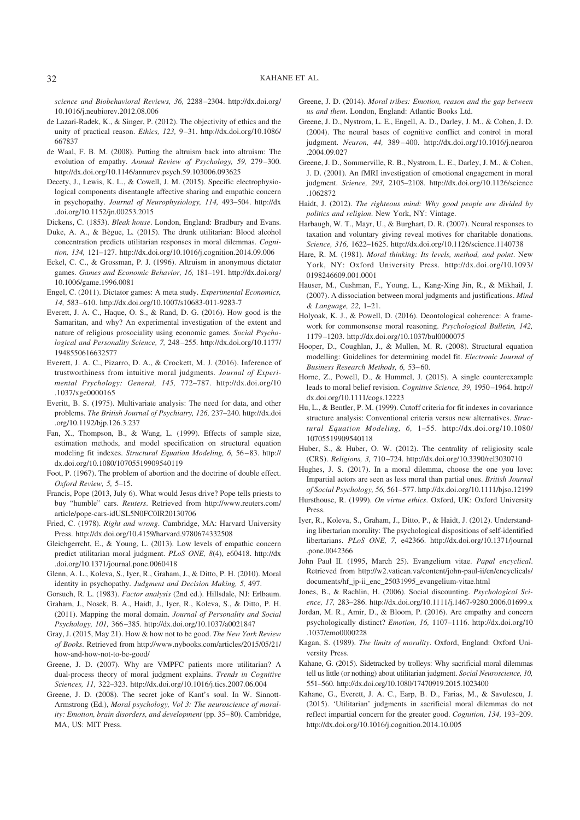*science and Biobehavioral Reviews, 36,* 2288–2304. http://dx.doi.org/ 10.1016/j.neubiorev.2012.08.006

- de Lazari-Radek, K., & Singer, P. (2012). The objectivity of ethics and the unity of practical reason. *Ethics, 123,* 9–31. http://dx.doi.org/10.1086/ 667837
- de Waal, F. B. M. (2008). Putting the altruism back into altruism: The evolution of empathy. *Annual Review of Psychology, 59,* 279–300. http://dx.doi.org/10.1146/annurev.psych.59.103006.093625
- Decety, J., Lewis, K. L., & Cowell, J. M. (2015). Specific electrophysiological components disentangle affective sharing and empathic concern in psychopathy. *Journal of Neurophysiology, 114,* 493–504. http://dx .doi.org/10.1152/jn.00253.2015
- Dickens, C. (1853). *Bleak house*. London, England: Bradbury and Evans.
- Duke, A. A., & Bègue, L. (2015). The drunk utilitarian: Blood alcohol concentration predicts utilitarian responses in moral dilemmas. *Cognition, 134,* 121–127. http://dx.doi.org/10.1016/j.cognition.2014.09.006
- Eckel, C. C., & Grossman, P. J. (1996). Altruism in anonymous dictator games. *Games and Economic Behavior, 16,* 181–191. http://dx.doi.org/ 10.1006/game.1996.0081
- Engel, C. (2011). Dictator games: A meta study. *Experimental Economics, 14,* 583–610. http://dx.doi.org/10.1007/s10683-011-9283-7
- Everett, J. A. C., Haque, O. S., & Rand, D. G. (2016). How good is the Samaritan, and why? An experimental investigation of the extent and nature of religious prosociality using economic games. *Social Psychological and Personality Science, 7,* 248–255. http://dx.doi.org/10.1177/ 1948550616632577
- Everett, J. A. C., Pizarro, D. A., & Crockett, M. J. (2016). Inference of trustworthiness from intuitive moral judgments. *Journal of Experimental Psychology: General, 145,* 772–787. http://dx.doi.org/10 .1037/xge0000165
- Everitt, B. S. (1975). Multivariate analysis: The need for data, and other problems. *The British Journal of Psychiatry, 126,* 237–240. http://dx.doi .org/10.1192/bjp.126.3.237
- Fan, X., Thompson, B., & Wang, L. (1999). Effects of sample size, estimation methods, and model specification on structural equation modeling fit indexes. *Structural Equation Modeling, 6,* 56–83. http:// dx.doi.org/10.1080/10705519909540119
- Foot, P. (1967). The problem of abortion and the doctrine of double effect. *Oxford Review, 5,* 5–15.
- Francis, Pope (2013, July 6). What would Jesus drive? Pope tells priests to buy "humble" cars. *Reuters*. Retrieved from http://www.reuters.com/ article/pope-cars-idUSL5N0FC0IR20130706
- Fried, C. (1978). *Right and wrong*. Cambridge, MA: Harvard University Press. http://dx.doi.org/10.4159/harvard.9780674332508
- Gleichgerrcht, E., & Young, L. (2013). Low levels of empathic concern predict utilitarian moral judgment. *PLoS ONE, 8*(4), e60418. http://dx .doi.org/10.1371/journal.pone.0060418
- Glenn, A. L., Koleva, S., Iyer, R., Graham, J., & Ditto, P. H. (2010). Moral identity in psychopathy. *Judgment and Decision Making, 5,* 497.
- Gorsuch, R. L. (1983). *Factor analysis* (2nd ed.). Hillsdale, NJ: Erlbaum. Graham, J., Nosek, B. A., Haidt, J., Iyer, R., Koleva, S., & Ditto, P. H. (2011). Mapping the moral domain. *Journal of Personality and Social*
- *Psychology, 101,* 366–385. http://dx.doi.org/10.1037/a0021847 Gray, J. (2015, May 21). How & how not to be good. *The New York Review*
- *of Books*. Retrieved from http://www.nybooks.com/articles/2015/05/21/ how-and-how-not-to-be-good/
- Greene, J. D. (2007). Why are VMPFC patients more utilitarian? A dual-process theory of moral judgment explains. *Trends in Cognitive Sciences, 11,* 322–323. http://dx.doi.org/10.1016/j.tics.2007.06.004
- Greene, J. D. (2008). The secret joke of Kant's soul. In W. Sinnott-Armstrong (Ed.), *Moral psychology, Vol 3: The neuroscience of morality: Emotion, brain disorders, and development* (pp. 35–80). Cambridge, MA, US: MIT Press.
- Greene, J. D. (2014). *Moral tribes: Emotion, reason and the gap between us and them*. London, England: Atlantic Books Ltd.
- Greene, J. D., Nystrom, L. E., Engell, A. D., Darley, J. M., & Cohen, J. D. (2004). The neural bases of cognitive conflict and control in moral judgment. *Neuron, 44,* 389–400. http://dx.doi.org/10.1016/j.neuron .2004.09.027
- Greene, J. D., Sommerville, R. B., Nystrom, L. E., Darley, J. M., & Cohen, J. D. (2001). An fMRI investigation of emotional engagement in moral judgment. *Science, 293,* 2105–2108. http://dx.doi.org/10.1126/science .1062872
- Haidt, J. (2012). *The righteous mind: Why good people are divided by politics and religion*. New York, NY: Vintage.
- Harbaugh, W. T., Mayr, U., & Burghart, D. R. (2007). Neural responses to taxation and voluntary giving reveal motives for charitable donations. *Science, 316,* 1622–1625. http://dx.doi.org/10.1126/science.1140738
- Hare, R. M. (1981). *Moral thinking: Its levels, method, and point*. New York, NY: Oxford University Press. http://dx.doi.org/10.1093/ 0198246609.001.0001
- Hauser, M., Cushman, F., Young, L., Kang-Xing Jin, R., & Mikhail, J. (2007). A dissociation between moral judgments and justifications. *Mind & Language, 22,* 1–21.
- Holyoak, K. J., & Powell, D. (2016). Deontological coherence: A framework for commonsense moral reasoning. *Psychological Bulletin, 142,* 1179–1203. http://dx.doi.org/10.1037/bul0000075
- Hooper, D., Coughlan, J., & Mullen, M. R. (2008). Structural equation modelling: Guidelines for determining model fit. *Electronic Journal of Business Research Methods, 6,* 53–60.
- Horne, Z., Powell, D., & Hummel, J. (2015). A single counterexample leads to moral belief revision. *Cognitive Science, 39,* 1950–1964. http:// dx.doi.org/10.1111/cogs.12223
- Hu, L., & Bentler, P. M. (1999). Cutoff criteria for fit indexes in covariance structure analysis: Conventional criteria versus new alternatives. *Structural Equation Modeling, 6,* 1–55. http://dx.doi.org/10.1080/ 10705519909540118
- Huber, S., & Huber, O. W. (2012). The centrality of religiosity scale (CRS). *Religions, 3,* 710–724. http://dx.doi.org/10.3390/rel3030710
- Hughes, J. S. (2017). In a moral dilemma, choose the one you love: Impartial actors are seen as less moral than partial ones. *British Journal of Social Psychology, 56,* 561–577. http://dx.doi.org/10.1111/bjso.12199
- Hursthouse, R. (1999). *On virtue ethics*. Oxford, UK: Oxford University Press.
- Iyer, R., Koleva, S., Graham, J., Ditto, P., & Haidt, J. (2012). Understanding libertarian morality: The psychological dispositions of self-identified libertarians. *PLoS ONE, 7,* e42366. http://dx.doi.org/10.1371/journal .pone.0042366
- John Paul II. (1995, March 25). Evangelium vitae. *Papal encyclical*. Retrieved from http://w2.vatican.va/content/john-paul-ii/en/encyclicals/ documents/hf\_jp-ii\_enc\_25031995\_evangelium-vitae.html
- Jones, B., & Rachlin, H. (2006). Social discounting. *Psychological Science, 17,* 283–286. http://dx.doi.org/10.1111/j.1467-9280.2006.01699.x
- Jordan, M. R., Amir, D., & Bloom, P. (2016). Are empathy and concern psychologically distinct? *Emotion, 16,* 1107–1116. http://dx.doi.org/10 .1037/emo0000228
- Kagan, S. (1989). *The limits of morality*. Oxford, England: Oxford University Press.
- Kahane, G. (2015). Sidetracked by trolleys: Why sacrificial moral dilemmas tell us little (or nothing) about utilitarian judgment. *Social Neuroscience, 10,* 551–560. http://dx.doi.org/10.1080/17470919.2015.1023400
- Kahane, G., Everett, J. A. C., Earp, B. D., Farias, M., & Savulescu, J. (2015). 'Utilitarian' judgments in sacrificial moral dilemmas do not reflect impartial concern for the greater good. *Cognition, 134,* 193–209. http://dx.doi.org/10.1016/j.cognition.2014.10.005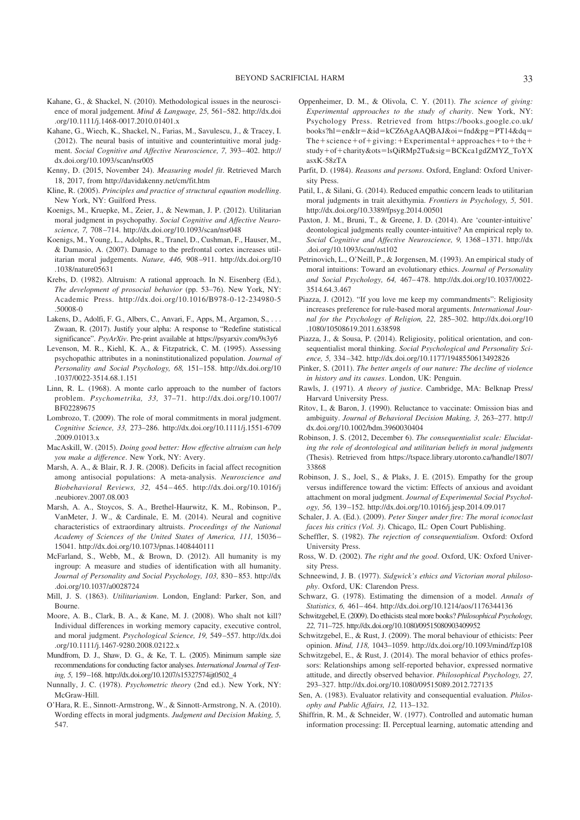- Kahane, G., & Shackel, N. (2010). Methodological issues in the neuroscience of moral judgement. *Mind & Language, 25,* 561–582. http://dx.doi .org/10.1111/j.1468-0017.2010.01401.x
- Kahane, G., Wiech, K., Shackel, N., Farias, M., Savulescu, J., & Tracey, I. (2012). The neural basis of intuitive and counterintuitive moral judgment. *Social Cognitive and Affective Neuroscience, 7,* 393–402. http:// dx.doi.org/10.1093/scan/nsr005
- Kenny, D. (2015, November 24). *Measuring model fit*. Retrieved March 18, 2017, from http://davidakenny.net/cm/fit.htm
- Kline, R. (2005). *Principles and practice of structural equation modelling*. New York, NY: Guilford Press.
- Koenigs, M., Kruepke, M., Zeier, J., & Newman, J. P. (2012). Utilitarian moral judgment in psychopathy. *Social Cognitive and Affective Neuroscience, 7,* 708–714. http://dx.doi.org/10.1093/scan/nsr048
- Koenigs, M., Young, L., Adolphs, R., Tranel, D., Cushman, F., Hauser, M., & Damasio, A. (2007). Damage to the prefrontal cortex increases utilitarian moral judgements. *Nature, 446,* 908–911. http://dx.doi.org/10 .1038/nature05631
- Krebs, D. (1982). Altruism: A rational approach. In N. Eisenberg (Ed.), *The development of prosocial behavior* (pp. 53–76). New York, NY: Academic Press. http://dx.doi.org/10.1016/B978-0-12-234980-5 .50008-0
- Lakens, D., Adolfi, F. G., Albers, C., Anvari, F., Apps, M., Argamon, S., ... Zwaan, R. (2017). Justify your alpha: A response to "Redefine statistical significance". *PsyArXiv*. Pre-print available at https://psyarxiv.com/9s3y6
- Levenson, M. R., Kiehl, K. A., & Fitzpatrick, C. M. (1995). Assessing psychopathic attributes in a noninstitutionalized population. *Journal of Personality and Social Psychology, 68,* 151–158. http://dx.doi.org/10 .1037/0022-3514.68.1.151
- Linn, R. L. (1968). A monte carlo approach to the number of factors problem. *Psychometrika, 33,* 37–71. http://dx.doi.org/10.1007/ BF02289675
- Lombrozo, T. (2009). The role of moral commitments in moral judgment. *Cognitive Science, 33,* 273–286. http://dx.doi.org/10.1111/j.1551-6709 .2009.01013.x
- MacAskill, W. (2015). *Doing good better: How effective altruism can help you make a difference*. New York, NY: Avery.
- Marsh, A. A., & Blair, R. J. R. (2008). Deficits in facial affect recognition among antisocial populations: A meta-analysis. *Neuroscience and Biobehavioral Reviews, 32,* 454–465. http://dx.doi.org/10.1016/j .neubiorev.2007.08.003
- Marsh, A. A., Stoycos, S. A., Brethel-Haurwitz, K. M., Robinson, P., VanMeter, J. W., & Cardinale, E. M. (2014). Neural and cognitive characteristics of extraordinary altruists. *Proceedings of the National Academy of Sciences of the United States of America, 111,* 15036– 15041. http://dx.doi.org/10.1073/pnas.1408440111
- McFarland, S., Webb, M., & Brown, D. (2012). All humanity is my ingroup: A measure and studies of identification with all humanity. *Journal of Personality and Social Psychology, 103,* 830–853. http://dx .doi.org/10.1037/a0028724
- Mill, J. S. (1863). *Utilitarianism*. London, England: Parker, Son, and Bourne.
- Moore, A. B., Clark, B. A., & Kane, M. J. (2008). Who shalt not kill? Individual differences in working memory capacity, executive control, and moral judgment. *Psychological Science, 19,* 549–557. http://dx.doi .org/10.1111/j.1467-9280.2008.02122.x
- Mundfrom, D. J., Shaw, D. G., & Ke, T. L. (2005). Minimum sample size recommendations for conducting factor analyses. *International Journal of Testing, 5,* 159–168. http://dx.doi.org/10.1207/s15327574ijt0502\_4
- Nunnally, J. C. (1978). *Psychometric theory* (2nd ed.). New York, NY: McGraw-Hill.
- O'Hara, R. E., Sinnott-Armstrong, W., & Sinnott-Armstrong, N. A. (2010). Wording effects in moral judgments. *Judgment and Decision Making, 5,* 547.
- Oppenheimer, D. M., & Olivola, C. Y. (2011). *The science of giving: Experimental approaches to the study of charity*. New York, NY: Psychology Press. Retrieved from https://books.google.co.uk/ books?hl=en&lr=&id=kCZ6AgAAQBAJ&oi=fnd&pg=PT14&dq= The + science + of + giving: + Experimental + approaches + to + the + study+of+charity&ots=lsQiRMp2Tu&sig=BCKca1gdZMYZ\_ToYX asxK-58zTA
- Parfit, D. (1984). *Reasons and persons*. Oxford, England: Oxford University Press.
- Patil, I., & Silani, G. (2014). Reduced empathic concern leads to utilitarian moral judgments in trait alexithymia. *Frontiers in Psychology, 5,* 501. http://dx.doi.org/10.3389/fpsyg.2014.00501
- Paxton, J. M., Bruni, T., & Greene, J. D. (2014). Are 'counter-intuitive' deontological judgments really counter-intuitive? An empirical reply to. *Social Cognitive and Affective Neuroscience, 9,* 1368–1371. http://dx .doi.org/10.1093/scan/nst102
- Petrinovich, L., O'Neill, P., & Jorgensen, M. (1993). An empirical study of moral intuitions: Toward an evolutionary ethics. *Journal of Personality and Social Psychology, 64,* 467–478. http://dx.doi.org/10.1037/0022- 3514.64.3.467
- Piazza, J. (2012). "If you love me keep my commandments": Religiosity increases preference for rule-based moral arguments. *International Journal for the Psychology of Religion, 22,* 285–302. http://dx.doi.org/10 .1080/10508619.2011.638598
- Piazza, J., & Sousa, P. (2014). Religiosity, political orientation, and consequentialist moral thinking. *Social Psychological and Personality Science, 5,* 334–342. http://dx.doi.org/10.1177/1948550613492826
- Pinker, S. (2011). *The better angels of our nature: The decline of violence in history and its causes*. London, UK: Penguin.
- Rawls, J. (1971). *A theory of justice*. Cambridge, MA: Belknap Press/ Harvard University Press.
- Ritov, I., & Baron, J. (1990). Reluctance to vaccinate: Omission bias and ambiguity. *Journal of Behavioral Decision Making, 3,* 263–277. http:// dx.doi.org/10.1002/bdm.3960030404
- Robinson, J. S. (2012, December 6). *The consequentialist scale: Elucidating the role of deontological and utilitarian beliefs in moral judgments* (Thesis). Retrieved from https://tspace.library.utoronto.ca/handle/1807/ 33868
- Robinson, J. S., Joel, S., & Plaks, J. E. (2015). Empathy for the group versus indifference toward the victim: Effects of anxious and avoidant attachment on moral judgment. *Journal of Experimental Social Psychology, 56,* 139–152. http://dx.doi.org/10.1016/j.jesp.2014.09.017
- Schaler, J. A. (Ed.). (2009). *Peter Singer under fire: The moral iconoclast faces his critics (Vol. 3)*. Chicago, IL: Open Court Publishing.
- Scheffler, S. (1982). *The rejection of consequentialism*. Oxford: Oxford University Press.
- Ross, W. D. (2002). *The right and the good*. Oxford, UK: Oxford University Press.
- Schneewind, J. B. (1977). *Sidgwick's ethics and Victorian moral philosophy*. Oxford, UK: Clarendon Press.
- Schwarz, G. (1978). Estimating the dimension of a model. *Annals of Statistics, 6,* 461–464. http://dx.doi.org/10.1214/aos/1176344136
- Schwitzgebel, E. (2009). Do ethicists steal more books? *Philosophical Psychology, 22,* 711–725. http://dx.doi.org/10.1080/09515080903409952
- Schwitzgebel, E., & Rust, J. (2009). The moral behaviour of ethicists: Peer opinion. *Mind, 118,* 1043–1059. http://dx.doi.org/10.1093/mind/fzp108
- Schwitzgebel, E., & Rust, J. (2014). The moral behavior of ethics professors: Relationships among self-reported behavior, expressed normative attitude, and directly observed behavior. *Philosophical Psychology, 27,* 293–327. http://dx.doi.org/10.1080/09515089.2012.727135
- Sen, A. (1983). Evaluator relativity and consequential evaluation. *Philosophy and Public Affairs, 12,* 113–132.
- Shiffrin, R. M., & Schneider, W. (1977). Controlled and automatic human information processing: II. Perceptual learning, automatic attending and